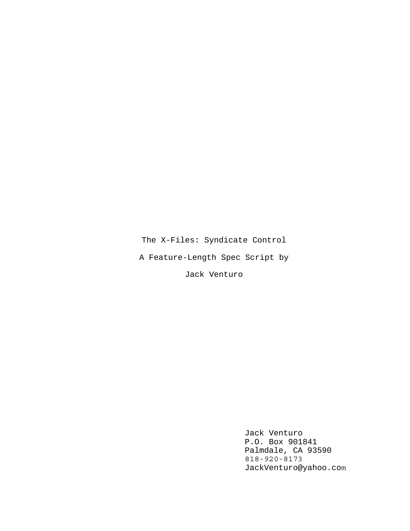The X-Files: Syndicate Control

A Feature-Length Spec Script by

Jack Venturo

Jack Venturo P.O. Box 901841 Palmdale, CA 93590 818-920-8173 JackVenturo@yahoo.com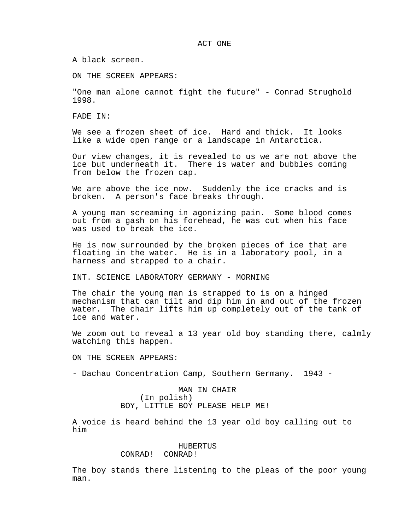#### ACT ONE

A black screen.

ON THE SCREEN APPEARS:

"One man alone cannot fight the future" - Conrad Strughold 1998.

FADE IN:

We see a frozen sheet of ice. Hard and thick. It looks like a wide open range or a landscape in Antarctica.

Our view changes, it is revealed to us we are not above the ice but underneath it. There is water and bubbles coming from below the frozen cap.

We are above the ice now. Suddenly the ice cracks and is broken. A person's face breaks through.

A young man screaming in agonizing pain. Some blood comes out from a gash on his forehead, he was cut when his face was used to break the ice.

He is now surrounded by the broken pieces of ice that are floating in the water. He is in a laboratory pool, in a harness and strapped to a chair.

INT. SCIENCE LABORATORY GERMANY - MORNING

The chair the young man is strapped to is on a hinged mechanism that can tilt and dip him in and out of the frozen water. The chair lifts him up completely out of the tank of ice and water.

We zoom out to reveal a 13 year old boy standing there, calmly watching this happen.

ON THE SCREEN APPEARS:

- Dachau Concentration Camp, Southern Germany. 1943 -

MAN IN CHAIR (In polish) BOY, LITTLE BOY PLEASE HELP ME!

A voice is heard behind the 13 year old boy calling out to him

## HUBERTUS

CONRAD! CONRAD!

The boy stands there listening to the pleas of the poor young man.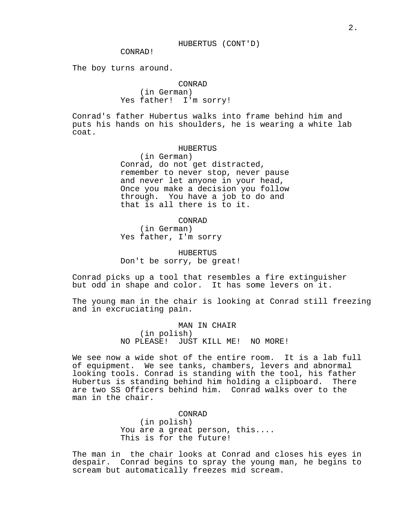CONRAD!

The boy turns around.

# CONRAD (in German) Yes father! I'm sorry!

Conrad's father Hubertus walks into frame behind him and puts his hands on his shoulders, he is wearing a white lab coat.

#### HUBERTUS

(in German) Conrad, do not get distracted, remember to never stop, never pause and never let anyone in your head, Once you make a decision you follow through. You have a job to do and that is all there is to it.

CONRAD (in German) Yes father, I'm sorry

HUBERTUS Don't be sorry, be great!

Conrad picks up a tool that resembles a fire extinguisher but odd in shape and color. It has some levers on it.

The young man in the chair is looking at Conrad still freezing and in excruciating pain.

> MAN IN CHAIR (in polish) NO PLEASE! JUST KILL ME! NO MORE!

We see now a wide shot of the entire room. It is a lab full of equipment. We see tanks, chambers, levers and abnormal looking tools. Conrad is standing with the tool, his father Hubertus is standing behind him holding a clipboard. There are two SS Officers behind him. Conrad walks over to the man in the chair.

> CONRAD (in polish) You are a great person, this.... This is for the future!

The man in the chair looks at Conrad and closes his eyes in despair. Conrad begins to spray the young man, he begins to scream but automatically freezes mid scream.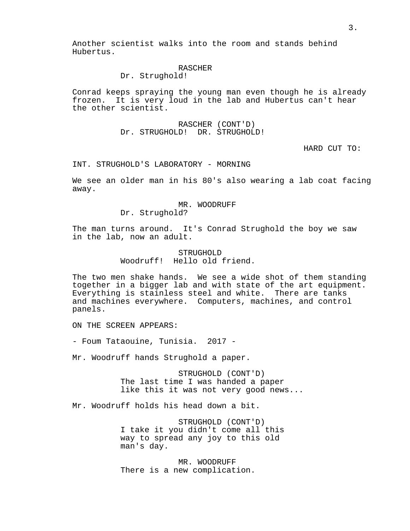Another scientist walks into the room and stands behind Hubertus.

#### RASCHER

Dr. Strughold!

Conrad keeps spraying the young man even though he is already frozen. It is very loud in the lab and Hubertus can't hear the other scientist.

> RASCHER (CONT'D) Dr. STRUGHOLD! DR. STRUGHOLD!

> > HARD CUT TO:

INT. STRUGHOLD'S LABORATORY - MORNING

We see an older man in his 80's also wearing a lab coat facing away.

> MR. WOODRUFF Dr. Strughold?

The man turns around. It's Conrad Strughold the boy we saw in the lab, now an adult.

# STRUGHOLD Woodruff! Hello old friend.

The two men shake hands. We see a wide shot of them standing together in a bigger lab and with state of the art equipment. Everything is stainless steel and white. There are tanks and machines everywhere. Computers, machines, and control panels.

ON THE SCREEN APPEARS:

- Foum Tataouine, Tunisia. 2017 -

Mr. Woodruff hands Strughold a paper.

STRUGHOLD (CONT'D) The last time I was handed a paper like this it was not very good news...

Mr. Woodruff holds his head down a bit.

STRUGHOLD (CONT'D) I take it you didn't come all this way to spread any joy to this old man's day.

MR. WOODRUFF There is a new complication.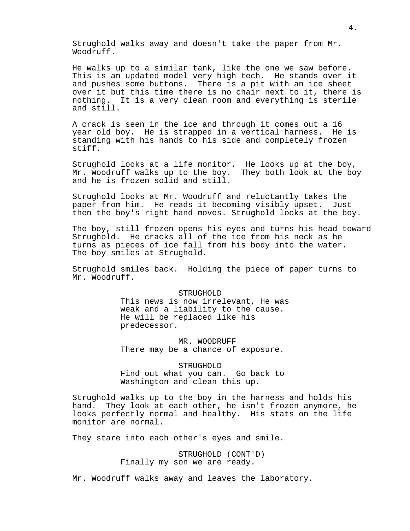Strughold walks away and doesn't take the paper from Mr. Woodruff.

He walks up to a similar tank, like the one we saw before. This is an updated model very high tech. He stands over it and pushes some buttons. There is a pit with an ice sheet over it but this time there is no chair next to it, there is nothing. It is a very clean room and everything is sterile and still.

A crack is seen in the ice and through it comes out a 16 year old boy. He is strapped in a vertical harness. He is standing with his hands to his side and completely frozen stiff.

Strughold looks at a life monitor. He looks up at the boy, Mr. Woodruff walks up to the boy. They both look at the boy and he is frozen solid and still.

Strughold looks at Mr. Woodruff and reluctantly takes the paper from him. He reads it becoming visibly upset. Just then the boy's right hand moves. Strughold looks at the boy.

The boy, still frozen opens his eyes and turns his head toward Strughold. He cracks all of the ice from his neck as he turns as pieces of ice fall from his body into the water. The boy smiles at Strughold.

Strughold smiles back. Holding the piece of paper turns to Mr. Woodruff.

> STRUGHOLD This news is now irrelevant, He was weak and a liability to the cause. He will be replaced like his predecessor.

MR. WOODRUFF There may be a chance of exposure.

STRUGHOLD Find out what you can. Go back to Washington and clean this up.

Strughold walks up to the boy in the harness and holds his hand. They look at each other, he isn't frozen anymore, he looks perfectly normal and healthy. His stats on the life monitor are normal.

They stare into each other's eyes and smile.

STRUGHOLD (CONT'D) Finally my son we are ready.

Mr. Woodruff walks away and leaves the laboratory.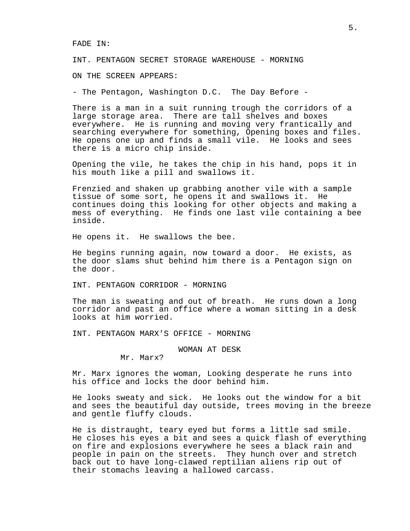#### FADE IN:

INT. PENTAGON SECRET STORAGE WAREHOUSE - MORNING

ON THE SCREEN APPEARS:

- The Pentagon, Washington D.C. The Day Before -

There is a man in a suit running trough the corridors of a large storage area. There are tall shelves and boxes everywhere. He is running and moving very frantically and searching everywhere for something, Opening boxes and files. He opens one up and finds a small vile. He looks and sees there is a micro chip inside.

Opening the vile, he takes the chip in his hand, pops it in his mouth like a pill and swallows it.

Frenzied and shaken up grabbing another vile with a sample tissue of some sort, he opens it and swallows it. He continues doing this looking for other objects and making a mess of everything. He finds one last vile containing a bee inside.

He opens it. He swallows the bee.

He begins running again, now toward a door. He exists, as the door slams shut behind him there is a Pentagon sign on the door.

INT. PENTAGON CORRIDOR - MORNING

The man is sweating and out of breath. He runs down a long corridor and past an office where a woman sitting in a desk looks at him worried.

INT. PENTAGON MARX'S OFFICE - MORNING

WOMAN AT DESK

Mr. Marx?

Mr. Marx ignores the woman, Looking desperate he runs into his office and locks the door behind him.

He looks sweaty and sick. He looks out the window for a bit and sees the beautiful day outside, trees moving in the breeze and gentle fluffy clouds.

He is distraught, teary eyed but forms a little sad smile. He closes his eyes a bit and sees a quick flash of everything on fire and explosions everywhere he sees a black rain and people in pain on the streets. They hunch over and stretch back out to have long-clawed reptilian aliens rip out of their stomachs leaving a hallowed carcass.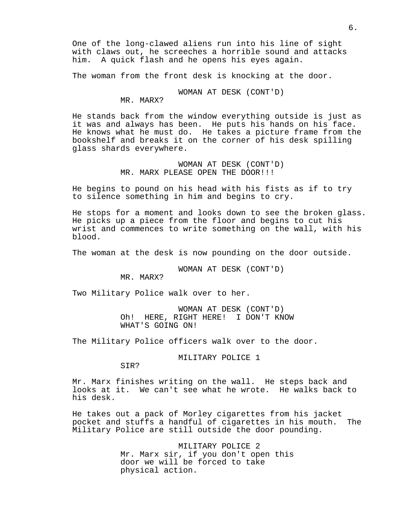One of the long-clawed aliens run into his line of sight with claws out, he screeches a horrible sound and attacks him. A quick flash and he opens his eyes again.

The woman from the front desk is knocking at the door.

WOMAN AT DESK (CONT'D)

MR. MARX?

He stands back from the window everything outside is just as it was and always has been. He puts his hands on his face. He knows what he must do. He takes a picture frame from the bookshelf and breaks it on the corner of his desk spilling glass shards everywhere.

> WOMAN AT DESK (CONT'D) MR. MARX PLEASE OPEN THE DOOR!!!

He begins to pound on his head with his fists as if to try to silence something in him and begins to cry.

He stops for a moment and looks down to see the broken glass. He picks up a piece from the floor and begins to cut his wrist and commences to write something on the wall, with his blood.

The woman at the desk is now pounding on the door outside.

WOMAN AT DESK (CONT'D)

MR. MARX?

Two Military Police walk over to her.

WOMAN AT DESK (CONT'D) Oh! HERE, RIGHT HERE! I DON'T KNOW WHAT'S GOING ON!

The Military Police officers walk over to the door.

MILITARY POLICE 1

SIR?

Mr. Marx finishes writing on the wall. He steps back and looks at it. We can't see what he wrote. He walks back to his desk.

He takes out a pack of Morley cigarettes from his jacket pocket and stuffs a handful of cigarettes in his mouth. The Military Police are still outside the door pounding.

> MILITARY POLICE 2 Mr. Marx sir, if you don't open this door we will be forced to take physical action.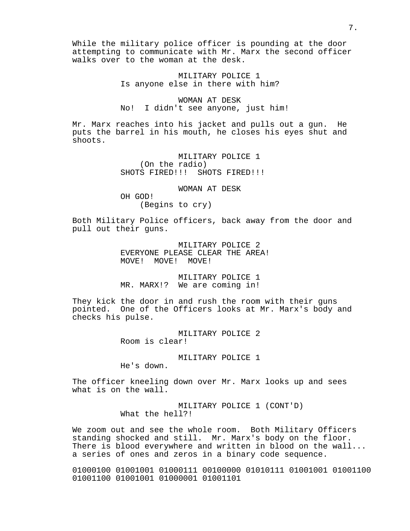While the military police officer is pounding at the door attempting to communicate with Mr. Marx the second officer walks over to the woman at the desk.

> MILITARY POLICE 1 Is anyone else in there with him?

WOMAN AT DESK No! I didn't see anyone, just him!

Mr. Marx reaches into his jacket and pulls out a gun. He puts the barrel in his mouth, he closes his eyes shut and shoots.

> MILITARY POLICE 1 (On the radio) SHOTS FIRED!!! SHOTS FIRED!!!

> > WOMAN AT DESK

OH GOD! (Begins to cry)

Both Military Police officers, back away from the door and pull out their guns.

> MILITARY POLICE 2 EVERYONE PLEASE CLEAR THE AREA! MOVE! MOVE! MOVE!

MILITARY POLICE 1 MR. MARX!? We are coming in!

They kick the door in and rush the room with their guns pointed. One of the Officers looks at Mr. Marx's body and checks his pulse.

> MILITARY POLICE 2 Room is clear!

> > MILITARY POLICE 1

He's down.

The officer kneeling down over Mr. Marx looks up and sees what is on the wall.

> MILITARY POLICE 1 (CONT'D) What the hell?!

We zoom out and see the whole room. Both Military Officers standing shocked and still. Mr. Marx's body on the floor. There is blood everywhere and written in blood on the wall... a series of ones and zeros in a binary code sequence.

01000100 01001001 01000111 00100000 01010111 01001001 01001100 01001100 01001001 01000001 01001101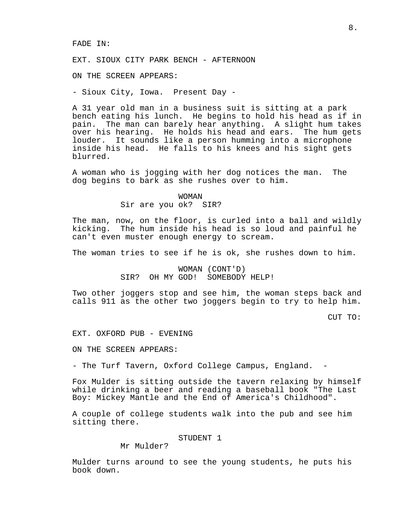#### FADE IN:

EXT. SIOUX CITY PARK BENCH - AFTERNOON

ON THE SCREEN APPEARS:

- Sioux City, Iowa. Present Day -

A 31 year old man in a business suit is sitting at a park bench eating his lunch. He begins to hold his head as if in pain. The man can barely hear anything. A slight hum takes over his hearing. He holds his head and ears. The hum gets louder. It sounds like a person humming into a microphone inside his head. He falls to his knees and his sight gets blurred.

A woman who is jogging with her dog notices the man. The dog begins to bark as she rushes over to him.

#### WOMAN

Sir are you ok? SIR?

The man, now, on the floor, is curled into a ball and wildly kicking. The hum inside his head is so loud and painful he can't even muster enough energy to scream.

The woman tries to see if he is ok, she rushes down to him.

# WOMAN (CONT'D) SIR? OH MY GOD! SOMEBODY HELP!

Two other joggers stop and see him, the woman steps back and calls 911 as the other two joggers begin to try to help him.

CUT TO:

EXT. OXFORD PUB - EVENING

ON THE SCREEN APPEARS:

- The Turf Tavern, Oxford College Campus, England.

Fox Mulder is sitting outside the tavern relaxing by himself while drinking a beer and reading a baseball book "The Last Boy: Mickey Mantle and the End of America's Childhood".

A couple of college students walk into the pub and see him sitting there.

STUDENT 1

Mr Mulder?

Mulder turns around to see the young students, he puts his book down.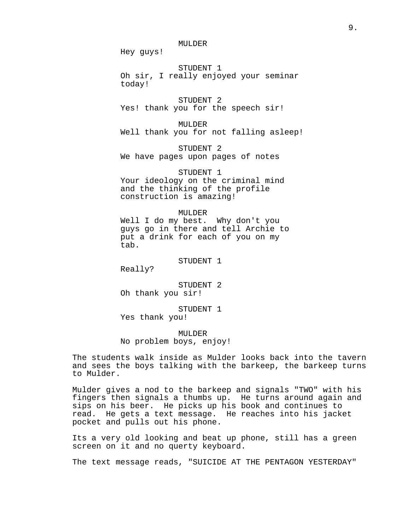MULDER

Hey guys!

STUDENT 1 Oh sir, I really enjoyed your seminar today!

STUDENT 2 Yes! thank you for the speech sir!

MULDER Well thank you for not falling asleep!

STUDENT 2 We have pages upon pages of notes

STUDENT 1 Your ideology on the criminal mind and the thinking of the profile construction is amazing!

MULDER

Well I do my best. Why don't you guys go in there and tell Archie to put a drink for each of you on my tab.

STUDENT 1

Really?

STUDENT<sub>2</sub> Oh thank you sir!

STUDENT 1 Yes thank you!

MULDER No problem boys, enjoy!

The students walk inside as Mulder looks back into the tavern and sees the boys talking with the barkeep, the barkeep turns to Mulder.

Mulder gives a nod to the barkeep and signals "TWO" with his fingers then signals a thumbs up. He turns around again and sips on his beer. He picks up his book and continues to read. He gets a text message. He reaches into his jacket pocket and pulls out his phone.

Its a very old looking and beat up phone, still has a green screen on it and no querty keyboard.

The text message reads, "SUICIDE AT THE PENTAGON YESTERDAY"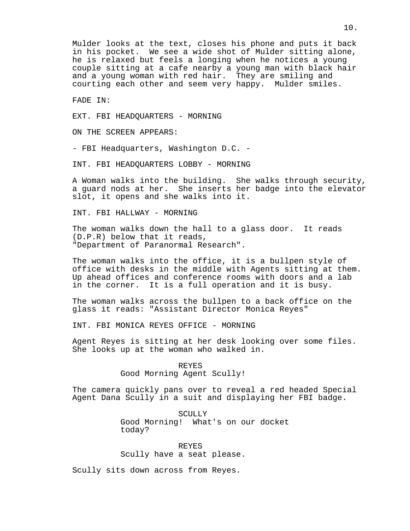Mulder looks at the text, closes his phone and puts it back in his pocket. We see a wide shot of Mulder sitting alone, he is relaxed but feels a longing when he notices a young couple sitting at a cafe nearby a young man with black hair and a young woman with red hair. They are smiling and courting each other and seem very happy. Mulder smiles.

FADE IN:

EXT. FBI HEADQUARTERS - MORNING

ON THE SCREEN APPEARS:

- FBI Headquarters, Washington D.C. -

INT. FBI HEADQUARTERS LOBBY - MORNING

A Woman walks into the building. She walks through security, a guard nods at her. She inserts her badge into the elevator slot, it opens and she walks into it.

INT. FBI HALLWAY - MORNING

The woman walks down the hall to a glass door. It reads (D.P.R) below that it reads, "Department of Paranormal Research".

The woman walks into the office, it is a bullpen style of office with desks in the middle with Agents sitting at them. Up ahead offices and conference rooms with doors and a lab in the corner. It is a full operation and it is busy.

The woman walks across the bullpen to a back office on the glass it reads: "Assistant Director Monica Reyes"

INT. FBI MONICA REYES OFFICE - MORNING

Agent Reyes is sitting at her desk looking over some files. She looks up at the woman who walked in.

> REYES Good Morning Agent Scully!

The camera quickly pans over to reveal a red headed Special Agent Dana Scully in a suit and displaying her FBI badge.

> SCULLY Good Morning! What's on our docket today?

## REYES

Scully have a seat please.

Scully sits down across from Reyes.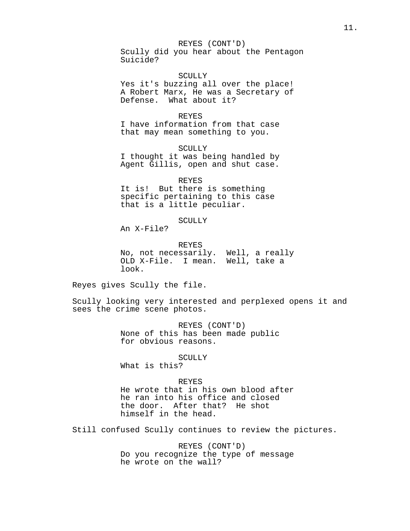# REYES (CONT'D)

Scully did you hear about the Pentagon Suicide?

**SCULLY** 

Yes it's buzzing all over the place! A Robert Marx, He was a Secretary of Defense. What about it?

REYES

I have information from that case that may mean something to you.

SCULLY I thought it was being handled by Agent Gillis, open and shut case.

REYES

It is! But there is something specific pertaining to this case that is a little peculiar.

SCULLY

An X-File?

REYES No, not necessarily. Well, a really OLD X-File. I mean. Well, take a look.

Reyes gives Scully the file.

Scully looking very interested and perplexed opens it and sees the crime scene photos.

> REYES (CONT'D) None of this has been made public for obvious reasons.

> > SCULLY

What is this?

#### REYES

He wrote that in his own blood after he ran into his office and closed the door. After that? He shot himself in the head.

Still confused Scully continues to review the pictures.

REYES (CONT'D) Do you recognize the type of message he wrote on the wall?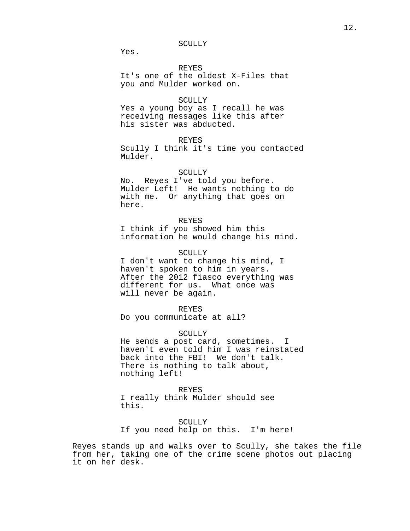#### SCULLY

Yes.

## REYES

It's one of the oldest X-Files that you and Mulder worked on.

# SCULLY

Yes a young boy as I recall he was receiving messages like this after his sister was abducted.

# REYES

Scully I think it's time you contacted Mulder.

# SCULLY

No. Reyes I've told you before. Mulder Left! He wants nothing to do with me. Or anything that goes on here.

## REYES

I think if you showed him this information he would change his mind.

#### SCULLY

I don't want to change his mind, I haven't spoken to him in years. After the 2012 fiasco everything was different for us. What once was will never be again.

#### REYES

Do you communicate at all?

#### SCULLY

He sends a post card, sometimes. I haven't even told him I was reinstated back into the FBI! We don't talk. There is nothing to talk about, nothing left!

#### REYES

I really think Mulder should see this.

## **SCULLY**

If you need help on this. I'm here!

Reyes stands up and walks over to Scully, she takes the file from her, taking one of the crime scene photos out placing it on her desk.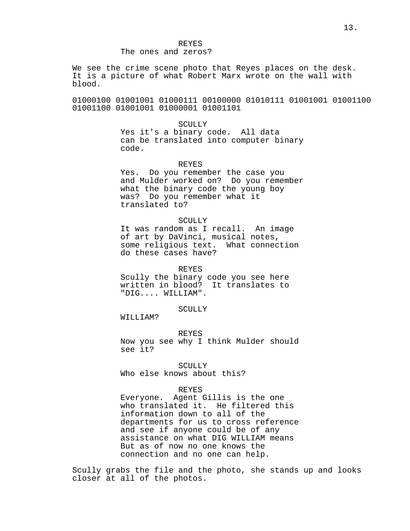# REYES The ones and zeros?

We see the crime scene photo that Reyes places on the desk. It is a picture of what Robert Marx wrote on the wall with blood.

01000100 01001001 01000111 00100000 01010111 01001001 01001100 01001100 01001001 01000001 01001101

> SCULLY Yes it's a binary code. All data can be translated into computer binary code.

## REYES

Yes. Do you remember the case you and Mulder worked on? Do you remember what the binary code the young boy was? Do you remember what it translated to?

## SCULLY

It was random as I recall. An image of art by DaVinci, musical notes, some religious text. What connection do these cases have?

#### REYES

Scully the binary code you see here written in blood? It translates to "DIG.... WILLIAM".

## SCULLY

WILLIAM?

REYES Now you see why I think Mulder should see it?

SCULLY Who else knows about this?

#### REYES

Everyone. Agent Gillis is the one who translated it. He filtered this information down to all of the departments for us to cross reference and see if anyone could be of any assistance on what DIG WILLIAM means But as of now no one knows the connection and no one can help.

Scully grabs the file and the photo, she stands up and looks closer at all of the photos.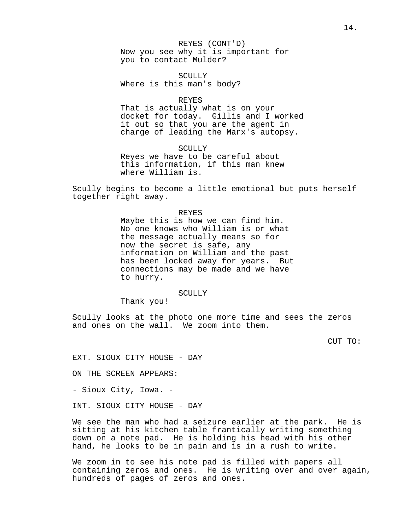REYES (CONT'D) Now you see why it is important for you to contact Mulder?

SCULLY Where is this man's body?

REYES

That is actually what is on your docket for today. Gillis and I worked it out so that you are the agent in charge of leading the Marx's autopsy.

SCULLY Reyes we have to be careful about this information, if this man knew where William is.

Scully begins to become a little emotional but puts herself together right away.

#### REYES

Maybe this is how we can find him. No one knows who William is or what the message actually means so for now the secret is safe, any information on William and the past has been locked away for years. But connections may be made and we have to hurry.

#### SCULLY

Thank you!

Scully looks at the photo one more time and sees the zeros and ones on the wall. We zoom into them.

CUT TO:

EXT. SIOUX CITY HOUSE - DAY

ON THE SCREEN APPEARS:

- Sioux City, Iowa. -

INT. SIOUX CITY HOUSE - DAY

We see the man who had a seizure earlier at the park. He is sitting at his kitchen table frantically writing something down on a note pad. He is holding his head with his other hand, he looks to be in pain and is in a rush to write.

We zoom in to see his note pad is filled with papers all containing zeros and ones. He is writing over and over again, hundreds of pages of zeros and ones.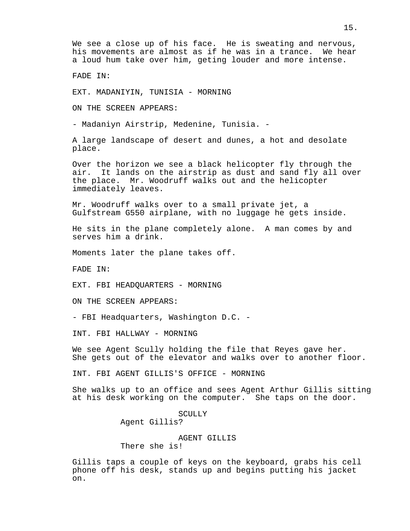We see a close up of his face. He is sweating and nervous, his movements are almost as if he was in a trance. We hear a loud hum take over him, geting louder and more intense.

FADE IN:

EXT. MADANIYIN, TUNISIA - MORNING

ON THE SCREEN APPEARS:

- Madaniyn Airstrip, Medenine, Tunisia. -

A large landscape of desert and dunes, a hot and desolate place.

Over the horizon we see a black helicopter fly through the air. It lands on the airstrip as dust and sand fly all over the place. Mr. Woodruff walks out and the helicopter immediately leaves.

Mr. Woodruff walks over to a small private jet, a Gulfstream G550 airplane, with no luggage he gets inside.

He sits in the plane completely alone. A man comes by and serves him a drink.

Moments later the plane takes off.

FADE IN:

EXT. FBI HEADQUARTERS - MORNING

ON THE SCREEN APPEARS:

- FBI Headquarters, Washington D.C. -

INT. FBI HALLWAY - MORNING

We see Agent Scully holding the file that Reyes gave her. She gets out of the elevator and walks over to another floor.

INT. FBI AGENT GILLIS'S OFFICE - MORNING

She walks up to an office and sees Agent Arthur Gillis sitting at his desk working on the computer. She taps on the door.

# SCULLY

Agent Gillis?

## AGENT GILLIS

There she is!

Gillis taps a couple of keys on the keyboard, grabs his cell phone off his desk, stands up and begins putting his jacket on.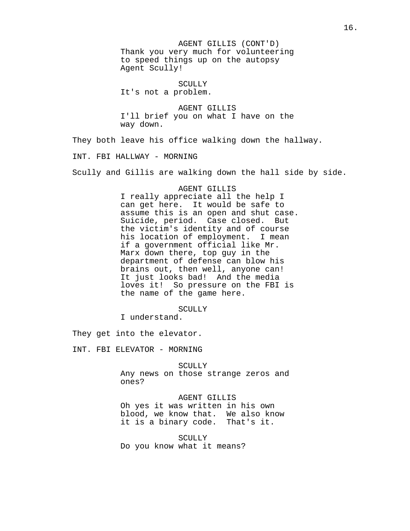AGENT GILLIS (CONT'D) Thank you very much for volunteering to speed things up on the autopsy Agent Scully!

SCULLY It's not a problem.

AGENT GILLIS I'll brief you on what I have on the way down.

They both leave his office walking down the hallway.

INT. FBI HALLWAY - MORNING

Scully and Gillis are walking down the hall side by side.

# AGENT GILLIS

I really appreciate all the help I can get here. It would be safe to assume this is an open and shut case. Suicide, period. Case closed. But the victim's identity and of course his location of employment. I mean if a government official like Mr. Marx down there, top guy in the department of defense can blow his brains out, then well, anyone can! It just looks bad! And the media loves it! So pressure on the FBI is the name of the game here.

SCULLY

I understand.

They get into the elevator.

INT. FBI ELEVATOR - MORNING

SCULLY Any news on those strange zeros and ones?

# AGENT GILLIS

Oh yes it was written in his own blood, we know that. We also know it is a binary code. That's it.

SCULLY Do you know what it means?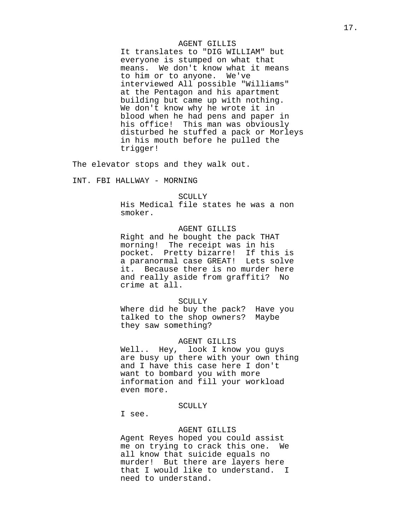## AGENT GILLIS

It translates to "DIG WILLIAM" but everyone is stumped on what that means. We don't know what it means to him or to anyone. We've interviewed All possible "Williams" at the Pentagon and his apartment building but came up with nothing. We don't know why he wrote it in blood when he had pens and paper in his office! This man was obviously disturbed he stuffed a pack or Morleys in his mouth before he pulled the trigger!

The elevator stops and they walk out.

INT. FBI HALLWAY - MORNING

#### SCULLY

His Medical file states he was a non smoker.

# AGENT GILLIS

Right and he bought the pack THAT morning! The receipt was in his pocket. Pretty bizarre! If this is a paranormal case GREAT! Lets solve it. Because there is no murder here and really aside from graffiti? No crime at all.

#### SCULLY

Where did he buy the pack? Have you talked to the shop owners? Maybe they saw something?

#### AGENT GILLIS

Well.. Hey, look I know you guys are busy up there with your own thing and I have this case here I don't want to bombard you with more information and fill your workload even more.

# SCULLY

I see.

#### AGENT GILLIS

Agent Reyes hoped you could assist me on trying to crack this one. We all know that suicide equals no murder! But there are layers here that I would like to understand. I need to understand.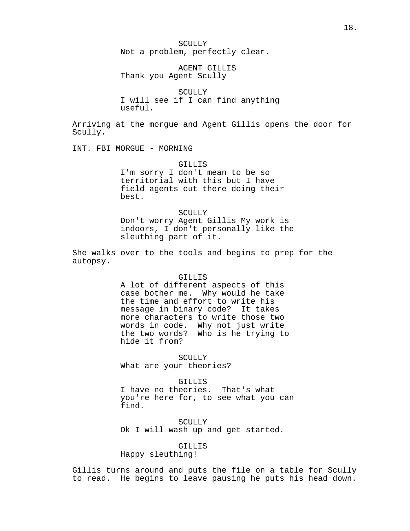SCULLY Not a problem, perfectly clear.

AGENT GILLIS Thank you Agent Scully

SCULLY I will see if I can find anything useful.

Arriving at the morgue and Agent Gillis opens the door for Scully.

INT. FBI MORGUE - MORNING

GILLIS I'm sorry I don't mean to be so territorial with this but I have field agents out there doing their best.

SCULLY Don't worry Agent Gillis My work is indoors, I don't personally like the sleuthing part of it.

She walks over to the tools and begins to prep for the autopsy.

#### GILLIS

A lot of different aspects of this case bother me. Why would he take the time and effort to write his message in binary code? It takes more characters to write those two words in code. Why not just write the two words? Who is he trying to hide it from?

SCULLY What are your theories?

GILLIS<sup>.</sup>

I have no theories. That's what you're here for, to see what you can find.

SCULLY Ok I will wash up and get started.

# GILLIS

Happy sleuthing!

Gillis turns around and puts the file on a table for Scully to read. He begins to leave pausing he puts his head down.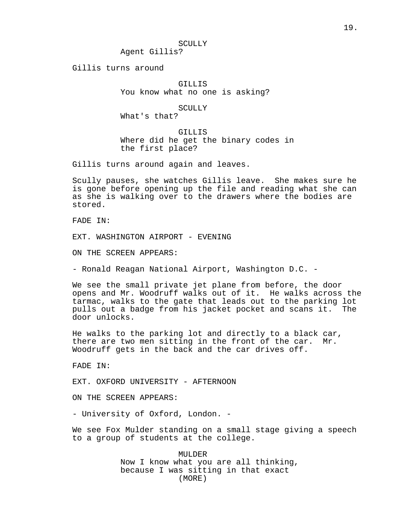## SCULLY

Agent Gillis?

Gillis turns around

GILLIS You know what no one is asking?

SCULLY

What's that?

GILLIS Where did he get the binary codes in the first place?

Gillis turns around again and leaves.

Scully pauses, she watches Gillis leave. She makes sure he is gone before opening up the file and reading what she can as she is walking over to the drawers where the bodies are stored.

FADE IN:

EXT. WASHINGTON AIRPORT - EVENING

ON THE SCREEN APPEARS:

- Ronald Reagan National Airport, Washington D.C. -

We see the small private jet plane from before, the door opens and Mr. Woodruff walks out of it. He walks across the tarmac, walks to the gate that leads out to the parking lot pulls out a badge from his jacket pocket and scans it. The door unlocks.

He walks to the parking lot and directly to a black car, there are two men sitting in the front of the car. Mr. Woodruff gets in the back and the car drives off.

FADE IN:

EXT. OXFORD UNIVERSITY - AFTERNOON

ON THE SCREEN APPEARS:

- University of Oxford, London. -

We see Fox Mulder standing on a small stage giving a speech to a group of students at the college.

> MULDER Now I know what you are all thinking, because I was sitting in that exact (MORE)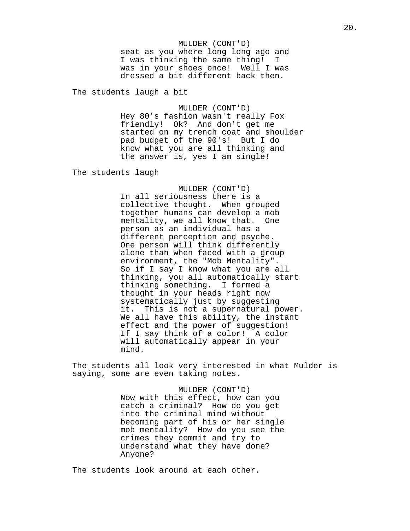# MULDER (CONT'D)

seat as you where long long ago and I was thinking the same thing! I was in your shoes once! Well I was dressed a bit different back then.

The students laugh a bit

MULDER (CONT'D) Hey 80's fashion wasn't really Fox friendly! Ok? And don't get me started on my trench coat and shoulder pad budget of the 90's! But I do know what you are all thinking and the answer is, yes I am single!

The students laugh

MULDER (CONT'D) In all seriousness there is a collective thought. When grouped together humans can develop a mob mentality, we all know that. One person as an individual has a different perception and psyche. One person will think differently alone than when faced with a group environment, the "Mob Mentality". So if I say I know what you are all thinking, you all automatically start thinking something. I formed a thought in your heads right now systematically just by suggesting it. This is not a supernatural power. We all have this ability, the instant effect and the power of suggestion! If I say think of a color! A color will automatically appear in your mind.

The students all look very interested in what Mulder is saying, some are even taking notes.

> MULDER (CONT'D) Now with this effect, how can you catch a criminal? How do you get into the criminal mind without becoming part of his or her single mob mentality? How do you see the crimes they commit and try to understand what they have done? Anyone?

The students look around at each other.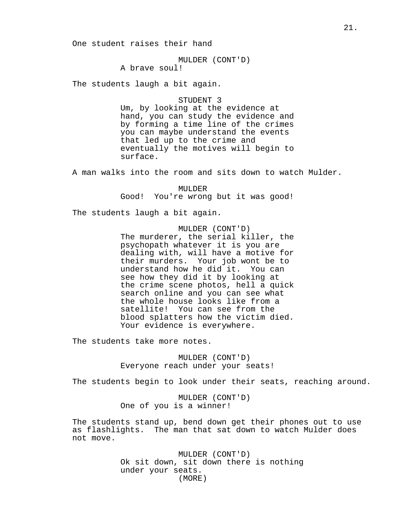One student raises their hand

MULDER (CONT'D) A brave soul!

The students laugh a bit again.

## STUDENT 3

Um, by looking at the evidence at hand, you can study the evidence and by forming a time line of the crimes you can maybe understand the events that led up to the crime and eventually the motives will begin to surface.

A man walks into the room and sits down to watch Mulder.

MULDER Good! You're wrong but it was good!

The students laugh a bit again.

# MULDER (CONT'D) The murderer, the serial killer, the psychopath whatever it is you are dealing with, will have a motive for their murders. Your job wont be to understand how he did it. You can see how they did it by looking at the crime scene photos, hell a quick search online and you can see what the whole house looks like from a satellite! You can see from the blood splatters how the victim died. Your evidence is everywhere.

The students take more notes.

MULDER (CONT'D) Everyone reach under your seats!

The students begin to look under their seats, reaching around.

MULDER (CONT'D) One of you is a winner!

The students stand up, bend down get their phones out to use as flashlights. The man that sat down to watch Mulder does not move.

> MULDER (CONT'D) Ok sit down, sit down there is nothing under your seats. (MORE)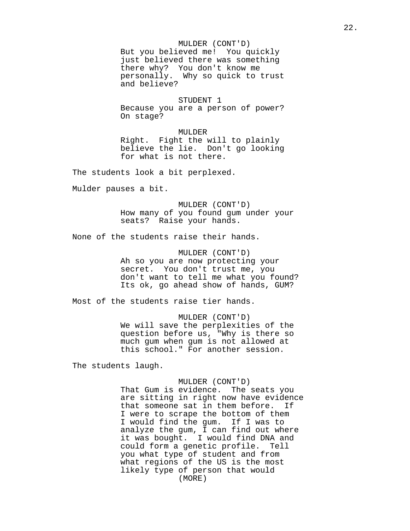## MULDER (CONT'D)

But you believed me! You quickly just believed there was something there why? You don't know me personally. Why so quick to trust and believe?

#### STUDENT 1

Because you are a person of power? On stage?

MULDER

Right. Fight the will to plainly believe the lie. Don't go looking for what is not there.

The students look a bit perplexed.

Mulder pauses a bit.

MULDER (CONT'D) How many of you found gum under your seats? Raise your hands.

None of the students raise their hands.

MULDER (CONT'D) Ah so you are now protecting your secret. You don't trust me, you don't want to tell me what you found? Its ok, go ahead show of hands, GUM?

Most of the students raise tier hands.

MULDER (CONT'D) We will save the perplexities of the question before us, "Why is there so much gum when gum is not allowed at this school." For another session.

The students laugh.

#### MULDER (CONT'D)

That Gum is evidence. The seats you are sitting in right now have evidence that someone sat in them before. If I were to scrape the bottom of them I would find the gum. If I was to analyze the gum, I can find out where it was bought. I would find DNA and could form a genetic profile. Tell you what type of student and from what regions of the US is the most likely type of person that would (MORE)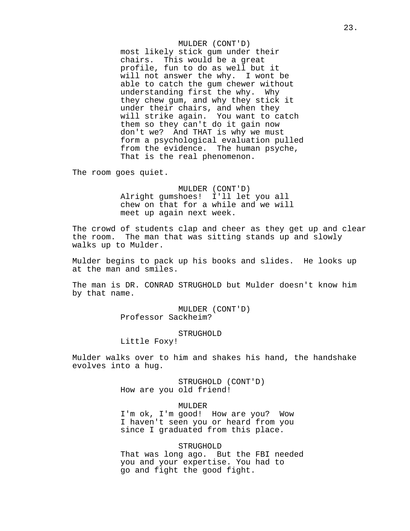MULDER (CONT'D) most likely stick gum under their chairs. This would be a great profile, fun to do as well but it will not answer the why. I wont be able to catch the gum chewer without understanding first the why. Why they chew gum, and why they stick it under their chairs, and when they will strike again. You want to catch them so they can't do it gain now don't we? And THAT is why we must form a psychological evaluation pulled from the evidence. The human psyche, That is the real phenomenon.

The room goes quiet.

MULDER (CONT'D) Alright gumshoes! I'll let you all chew on that for a while and we will meet up again next week.

The crowd of students clap and cheer as they get up and clear the room. The man that was sitting stands up and slowly walks up to Mulder.

Mulder begins to pack up his books and slides. He looks up at the man and smiles.

The man is DR. CONRAD STRUGHOLD but Mulder doesn't know him by that name.

> MULDER (CONT'D) Professor Sackheim?

## STRUGHOLD

Little Foxy!

Mulder walks over to him and shakes his hand, the handshake evolves into a hug.

> STRUGHOLD (CONT'D) How are you old friend!

## MULDER

I'm ok, I'm good! How are you? Wow I haven't seen you or heard from you since I graduated from this place.

## STRUGHOLD

That was long ago. But the FBI needed you and your expertise. You had to go and fight the good fight.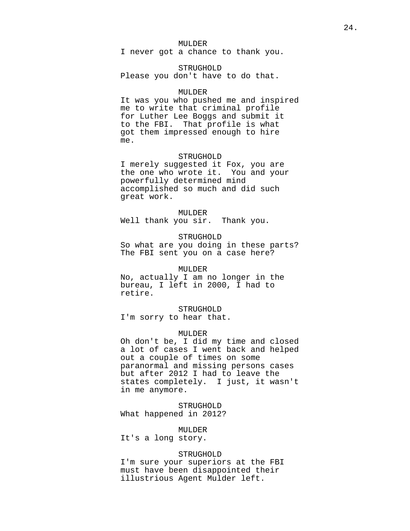MULDER

I never got a chance to thank you.

STRUGHOLD Please you don't have to do that.

### MULDER

It was you who pushed me and inspired me to write that criminal profile for Luther Lee Boggs and submit it to the FBI. That profile is what got them impressed enough to hire me.

#### STRUGHOLD

I merely suggested it Fox, you are the one who wrote it. You and your powerfully determined mind accomplished so much and did such great work.

### MULDER

Well thank you sir. Thank you.

## STRUGHOLD

So what are you doing in these parts? The FBI sent you on a case here?

#### MULDER

No, actually I am no longer in the bureau, I left in 2000, I had to retire.

## STRUGHOLD

I'm sorry to hear that.

#### MULDER

Oh don't be, I did my time and closed a lot of cases I went back and helped out a couple of times on some paranormal and missing persons cases but after 2012 I had to leave the states completely. I just, it wasn't in me anymore.

STRUGHOLD What happened in 2012?

MULDER It's a long story.

#### STRUGHOLD

I'm sure your superiors at the FBI must have been disappointed their illustrious Agent Mulder left.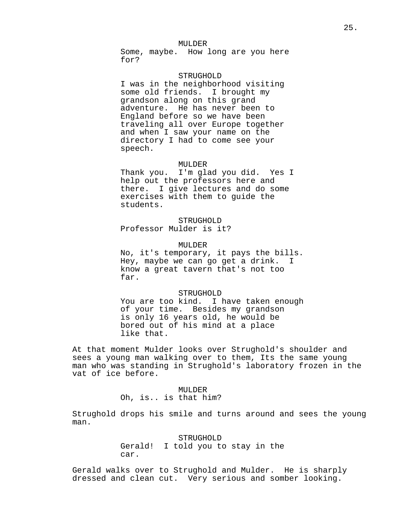Some, maybe. How long are you here for?

## STRUGHOLD

I was in the neighborhood visiting some old friends. I brought my grandson along on this grand adventure. He has never been to England before so we have been traveling all over Europe together and when I saw your name on the directory I had to come see your speech.

#### MULDER

Thank you. I'm glad you did. Yes I help out the professors here and there. I give lectures and do some exercises with them to guide the students.

## STRUGHOLD

Professor Mulder is it?

## MULDER

No, it's temporary, it pays the bills. Hey, maybe we can go get a drink. I know a great tavern that's not too far.

## STRUGHOLD

You are too kind. I have taken enough of your time. Besides my grandson is only 16 years old, he would be bored out of his mind at a place like that.

At that moment Mulder looks over Strughold's shoulder and sees a young man walking over to them, Its the same young man who was standing in Strughold's laboratory frozen in the vat of ice before.

## MULDER

Oh, is.. is that him?

Strughold drops his smile and turns around and sees the young man.

> STRUGHOLD Gerald! I told you to stay in the car.

Gerald walks over to Strughold and Mulder. He is sharply dressed and clean cut. Very serious and somber looking.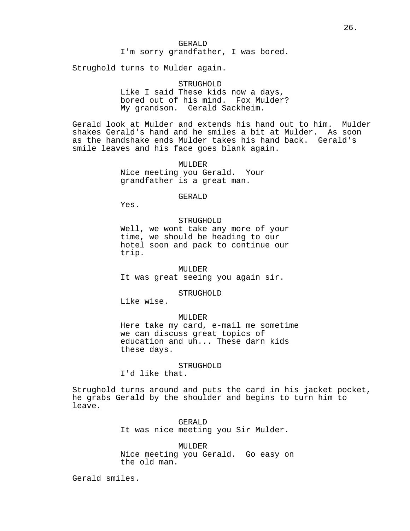# GERALD I'm sorry grandfather, I was bored.

Strughold turns to Mulder again.

#### STRUGHOLD

Like I said These kids now a days, bored out of his mind. Fox Mulder? My grandson. Gerald Sackheim.

Gerald look at Mulder and extends his hand out to him. Mulder shakes Gerald's hand and he smiles a bit at Mulder. As soon as the handshake ends Mulder takes his hand back. Gerald's smile leaves and his face goes blank again.

> MULDER Nice meeting you Gerald. Your grandfather is a great man.

#### GERALD

Yes.

# STRUGHOLD

Well, we wont take any more of your time, we should be heading to our hotel soon and pack to continue our trip.

MULDER It was great seeing you again sir.

# STRUGHOLD

Like wise.

## MULDER

Here take my card, e-mail me sometime we can discuss great topics of education and uh... These darn kids these days.

## STRUGHOLD

I'd like that.

Strughold turns around and puts the card in his jacket pocket, he grabs Gerald by the shoulder and begins to turn him to leave.

> GERALD It was nice meeting you Sir Mulder.

MULDER Nice meeting you Gerald. Go easy on the old man.

Gerald smiles.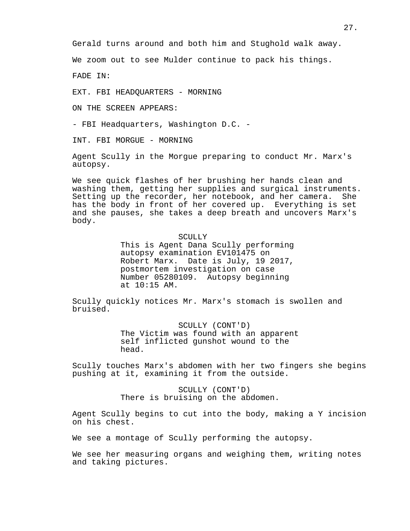Gerald turns around and both him and Stughold walk away.

We zoom out to see Mulder continue to pack his things.

FADE IN:

EXT. FBI HEADQUARTERS - MORNING

ON THE SCREEN APPEARS:

- FBI Headquarters, Washington D.C. -

INT. FBI MORGUE - MORNING

Agent Scully in the Morgue preparing to conduct Mr. Marx's autopsy.

We see quick flashes of her brushing her hands clean and washing them, getting her supplies and surgical instruments. Setting up the recorder, her notebook, and her camera. She has the body in front of her covered up. Everything is set and she pauses, she takes a deep breath and uncovers Marx's body.

> SCULLY This is Agent Dana Scully performing autopsy examination EV101475 on Robert Marx. Date is July, 19 2017, postmortem investigation on case Number 05280109. Autopsy beginning at 10:15 AM.

Scully quickly notices Mr. Marx's stomach is swollen and bruised.

> SCULLY (CONT'D) The Victim was found with an apparent self inflicted gunshot wound to the head.

Scully touches Marx's abdomen with her two fingers she begins pushing at it, examining it from the outside.

> SCULLY (CONT'D) There is bruising on the abdomen.

Agent Scully begins to cut into the body, making a Y incision on his chest.

We see a montage of Scully performing the autopsy.

We see her measuring organs and weighing them, writing notes and taking pictures.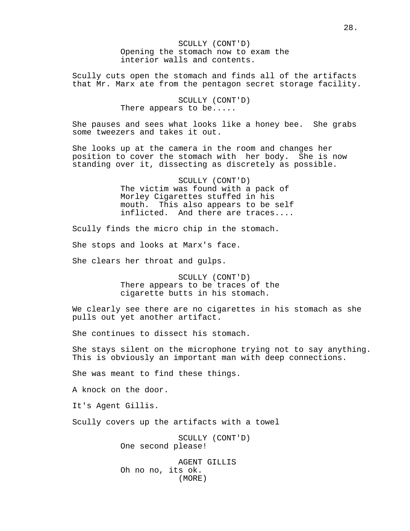SCULLY (CONT'D) Opening the stomach now to exam the interior walls and contents.

Scully cuts open the stomach and finds all of the artifacts that Mr. Marx ate from the pentagon secret storage facility.

> SCULLY (CONT'D) There appears to be.....

She pauses and sees what looks like a honey bee. She grabs some tweezers and takes it out.

She looks up at the camera in the room and changes her position to cover the stomach with her body. She is now standing over it, dissecting as discretely as possible.

> SCULLY (CONT'D) The victim was found with a pack of Morley Cigarettes stuffed in his mouth. This also appears to be self inflicted. And there are traces....

Scully finds the micro chip in the stomach.

She stops and looks at Marx's face.

She clears her throat and gulps.

SCULLY (CONT'D) There appears to be traces of the cigarette butts in his stomach.

We clearly see there are no cigarettes in his stomach as she pulls out yet another artifact.

She continues to dissect his stomach.

She stays silent on the microphone trying not to say anything. This is obviously an important man with deep connections.

She was meant to find these things.

A knock on the door.

It's Agent Gillis.

Scully covers up the artifacts with a towel

SCULLY (CONT'D) One second please!

AGENT GILLIS Oh no no, its ok. (MORE)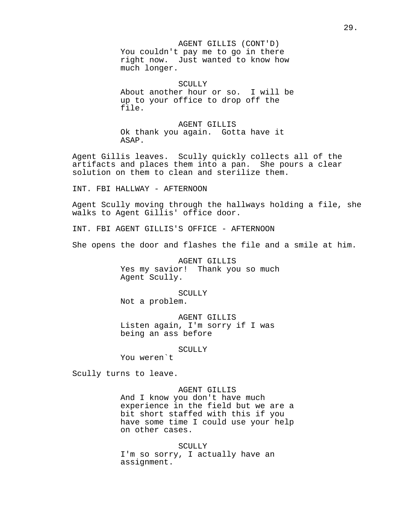AGENT GILLIS (CONT'D) You couldn't pay me to go in there right now. Just wanted to know how much longer.

SCULLY About another hour or so. I will be up to your office to drop off the file.

AGENT GILLIS Ok thank you again. Gotta have it ASAP.

Agent Gillis leaves. Scully quickly collects all of the artifacts and places them into a pan. She pours a clear solution on them to clean and sterilize them.

INT. FBI HALLWAY - AFTERNOON

Agent Scully moving through the hallways holding a file, she walks to Agent Gillis' office door.

INT. FBI AGENT GILLIS'S OFFICE - AFTERNOON

She opens the door and flashes the file and a smile at him.

AGENT GILLIS Yes my savior! Thank you so much Agent Scully.

SCULLY Not a problem.

AGENT GILLIS Listen again, I'm sorry if I was being an ass before

SCULLY

You weren`t

Scully turns to leave.

AGENT GILLIS And I know you don't have much experience in the field but we are a bit short staffed with this if you have some time I could use your help on other cases.

SCULLY I'm so sorry, I actually have an assignment.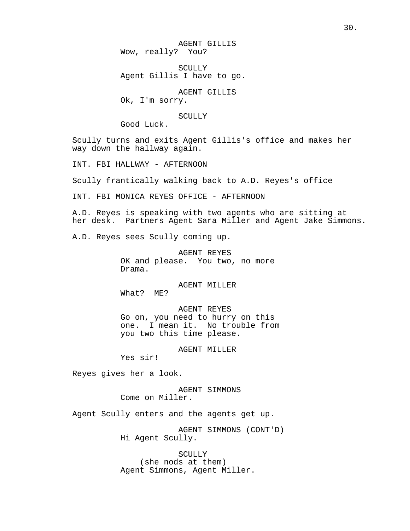SCULLY Agent Gillis I have to go.

AGENT GILLIS Ok, I'm sorry.

# SCULLY

Good Luck.

Scully turns and exits Agent Gillis's office and makes her way down the hallway again.

INT. FBI HALLWAY - AFTERNOON

Scully frantically walking back to A.D. Reyes's office

INT. FBI MONICA REYES OFFICE - AFTERNOON

A.D. Reyes is speaking with two agents who are sitting at her desk. Partners Agent Sara Miller and Agent Jake Simmons.

A.D. Reyes sees Scully coming up.

AGENT REYES OK and please. You two, no more Drama.

AGENT MILLER What? ME?

AGENT REYES Go on, you need to hurry on this one. I mean it. No trouble from you two this time please.

AGENT MILLER

Yes sir!

Reyes gives her a look.

AGENT SIMMONS Come on Miller.

Agent Scully enters and the agents get up.

AGENT SIMMONS (CONT'D) Hi Agent Scully.

SCULLY (she nods at them) Agent Simmons, Agent Miller.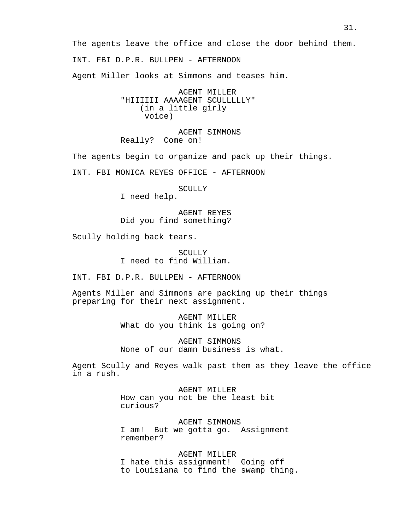The agents leave the office and close the door behind them. INT. FBI D.P.R. BULLPEN - AFTERNOON Agent Miller looks at Simmons and teases him.

> AGENT MILLER "HIIIIII AAAAGENT SCULLLLLY" (in a little girly voice)

AGENT SIMMONS Really? Come on!

The agents begin to organize and pack up their things.

INT. FBI MONICA REYES OFFICE - AFTERNOON

SCULLY

I need help.

AGENT REYES Did you find something?

Scully holding back tears.

SCULLY I need to find William.

INT. FBI D.P.R. BULLPEN - AFTERNOON

Agents Miller and Simmons are packing up their things preparing for their next assignment.

> AGENT MILLER What do you think is going on?

AGENT SIMMONS None of our damn business is what.

Agent Scully and Reyes walk past them as they leave the office in a rush.

> AGENT MILLER How can you not be the least bit curious?

AGENT SIMMONS I am! But we gotta go. Assignment remember?

AGENT MILLER I hate this assignment! Going off to Louisiana to find the swamp thing.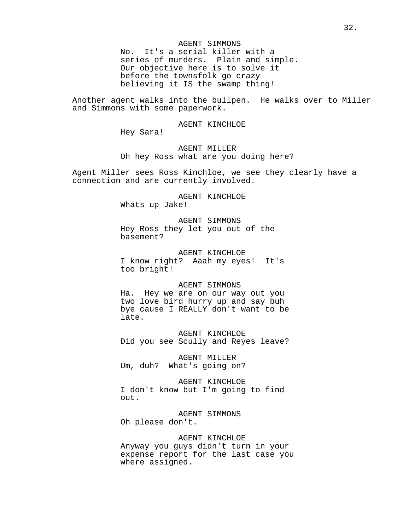#### AGENT SIMMONS

No. It's a serial killer with a series of murders. Plain and simple. Our objective here is to solve it before the townsfolk go crazy believing it IS the swamp thing!

Another agent walks into the bullpen. He walks over to Miller and Simmons with some paperwork.

## AGENT KINCHLOE

Hey Sara!

AGENT MILLER Oh hey Ross what are you doing here?

Agent Miller sees Ross Kinchloe, we see they clearly have a connection and are currently involved.

> AGENT KINCHLOE Whats up Jake!

AGENT SIMMONS Hey Ross they let you out of the basement?

AGENT KINCHLOE I know right? Aaah my eyes! It's too bright!

#### AGENT SIMMONS

Ha. Hey we are on our way out you two love bird hurry up and say buh bye cause I REALLY don't want to be late.

AGENT KINCHLOE Did you see Scully and Reyes leave?

AGENT MILLER Um, duh? What's going on?

AGENT KINCHLOE I don't know but I'm going to find out.

AGENT SIMMONS Oh please don't.

AGENT KINCHLOE Anyway you guys didn't turn in your expense report for the last case you where assigned.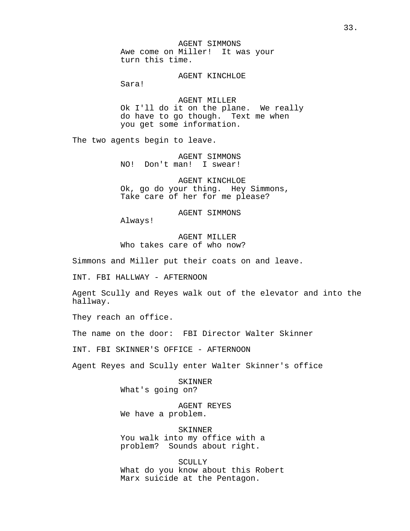AGENT SIMMONS Awe come on Miller! It was your turn this time.

## AGENT KINCHLOE

Sara!

AGENT MILLER Ok I'll do it on the plane. We really do have to go though. Text me when you get some information.

The two agents begin to leave.

AGENT SIMMONS NO! Don't man! I swear!

AGENT KINCHLOE Ok, go do your thing. Hey Simmons, Take care of her for me please?

AGENT SIMMONS

Always!

AGENT MILLER Who takes care of who now?

Simmons and Miller put their coats on and leave.

INT. FBI HALLWAY - AFTERNOON

Agent Scully and Reyes walk out of the elevator and into the hallway.

They reach an office.

The name on the door: FBI Director Walter Skinner

INT. FBI SKINNER'S OFFICE - AFTERNOON

Agent Reyes and Scully enter Walter Skinner's office

SKINNER What's going on?

AGENT REYES We have a problem.

SKINNER You walk into my office with a problem? Sounds about right.

SCULLY What do you know about this Robert Marx suicide at the Pentagon.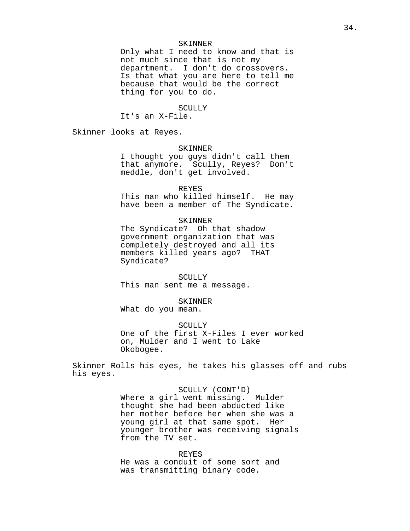### SKINNER

Only what I need to know and that is not much since that is not my department. I don't do crossovers. Is that what you are here to tell me because that would be the correct thing for you to do.

## SCULLY

It's an X-File.

Skinner looks at Reyes.

# SKINNER

I thought you guys didn't call them that anymore. Scully, Reyes? Don't meddle, don't get involved.

REYES

This man who killed himself. He may have been a member of The Syndicate.

## SKINNER

The Syndicate? Oh that shadow government organization that was completely destroyed and all its members killed years ago? THAT Syndicate?

#### SCULLY

This man sent me a message.

SKINNER

What do you mean.

SCULLY One of the first X-Files I ever worked on, Mulder and I went to Lake Okobogee.

Skinner Rolls his eyes, he takes his glasses off and rubs his eyes.

> SCULLY (CONT'D) Where a girl went missing. Mulder thought she had been abducted like her mother before her when she was a young girl at that same spot. Her younger brother was receiving signals from the TV set.

#### REYES

He was a conduit of some sort and was transmitting binary code.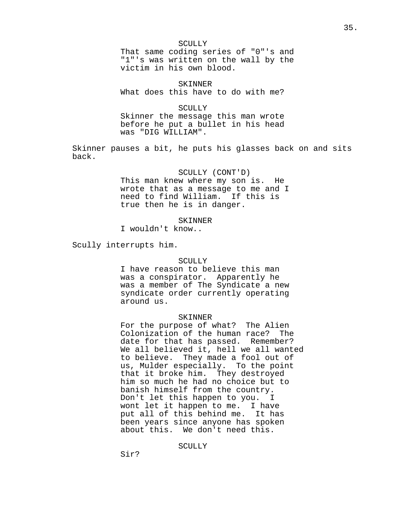#### SCULLY

That same coding series of "0"'s and "1"'s was written on the wall by the victim in his own blood.

SKINNER What does this have to do with me?

SCULLY Skinner the message this man wrote before he put a bullet in his head was "DIG WILLIAM".

Skinner pauses a bit, he puts his glasses back on and sits back.

## SCULLY (CONT'D)

This man knew where my son is. He wrote that as a message to me and I need to find William. If this is true then he is in danger.

#### SKINNER

I wouldn't know..

Scully interrupts him.

## SCULLY

I have reason to believe this man was a conspirator. Apparently he was a member of The Syndicate a new syndicate order currently operating around us.

# SKINNER

For the purpose of what? The Alien Colonization of the human race? The date for that has passed. Remember? We all believed it, hell we all wanted to believe. They made a fool out of us, Mulder especially. To the point that it broke him. They destroyed him so much he had no choice but to banish himself from the country. Don't let this happen to you. I wont let it happen to me. I have put all of this behind me. It has been years since anyone has spoken about this. We don't need this.

SCULLY

Sir?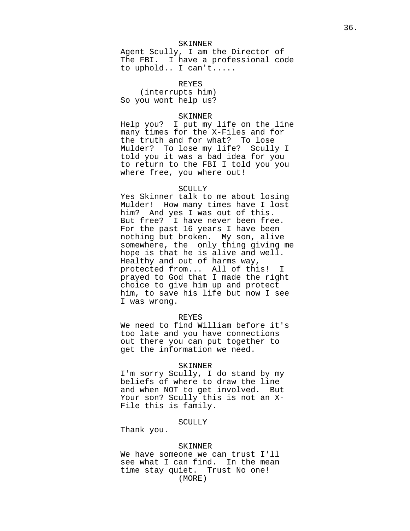#### SKINNER

Agent Scully, I am the Director of The FBI. I have a professional code to uphold.. I can't.....

REYES

(interrupts him) So you wont help us?

# SKINNER

Help you? I put my life on the line many times for the X-Files and for the truth and for what? To lose Mulder? To lose my life? Scully I told you it was a bad idea for you to return to the FBI I told you you where free, you where out!

#### SCULLY

Yes Skinner talk to me about losing Mulder! How many times have I lost him? And yes I was out of this. But free? I have never been free. For the past 16 years I have been nothing but broken. My son, alive somewhere, the only thing giving me hope is that he is alive and well. Healthy and out of harms way, protected from... All of this! I prayed to God that I made the right choice to give him up and protect him, to save his life but now I see I was wrong.

## REYES

We need to find William before it's too late and you have connections out there you can put together to get the information we need.

#### SKINNER

I'm sorry Scully, I do stand by my beliefs of where to draw the line and when NOT to get involved. But Your son? Scully this is not an X-File this is family.

# SCULLY

Thank you.

## SKINNER

We have someone we can trust I'll see what I can find. In the mean time stay quiet. Trust No one! (MORE)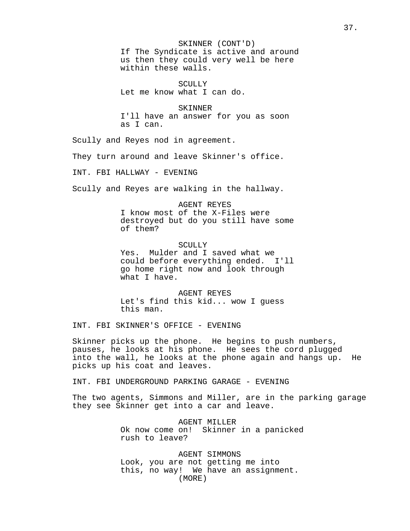# SKINNER (CONT'D) If The Syndicate is active and around us then they could very well be here within these walls.

SCULLY<sub>3</sub> Let me know what I can do.

SKINNER I'll have an answer for you as soon as I can.

Scully and Reyes nod in agreement.

They turn around and leave Skinner's office.

INT. FBI HALLWAY - EVENING

Scully and Reyes are walking in the hallway.

#### AGENT REYES

I know most of the X-Files were destroyed but do you still have some of them?

SCULLY<sub>3</sub>

Yes. Mulder and I saved what we could before everything ended. I'll go home right now and look through what I have.

AGENT REYES Let's find this kid... wow I guess this man.

INT. FBI SKINNER'S OFFICE - EVENING

Skinner picks up the phone. He begins to push numbers, pauses, he looks at his phone. He sees the cord plugged into the wall, he looks at the phone again and hangs up. He picks up his coat and leaves.

INT. FBI UNDERGROUND PARKING GARAGE - EVENING

The two agents, Simmons and Miller, are in the parking garage they see Skinner get into a car and leave.

> AGENT MILLER Ok now come on! Skinner in a panicked rush to leave?

AGENT SIMMONS Look, you are not getting me into this, no way! We have an assignment. (MORE)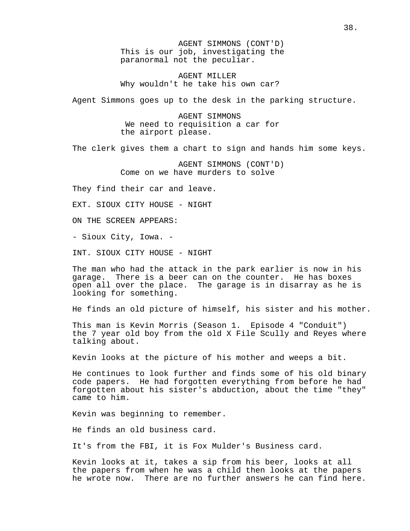AGENT SIMMONS (CONT'D) This is our job, investigating the paranormal not the peculiar.

AGENT MILLER Why wouldn't he take his own car?

Agent Simmons goes up to the desk in the parking structure.

AGENT SIMMONS We need to requisition a car for the airport please.

The clerk gives them a chart to sign and hands him some keys.

AGENT SIMMONS (CONT'D) Come on we have murders to solve

They find their car and leave.

EXT. SIOUX CITY HOUSE - NIGHT

ON THE SCREEN APPEARS:

- Sioux City, Iowa. -

INT. SIOUX CITY HOUSE - NIGHT

The man who had the attack in the park earlier is now in his garage. There is a beer can on the counter. He has boxes open all over the place. The garage is in disarray as he is looking for something.

He finds an old picture of himself, his sister and his mother.

This man is Kevin Morris (Season 1. Episode 4 "Conduit") the 7 year old boy from the old X File Scully and Reyes where talking about.

Kevin looks at the picture of his mother and weeps a bit.

He continues to look further and finds some of his old binary code papers. He had forgotten everything from before he had forgotten about his sister's abduction, about the time "they" came to him.

Kevin was beginning to remember.

He finds an old business card.

It's from the FBI, it is Fox Mulder's Business card.

Kevin looks at it, takes a sip from his beer, looks at all the papers from when he was a child then looks at the papers he wrote now. There are no further answers he can find here.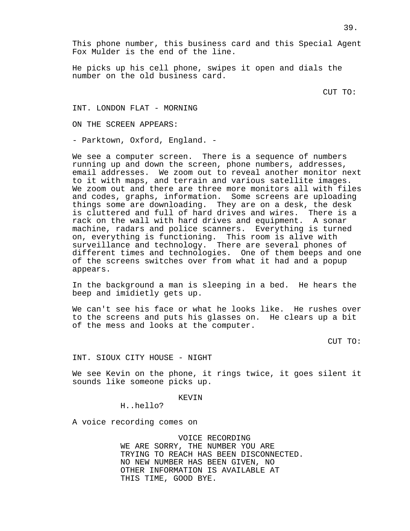This phone number, this business card and this Special Agent Fox Mulder is the end of the line.

He picks up his cell phone, swipes it open and dials the number on the old business card.

CUT TO:

INT. LONDON FLAT - MORNING

ON THE SCREEN APPEARS:

- Parktown, Oxford, England. -

We see a computer screen. There is a sequence of numbers running up and down the screen, phone numbers, addresses, email addresses. We zoom out to reveal another monitor next to it with maps, and terrain and various satellite images. We zoom out and there are three more monitors all with files and codes, graphs, information. Some screens are uploading things some are downloading. They are on a desk, the desk is cluttered and full of hard drives and wires. There is a rack on the wall with hard drives and equipment. A sonar machine, radars and police scanners. Everything is turned on, everything is functioning. This room is alive with surveillance and technology. There are several phones of different times and technologies. One of them beeps and one of the screens switches over from what it had and a popup appears.

In the background a man is sleeping in a bed. He hears the beep and imidietly gets up.

We can't see his face or what he looks like. He rushes over to the screens and puts his glasses on. He clears up a bit of the mess and looks at the computer.

CUT TO:

INT. SIOUX CITY HOUSE - NIGHT

We see Kevin on the phone, it rings twice, it goes silent it sounds like someone picks up.

KEVIN

H..hello?

A voice recording comes on

VOICE RECORDING WE ARE SORRY, THE NUMBER YOU ARE TRYING TO REACH HAS BEEN DISCONNECTED. NO NEW NUMBER HAS BEEN GIVEN, NO OTHER INFORMATION IS AVAILABLE AT THIS TIME, GOOD BYE.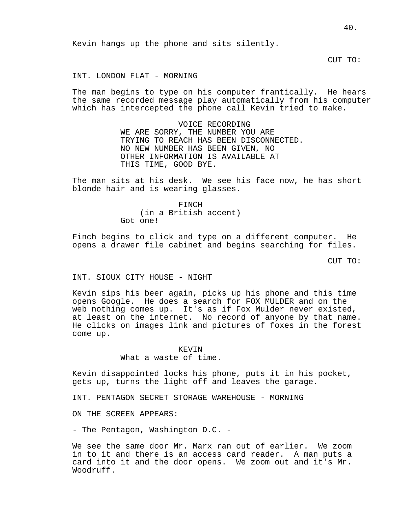Kevin hangs up the phone and sits silently.

CUT TO:

## INT. LONDON FLAT - MORNING

The man begins to type on his computer frantically. He hears the same recorded message play automatically from his computer which has intercepted the phone call Kevin tried to make.

> VOICE RECORDING WE ARE SORRY, THE NUMBER YOU ARE TRYING TO REACH HAS BEEN DISCONNECTED. NO NEW NUMBER HAS BEEN GIVEN, NO OTHER INFORMATION IS AVAILABLE AT THIS TIME, GOOD BYE.

The man sits at his desk. We see his face now, he has short blonde hair and is wearing glasses.

> FINCH (in a British accent) Got one!

Finch begins to click and type on a different computer. He opens a drawer file cabinet and begins searching for files.

CUT TO:

## INT. SIOUX CITY HOUSE - NIGHT

Kevin sips his beer again, picks up his phone and this time opens Google. He does a search for FOX MULDER and on the web nothing comes up. It's as if Fox Mulder never existed, at least on the internet. No record of anyone by that name. He clicks on images link and pictures of foxes in the forest come up.

## KEVIN

What a waste of time.

Kevin disappointed locks his phone, puts it in his pocket, gets up, turns the light off and leaves the garage.

INT. PENTAGON SECRET STORAGE WAREHOUSE - MORNING

ON THE SCREEN APPEARS:

- The Pentagon, Washington D.C. -

We see the same door Mr. Marx ran out of earlier. We zoom in to it and there is an access card reader. A man puts a card into it and the door opens. We zoom out and it's Mr. Woodruff.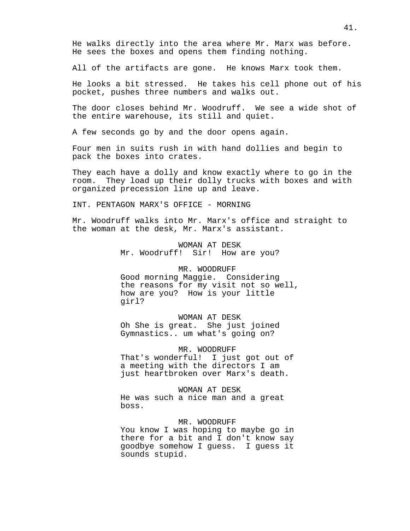He walks directly into the area where Mr. Marx was before. He sees the boxes and opens them finding nothing.

All of the artifacts are gone. He knows Marx took them.

He looks a bit stressed. He takes his cell phone out of his pocket, pushes three numbers and walks out.

The door closes behind Mr. Woodruff. We see a wide shot of the entire warehouse, its still and quiet.

A few seconds go by and the door opens again.

Four men in suits rush in with hand dollies and begin to pack the boxes into crates.

They each have a dolly and know exactly where to go in the room. They load up their dolly trucks with boxes and with organized precession line up and leave.

INT. PENTAGON MARX'S OFFICE - MORNING

Mr. Woodruff walks into Mr. Marx's office and straight to the woman at the desk, Mr. Marx's assistant.

> WOMAN AT DESK Mr. Woodruff! Sir! How are you?

## MR. WOODRUFF

Good morning Maggie. Considering the reasons for my visit not so well, how are you? How is your little girl?

WOMAN AT DESK Oh She is great. She just joined Gymnastics.. um what's going on?

MR. WOODRUFF

That's wonderful! I just got out of a meeting with the directors I am just heartbroken over Marx's death.

WOMAN AT DESK He was such a nice man and a great boss.

MR. WOODRUFF

You know I was hoping to maybe go in there for a bit and I don't know say goodbye somehow I guess. I guess it sounds stupid.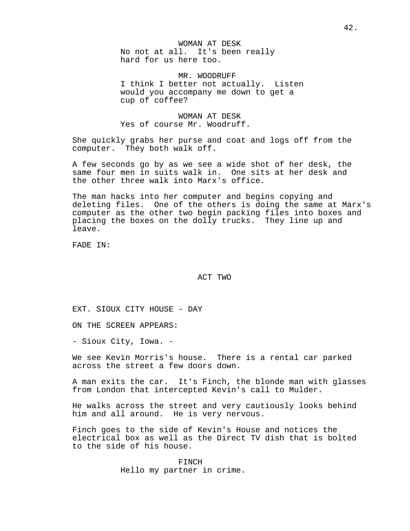WOMAN AT DESK No not at all. It's been really hard for us here too.

MR. WOODRUFF I think I better not actually. Listen would you accompany me down to get a cup of coffee?

WOMAN AT DESK Yes of course Mr. Woodruff.

She quickly grabs her purse and coat and logs off from the computer. They both walk off.

A few seconds go by as we see a wide shot of her desk, the same four men in suits walk in. One sits at her desk and the other three walk into Marx's office.

The man hacks into her computer and begins copying and deleting files. One of the others is doing the same at Marx's computer as the other two begin packing files into boxes and placing the boxes on the dolly trucks. They line up and leave.

FADE IN:

## ACT TWO

EXT. SIOUX CITY HOUSE - DAY

ON THE SCREEN APPEARS:

- Sioux City, Iowa. -

We see Kevin Morris's house. There is a rental car parked across the street a few doors down.

A man exits the car. It's Finch, the blonde man with glasses from London that intercepted Kevin's call to Mulder.

He walks across the street and very cautiously looks behind him and all around. He is very nervous.

Finch goes to the side of Kevin's House and notices the electrical box as well as the Direct TV dish that is bolted to the side of his house.

> FINCH Hello my partner in crime.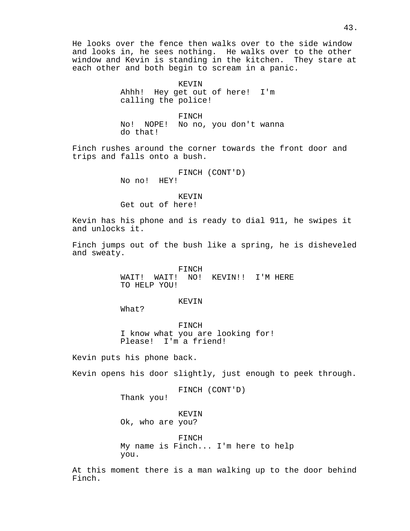He looks over the fence then walks over to the side window and looks in, he sees nothing. He walks over to the other window and Kevin is standing in the kitchen. They stare at each other and both begin to scream in a panic.

> KEVIN Ahhh! Hey get out of here! I'm calling the police!

FINCH No! NOPE! No no, you don't wanna do that!

Finch rushes around the corner towards the front door and trips and falls onto a bush.

> FINCH (CONT'D) No no! HEY!

> > KEVIN

Get out of here!

Kevin has his phone and is ready to dial 911, he swipes it and unlocks it.

Finch jumps out of the bush like a spring, he is disheveled and sweaty.

> FINCH WAIT! WAIT! NO! KEVIN!! I'M HERE TO HELP YOU!

# KEVIN

What?

FINCH I know what you are looking for! Please! I'm a friend!

Kevin puts his phone back.

Kevin opens his door slightly, just enough to peek through.

FINCH (CONT'D)

Thank you!

KEVIN Ok, who are you?

FINCH My name is Finch... I'm here to help you.

At this moment there is a man walking up to the door behind Finch.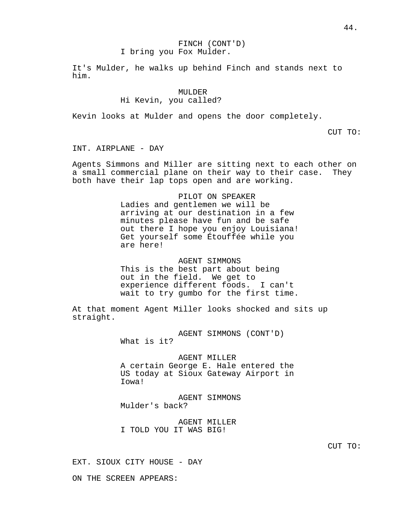It's Mulder, he walks up behind Finch and stands next to him.

# MULDER Hi Kevin, you called?

Kevin looks at Mulder and opens the door completely.

CUT TO:

INT. AIRPLANE - DAY

Agents Simmons and Miller are sitting next to each other on a small commercial plane on their way to their case. They both have their lap tops open and are working.

## PILOT ON SPEAKER

Ladies and gentlemen we will be arriving at our destination in a few minutes please have fun and be safe out there I hope you enjoy Louisiana! Get yourself some Étouffée while you are here!

AGENT SIMMONS This is the best part about being out in the field. We get to experience different foods. I can't wait to try gumbo for the first time.

At that moment Agent Miller looks shocked and sits up straight.

> AGENT SIMMONS (CONT'D) What is it?

AGENT MILLER A certain George E. Hale entered the US today at Sioux Gateway Airport in Iowa!

AGENT SIMMONS Mulder's back?

AGENT MILLER I TOLD YOU IT WAS BIG!

CUT TO:

EXT. SIOUX CITY HOUSE - DAY

ON THE SCREEN APPEARS: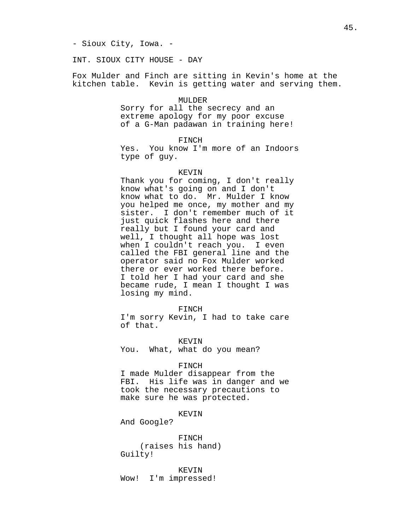INT. SIOUX CITY HOUSE - DAY

Fox Mulder and Finch are sitting in Kevin's home at the kitchen table. Kevin is getting water and serving them.

MULDER

Sorry for all the secrecy and an extreme apology for my poor excuse of a G-Man padawan in training here!

# FINCH

Yes. You know I'm more of an Indoors type of guy.

## KEVIN

Thank you for coming, I don't really know what's going on and I don't know what to do. Mr. Mulder I know you helped me once, my mother and my sister. I don't remember much of it just quick flashes here and there really but I found your card and well, I thought all hope was lost when I couldn't reach you. I even called the FBI general line and the operator said no Fox Mulder worked there or ever worked there before. I told her I had your card and she became rude, I mean I thought I was losing my mind.

#### FINCH

I'm sorry Kevin, I had to take care of that.

KEVIN You. What, what do you mean?

#### FINCH

I made Mulder disappear from the FBI. His life was in danger and we took the necessary precautions to make sure he was protected.

## KEVIN

And Google?

FINCH (raises his hand) Guilty!

KEVIN Wow! I'm impressed!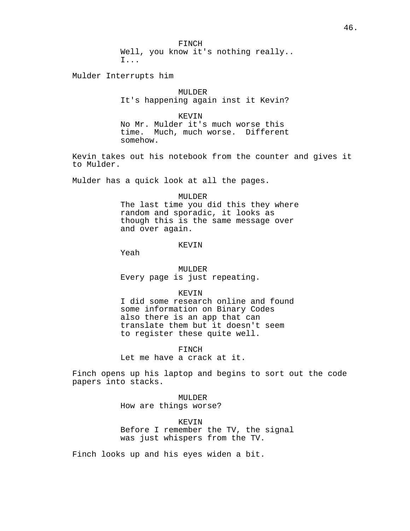Mulder Interrupts him

MULDER It's happening again inst it Kevin?

KEVIN No Mr. Mulder it's much worse this time. Much, much worse. Different somehow.

Kevin takes out his notebook from the counter and gives it to Mulder.

Mulder has a quick look at all the pages.

#### MULDER

The last time you did this they where random and sporadic, it looks as though this is the same message over and over again.

# KEVIN

Yeah

# MULDER Every page is just repeating.

# KEVIN

I did some research online and found some information on Binary Codes also there is an app that can translate them but it doesn't seem to register these quite well.

FINCH Let me have a crack at it.

Finch opens up his laptop and begins to sort out the code papers into stacks.

> MULDER How are things worse?

KEVIN Before I remember the TV, the signal was just whispers from the TV.

Finch looks up and his eyes widen a bit.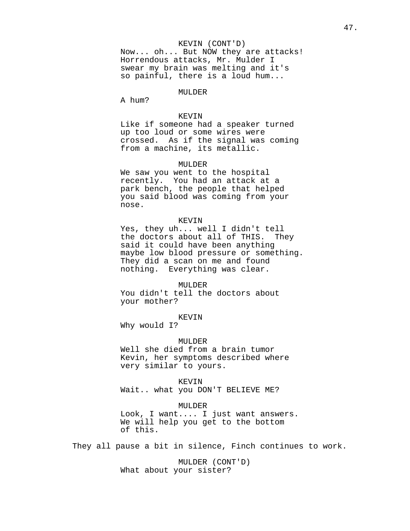# KEVIN (CONT'D)

Now... oh... But NOW they are attacks! Horrendous attacks, Mr. Mulder I swear my brain was melting and it's so painful, there is a loud hum...

# MULDER

A hum?

# KEVIN

Like if someone had a speaker turned up too loud or some wires were crossed. As if the signal was coming from a machine, its metallic.

## MULDER

We saw you went to the hospital recently. You had an attack at a park bench, the people that helped you said blood was coming from your nose.

## KEVIN

Yes, they uh... well I didn't tell the doctors about all of THIS. They said it could have been anything maybe low blood pressure or something. They did a scan on me and found nothing. Everything was clear.

#### MULDER

You didn't tell the doctors about your mother?

# KEVIN

Why would I?

## MULDER

Well she died from a brain tumor Kevin, her symptoms described where very similar to yours.

KEVIN Wait.. what you DON'T BELIEVE ME?

#### MULDER

Look, I want.... I just want answers. We will help you get to the bottom of this.

They all pause a bit in silence, Finch continues to work.

MULDER (CONT'D) What about your sister?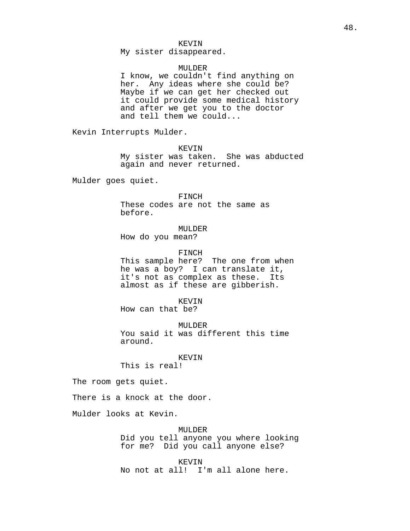KEVIN My sister disappeared.

## MULDER

I know, we couldn't find anything on her. Any ideas where she could be? Maybe if we can get her checked out it could provide some medical history and after we get you to the doctor and tell them we could...

Kevin Interrupts Mulder.

KEVIN

My sister was taken. She was abducted again and never returned.

Mulder goes quiet.

FINCH These codes are not the same as before.

MULDER How do you mean?

FINCH

This sample here? The one from when he was a boy? I can translate it, it's not as complex as these. Its almost as if these are gibberish.

KEVIN How can that be?

MULDER You said it was different this time around.

# KEVIN

This is real!

The room gets quiet.

There is a knock at the door.

Mulder looks at Kevin.

MULDER Did you tell anyone you where looking for me? Did you call anyone else?

KEVIN No not at all! I'm all alone here.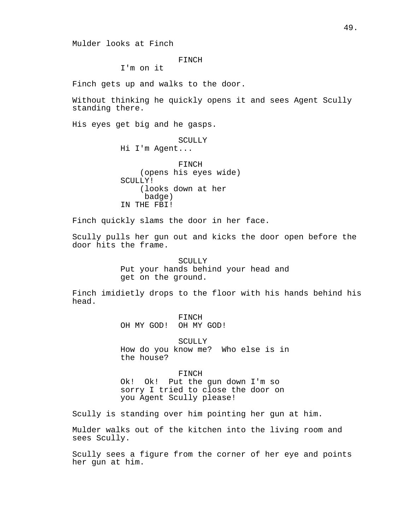Mulder looks at Finch

FINCH

I'm on it

Finch gets up and walks to the door.

Without thinking he quickly opens it and sees Agent Scully standing there.

His eyes get big and he gasps.

SCULLY Hi I'm Agent...

FINCH (opens his eyes wide) SCULLY! (looks down at her badge) IN THE FBI!

Finch quickly slams the door in her face.

Scully pulls her gun out and kicks the door open before the door hits the frame.

> SCULLY Put your hands behind your head and get on the ground.

Finch imidietly drops to the floor with his hands behind his head.

> FINCH OH MY GOD! OH MY GOD!

SCULLY How do you know me? Who else is in the house?

FINCH Ok! Ok! Put the gun down I'm so sorry I tried to close the door on you Agent Scully please!

Scully is standing over him pointing her gun at him.

Mulder walks out of the kitchen into the living room and sees Scully.

Scully sees a figure from the corner of her eye and points her gun at him.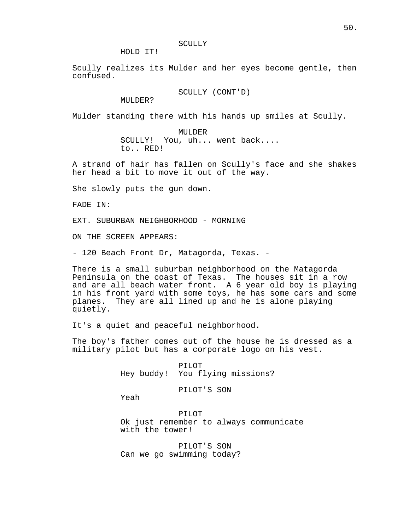SCULLY

HOLD IT!

Scully realizes its Mulder and her eyes become gentle, then confused.

SCULLY (CONT'D)

MULDER?

Mulder standing there with his hands up smiles at Scully.

MULDER SCULLY! You, uh... went back.... to.. RED!

A strand of hair has fallen on Scully's face and she shakes her head a bit to move it out of the way.

She slowly puts the gun down.

FADE IN:

EXT. SUBURBAN NEIGHBORHOOD - MORNING

ON THE SCREEN APPEARS:

- 120 Beach Front Dr, Matagorda, Texas. -

There is a small suburban neighborhood on the Matagorda Peninsula on the coast of Texas. The houses sit in a row and are all beach water front. A 6 year old boy is playing in his front yard with some toys, he has some cars and some planes. They are all lined up and he is alone playing quietly.

It's a quiet and peaceful neighborhood.

The boy's father comes out of the house he is dressed as a military pilot but has a corporate logo on his vest.

> PILOT Hey buddy! You flying missions?

> > PILOT'S SON

Yeah

PILOT Ok just remember to always communicate with the tower!

PILOT'S SON Can we go swimming today?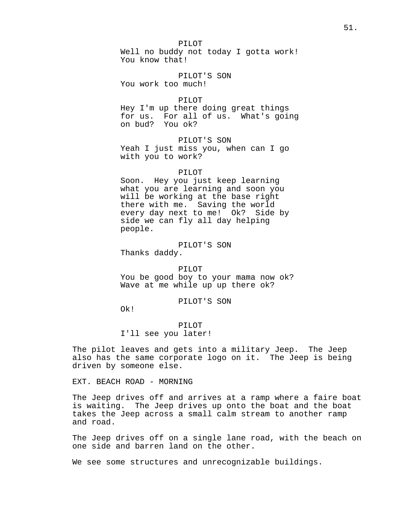PILOT Well no buddy not today I gotta work! You know that!

PILOT'S SON You work too much!

PILOT Hey I'm up there doing great things for us. For all of us. What's going on bud? You ok?

PILOT'S SON Yeah I just miss you, when can I go with you to work?

PILOT

Soon. Hey you just keep learning what you are learning and soon you will be working at the base right there with me. Saving the world every day next to me! Ok? Side by side we can fly all day helping people.

PILOT'S SON Thanks daddy.

PILOT You be good boy to your mama now ok? Wave at me while up up there ok?

PILOT'S SON

Ok!

PILOT I'll see you later!

The pilot leaves and gets into a military Jeep. The Jeep also has the same corporate logo on it. The Jeep is being driven by someone else.

EXT. BEACH ROAD - MORNING

The Jeep drives off and arrives at a ramp where a faire boat is waiting. The Jeep drives up onto the boat and the boat takes the Jeep across a small calm stream to another ramp and road.

The Jeep drives off on a single lane road, with the beach on one side and barren land on the other.

We see some structures and unrecognizable buildings.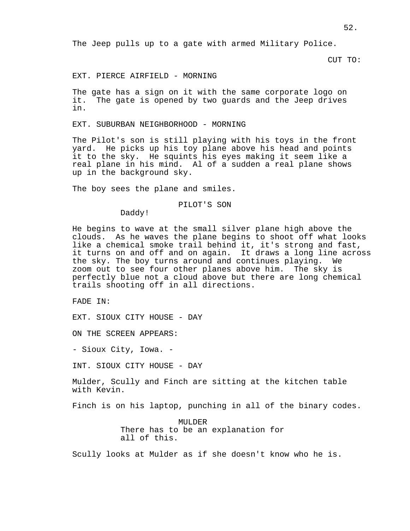The Jeep pulls up to a gate with armed Military Police.

CUT TO:

#### EXT. PIERCE AIRFIELD - MORNING

The gate has a sign on it with the same corporate logo on it. The gate is opened by two guards and the Jeep drives in.

EXT. SUBURBAN NEIGHBORHOOD - MORNING

The Pilot's son is still playing with his toys in the front yard. He picks up his toy plane above his head and points it to the sky. He squints his eyes making it seem like a real plane in his mind. Al of a sudden a real plane shows up in the background sky.

The boy sees the plane and smiles.

# PILOT'S SON

Daddy!

He begins to wave at the small silver plane high above the clouds. As he waves the plane begins to shoot off what looks like a chemical smoke trail behind it, it's strong and fast, it turns on and off and on again. It draws a long line across the sky. The boy turns around and continues playing. We zoom out to see four other planes above him. The sky is perfectly blue not a cloud above but there are long chemical trails shooting off in all directions.

FADE IN:

EXT. SIOUX CITY HOUSE - DAY

ON THE SCREEN APPEARS:

- Sioux City, Iowa. -

INT. SIOUX CITY HOUSE - DAY

Mulder, Scully and Finch are sitting at the kitchen table with Kevin.

Finch is on his laptop, punching in all of the binary codes.

MULDER There has to be an explanation for all of this.

Scully looks at Mulder as if she doesn't know who he is.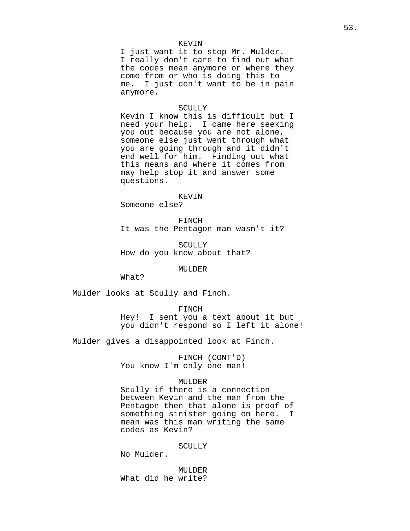#### KEVIN

I just want it to stop Mr. Mulder. I really don't care to find out what the codes mean anymore or where they come from or who is doing this to me. I just don't want to be in pain anymore.

## SCULLY

Kevin I know this is difficult but I need your help. I came here seeking you out because you are not alone, someone else just went through what you are going through and it didn't end well for him. Finding out what this means and where it comes from may help stop it and answer some questions.

#### KEVIN

Someone else?

FINCH It was the Pentagon man wasn't it?

SCULLY How do you know about that?

# MULDER

What?

Mulder looks at Scully and Finch.

#### FINCH

Hey! I sent you a text about it but you didn't respond so I left it alone!

Mulder gives a disappointed look at Finch.

FINCH (CONT'D) You know I'm only one man!

#### MULDER

Scully if there is a connection between Kevin and the man from the Pentagon then that alone is proof of something sinister going on here. I mean was this man writing the same codes as Kevin?

# SCULLY

No Mulder.

MULDER What did he write?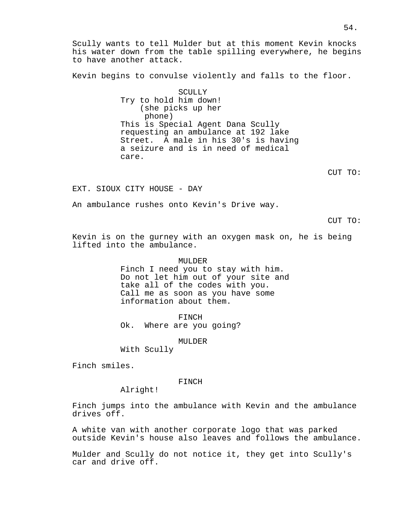Kevin begins to convulse violently and falls to the floor.

SCULLY Try to hold him down! (she picks up her phone) This is Special Agent Dana Scully requesting an ambulance at 192 lake Street. A male in his 30's is having a seizure and is in need of medical care.

CUT TO:

EXT. SIOUX CITY HOUSE - DAY

An ambulance rushes onto Kevin's Drive way.

CUT TO:

Kevin is on the gurney with an oxygen mask on, he is being lifted into the ambulance.

> MULDER Finch I need you to stay with him. Do not let him out of your site and take all of the codes with you. Call me as soon as you have some information about them.

FINCH Ok. Where are you going?

MULDER

With Scully

Finch smiles.

#### FINCH

Alright!

Finch jumps into the ambulance with Kevin and the ambulance drives off.

A white van with another corporate logo that was parked outside Kevin's house also leaves and follows the ambulance.

Mulder and Scully do not notice it, they get into Scully's car and drive off.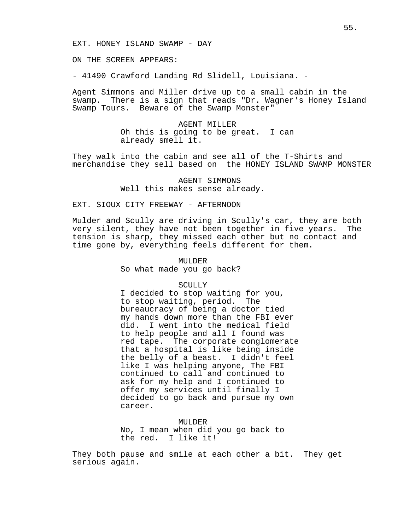ON THE SCREEN APPEARS:

- 41490 Crawford Landing Rd Slidell, Louisiana. -

Agent Simmons and Miller drive up to a small cabin in the swamp. There is a sign that reads "Dr. Wagner's Honey Island Swamp Tours. Beware of the Swamp Monster"

> AGENT MILLER Oh this is going to be great. I can already smell it.

They walk into the cabin and see all of the T-Shirts and merchandise they sell based on the HONEY ISLAND SWAMP MONSTER

> AGENT SIMMONS Well this makes sense already.

# EXT. SIOUX CITY FREEWAY - AFTERNOON

Mulder and Scully are driving in Scully's car, they are both very silent, they have not been together in five years. The tension is sharp, they missed each other but no contact and time gone by, everything feels different for them.

# MULDER So what made you go back?

## SCULLY

I decided to stop waiting for you, to stop waiting, period. The bureaucracy of being a doctor tied my hands down more than the FBI ever did. I went into the medical field to help people and all I found was red tape. The corporate conglomerate that a hospital is like being inside the belly of a beast. I didn't feel like I was helping anyone, The FBI continued to call and continued to ask for my help and I continued to offer my services until finally I decided to go back and pursue my own career.

MULDER No, I mean when did you go back to the red. I like it!

They both pause and smile at each other a bit. They get serious again.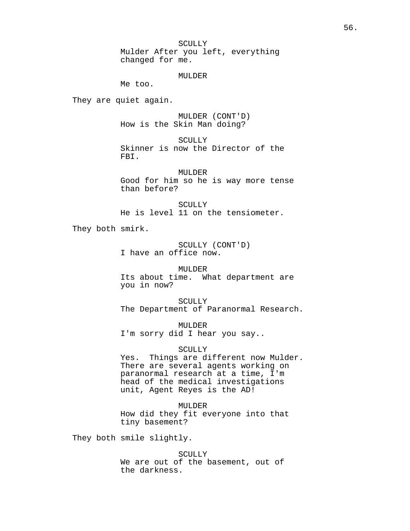SCULLY Mulder After you left, everything changed for me.

MULDER

Me too.

They are quiet again.

MULDER (CONT'D) How is the Skin Man doing?

SCULLY Skinner is now the Director of the FBI.

MULDER Good for him so he is way more tense than before?

SCULLY He is level 11 on the tensiometer.

They both smirk.

SCULLY (CONT'D) I have an office now.

MULDER Its about time. What department are you in now?

SCULLY The Department of Paranormal Research.

MULDER I'm sorry did I hear you say..

SCULLY

Yes. Things are different now Mulder. There are several agents working on paranormal research at a time, I'm head of the medical investigations unit, Agent Reyes is the AD!

MULDER

How did they fit everyone into that tiny basement?

They both smile slightly.

SCULLY We are out of the basement, out of the darkness.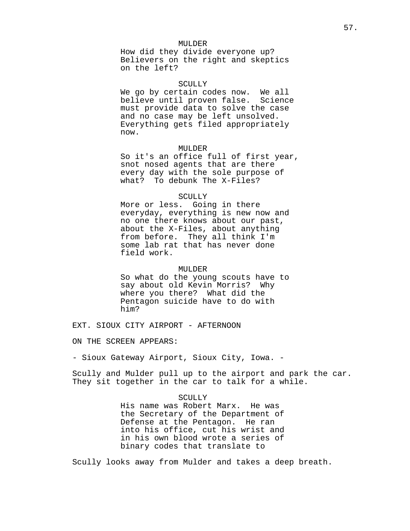## MULDER

How did they divide everyone up? Believers on the right and skeptics on the left?

## SCULLY

We go by certain codes now. We all believe until proven false. Science must provide data to solve the case and no case may be left unsolved. Everything gets filed appropriately now.

## MULDER

So it's an office full of first year, snot nosed agents that are there every day with the sole purpose of what? To debunk The X-Files?

## SCULLY

More or less. Going in there everyday, everything is new now and no one there knows about our past, about the X-Files, about anything from before. They all think I'm some lab rat that has never done field work.

## MULDER

So what do the young scouts have to say about old Kevin Morris? Why where you there? What did the Pentagon suicide have to do with him?

EXT. SIOUX CITY AIRPORT - AFTERNOON

ON THE SCREEN APPEARS:

- Sioux Gateway Airport, Sioux City, Iowa. -

Scully and Mulder pull up to the airport and park the car. They sit together in the car to talk for a while.

# SCULLY

His name was Robert Marx. He was the Secretary of the Department of Defense at the Pentagon. He ran into his office, cut his wrist and in his own blood wrote a series of binary codes that translate to

Scully looks away from Mulder and takes a deep breath.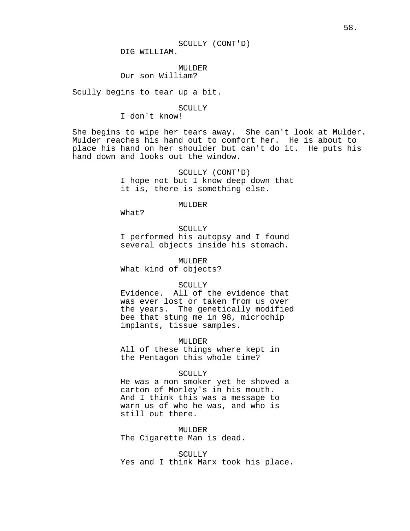DIG WILLIAM.

#### MULDER

Our son William?

Scully begins to tear up a bit.

# SCULLY

# I don't know!

She begins to wipe her tears away. She can't look at Mulder. Mulder reaches his hand out to comfort her. He is about to place his hand on her shoulder but can't do it. He puts his hand down and looks out the window.

> SCULLY (CONT'D) I hope not but I know deep down that it is, there is something else.

#### MULDER

What?

SCULLY I performed his autopsy and I found several objects inside his stomach.

MULDER What kind of objects?

## **SCULLY**

Evidence. All of the evidence that was ever lost or taken from us over the years. The genetically modified bee that stung me in 98, microchip implants, tissue samples.

## MULDER

All of these things where kept in the Pentagon this whole time?

## SCULLY

He was a non smoker yet he shoved a carton of Morley's in his mouth. And I think this was a message to warn us of who he was, and who is still out there.

MULDER The Cigarette Man is dead.

SCULLY Yes and I think Marx took his place.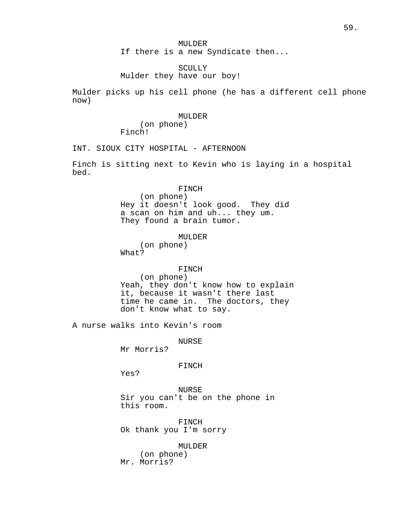# SCULLY Mulder they have our boy!

Mulder picks up his cell phone (he has a different cell phone now)

# MULDER

(on phone) Finch!

INT. SIOUX CITY HOSPITAL - AFTERNOON

Finch is sitting next to Kevin who is laying in a hospital bed.

# FINCH

(on phone) Hey it doesn't look good. They did a scan on him and uh... they um. They found a brain tumor.

#### MULDER

(on phone) What?

# FINCH

(on phone) Yeah, they don't know how to explain it, because it wasn't there last time he came in. The doctors, they don't know what to say.

A nurse walks into Kevin's room

NURSE

Mr Morris?

# FINCH

Yes?

NURSE Sir you can't be on the phone in this room.

FINCH Ok thank you I'm sorry

MULDER (on phone) Mr. Morris?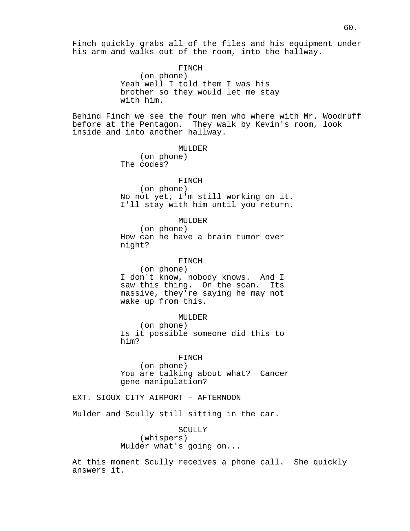Finch quickly grabs all of the files and his equipment under his arm and walks out of the room, into the hallway.

# FINCH

(on phone) Yeah well I told them I was his brother so they would let me stay with him.

Behind Finch we see the four men who where with Mr. Woodruff before at the Pentagon. They walk by Kevin's room, look inside and into another hallway.

MULDER

(on phone) The codes?

# FINCH

(on phone) No not yet, I'm still working on it. I'll stay with him until you return.

#### MULDER

(on phone) How can he have a brain tumor over night?

## FINCH

(on phone) I don't know, nobody knows. And I saw this thing. On the scan. Its massive, they're saying he may not wake up from this.

MULDER

(on phone) Is it possible someone did this to him?

# FINCH

(on phone) You are talking about what? Cancer gene manipulation?

EXT. SIOUX CITY AIRPORT - AFTERNOON

Mulder and Scully still sitting in the car.

SCULLY

(whispers) Mulder what's going on...

At this moment Scully receives a phone call. She quickly answers it.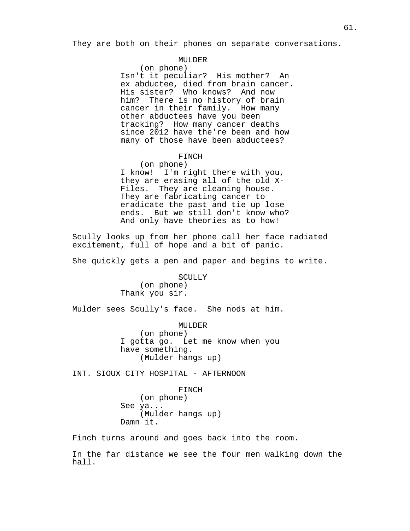They are both on their phones on separate conversations.

# MULDER

(on phone)

Isn't it peculiar? His mother? An ex abductee, died from brain cancer. His sister? Who knows? And now him? There is no history of brain cancer in their family. How many other abductees have you been tracking? How many cancer deaths since 2012 have the're been and how many of those have been abductees?

# FINCH

(on phone) I know! I'm right there with you, they are erasing all of the old X-Files. They are cleaning house. They are fabricating cancer to eradicate the past and tie up lose ends. But we still don't know who? And only have theories as to how!

Scully looks up from her phone call her face radiated excitement, full of hope and a bit of panic.

She quickly gets a pen and paper and begins to write.

SCULLY (on phone) Thank you sir.

Mulder sees Scully's face. She nods at him.

MULDER (on phone) I gotta go. Let me know when you have something. (Mulder hangs up)

INT. SIOUX CITY HOSPITAL - AFTERNOON

FINCH (on phone) See ya... (Mulder hangs up) Damn it.

Finch turns around and goes back into the room.

In the far distance we see the four men walking down the hall.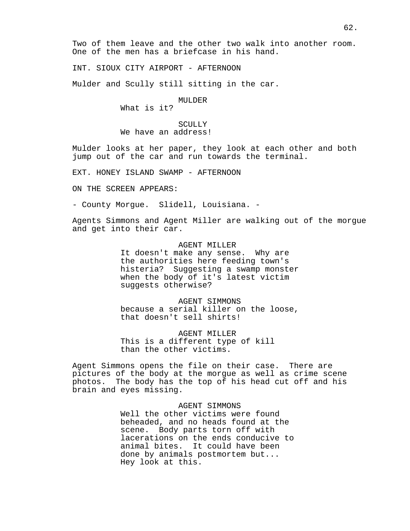Two of them leave and the other two walk into another room. One of the men has a briefcase in his hand.

INT. SIOUX CITY AIRPORT - AFTERNOON

Mulder and Scully still sitting in the car.

MULDER

What is it?

SCULLY We have an address!

Mulder looks at her paper, they look at each other and both jump out of the car and run towards the terminal.

EXT. HONEY ISLAND SWAMP - AFTERNOON

ON THE SCREEN APPEARS:

- County Morgue. Slidell, Louisiana. -

Agents Simmons and Agent Miller are walking out of the morgue and get into their car.

> AGENT MILLER It doesn't make any sense. Why are the authorities here feeding town's histeria? Suggesting a swamp monster when the body of it's latest victim suggests otherwise?

> AGENT SIMMONS because a serial killer on the loose, that doesn't sell shirts!

AGENT MILLER This is a different type of kill than the other victims.

Agent Simmons opens the file on their case. There are pictures of the body at the morgue as well as crime scene photos. The body has the top of his head cut off and his brain and eyes missing.

AGENT SIMMONS

Well the other victims were found beheaded, and no heads found at the scene. Body parts torn off with lacerations on the ends conducive to animal bites. It could have been done by animals postmortem but... Hey look at this.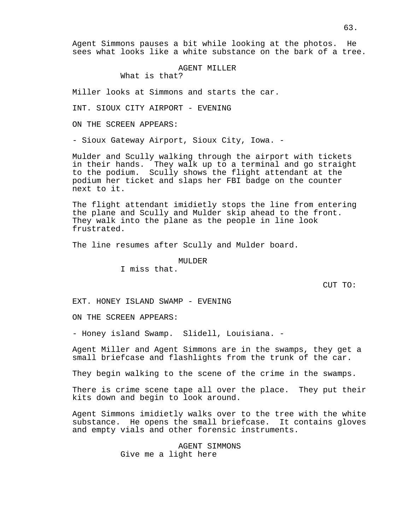Agent Simmons pauses a bit while looking at the photos. He sees what looks like a white substance on the bark of a tree.

# AGENT MILLER

What is that?

Miller looks at Simmons and starts the car.

INT. SIOUX CITY AIRPORT - EVENING

ON THE SCREEN APPEARS:

- Sioux Gateway Airport, Sioux City, Iowa. -

Mulder and Scully walking through the airport with tickets in their hands. They walk up to a terminal and go straight to the podium. Scully shows the flight attendant at the podium her ticket and slaps her FBI badge on the counter next to it.

The flight attendant imidietly stops the line from entering the plane and Scully and Mulder skip ahead to the front. They walk into the plane as the people in line look frustrated.

The line resumes after Scully and Mulder board.

MULDER

I miss that.

CUT TO:

EXT. HONEY ISLAND SWAMP - EVENING

ON THE SCREEN APPEARS:

- Honey island Swamp. Slidell, Louisiana. -

Agent Miller and Agent Simmons are in the swamps, they get a small briefcase and flashlights from the trunk of the car.

They begin walking to the scene of the crime in the swamps.

There is crime scene tape all over the place. They put their kits down and begin to look around.

Agent Simmons imidietly walks over to the tree with the white substance. He opens the small briefcase. It contains gloves and empty vials and other forensic instruments.

> AGENT SIMMONS Give me a light here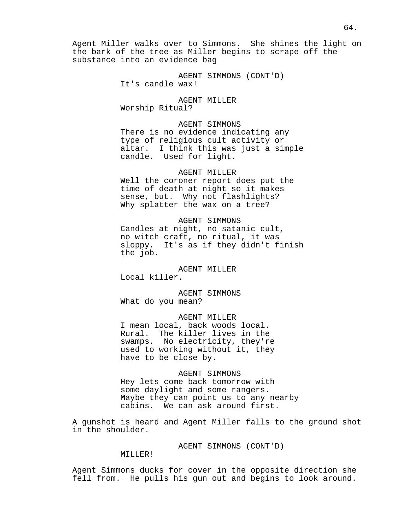Agent Miller walks over to Simmons. She shines the light on the bark of the tree as Miller begins to scrape off the substance into an evidence bag

> AGENT SIMMONS (CONT'D) It's candle wax!

AGENT MILLER Worship Ritual?

AGENT SIMMONS There is no evidence indicating any type of religious cult activity or altar. I think this was just a simple candle. Used for light.

#### AGENT MILLER

Well the coroner report does put the time of death at night so it makes sense, but. Why not flashlights? Why splatter the wax on a tree?

## AGENT SIMMONS

Candles at night, no satanic cult, no witch craft, no ritual, it was sloppy. It's as if they didn't finish the job.

# AGENT MILLER

Local killer.

AGENT SIMMONS What do you mean?

# AGENT MILLER

I mean local, back woods local. Rural. The killer lives in the swamps. No electricity, they're used to working without it, they have to be close by.

# AGENT SIMMONS

Hey lets come back tomorrow with some daylight and some rangers. Maybe they can point us to any nearby cabins. We can ask around first.

A gunshot is heard and Agent Miller falls to the ground shot in the shoulder.

AGENT SIMMONS (CONT'D)

## MILLER!

Agent Simmons ducks for cover in the opposite direction she fell from. He pulls his gun out and begins to look around.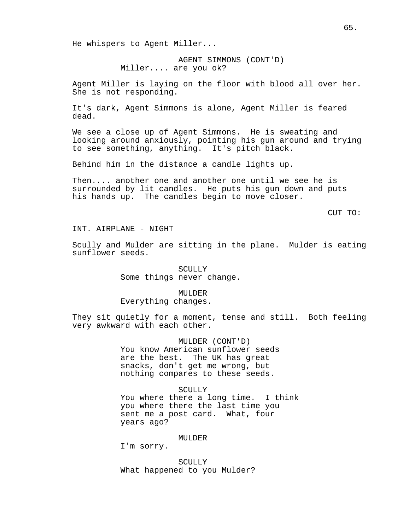He whispers to Agent Miller...

AGENT SIMMONS (CONT'D) Miller.... are you ok?

Agent Miller is laying on the floor with blood all over her. She is not responding.

It's dark, Agent Simmons is alone, Agent Miller is feared dead.

We see a close up of Agent Simmons. He is sweating and looking around anxiously, pointing his gun around and trying to see something, anything. It's pitch black.

Behind him in the distance a candle lights up.

Then.... another one and another one until we see he is surrounded by lit candles. He puts his gun down and puts his hands up. The candles begin to move closer.

CUT TO:

INT. AIRPLANE - NIGHT

Scully and Mulder are sitting in the plane. Mulder is eating sunflower seeds.

> SCULLY Some things never change.

## MULDER

Everything changes.

They sit quietly for a moment, tense and still. Both feeling very awkward with each other.

> MULDER (CONT'D) You know American sunflower seeds are the best. The UK has great snacks, don't get me wrong, but nothing compares to these seeds.

> > SCULLY

You where there a long time. I think you where there the last time you sent me a post card. What, four years ago?

#### MULDER

I'm sorry.

SCULLY What happened to you Mulder?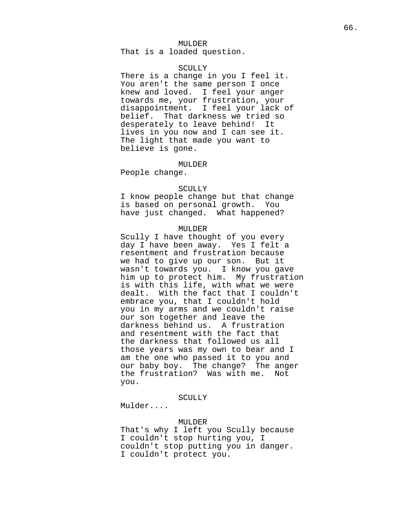# MULDER That is a loaded question.

# SCULLY

There is a change in you I feel it. You aren't the same person I once knew and loved. I feel your anger towards me, your frustration, your disappointment. I feel your lack of belief. That darkness we tried so desperately to leave behind! It lives in you now and I can see it. The light that made you want to believe is gone.

## MULDER

People change.

#### SCULLY

I know people change but that change is based on personal growth. You have just changed. What happened?

# MULDER

Scully I have thought of you every day I have been away. Yes I felt a resentment and frustration because we had to give up our son. But it wasn't towards you. I know you gave him up to protect him. My frustration is with this life, with what we were dealt. With the fact that I couldn't embrace you, that I couldn't hold you in my arms and we couldn't raise our son together and leave the darkness behind us. A frustration and resentment with the fact that the darkness that followed us all those years was my own to bear and I am the one who passed it to you and our baby boy. The change? The anger the frustration? Was with me. Not you.

# SCULLY

Mulder....

## MULDER

That's why I left you Scully because I couldn't stop hurting you, I couldn't stop putting you in danger. I couldn't protect you.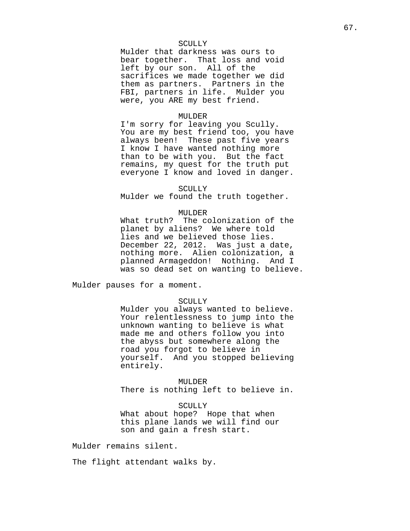# **SCULLY**

Mulder that darkness was ours to bear together. That loss and void left by our son. All of the sacrifices we made together we did them as partners. Partners in the FBI, partners in life. Mulder you were, you ARE my best friend.

#### MULDER

I'm sorry for leaving you Scully. You are my best friend too, you have always been! These past five years I know I have wanted nothing more than to be with you. But the fact remains, my quest for the truth put everyone I know and loved in danger.

#### SCULLY

Mulder we found the truth together.

#### MULDER

What truth? The colonization of the planet by aliens? We where told lies and we believed those lies. December 22, 2012. Was just a date, nothing more. Alien colonization, a planned Armageddon! Nothing. And I was so dead set on wanting to believe.

Mulder pauses for a moment.

# SCULLY

Mulder you always wanted to believe. Your relentlessness to jump into the unknown wanting to believe is what made me and others follow you into the abyss but somewhere along the road you forgot to believe in yourself. And you stopped believing entirely.

MULDER There is nothing left to believe in.

#### SCULLY

What about hope? Hope that when this plane lands we will find our son and gain a fresh start.

Mulder remains silent.

The flight attendant walks by.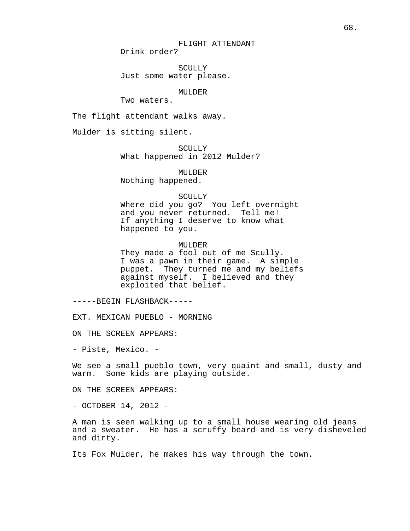FLIGHT ATTENDANT Drink order?

SCULLY Just some water please.

## MULDER

Two waters.

The flight attendant walks away.

Mulder is sitting silent.

SCULLY What happened in 2012 Mulder?

MULDER Nothing happened.

## SCULLY

Where did you go? You left overnight and you never returned. Tell me! If anything I deserve to know what happened to you.

MULDER

They made a fool out of me Scully. I was a pawn in their game. A simple puppet. They turned me and my beliefs against myself. I believed and they exploited that belief.

-----BEGIN FLASHBACK-----

EXT. MEXICAN PUEBLO - MORNING

ON THE SCREEN APPEARS:

- Piste, Mexico. -

We see a small pueblo town, very quaint and small, dusty and warm. Some kids are playing outside.

ON THE SCREEN APPEARS:

- OCTOBER 14, 2012 -

A man is seen walking up to a small house wearing old jeans and a sweater. He has a scruffy beard and is very disheveled and dirty.

Its Fox Mulder, he makes his way through the town.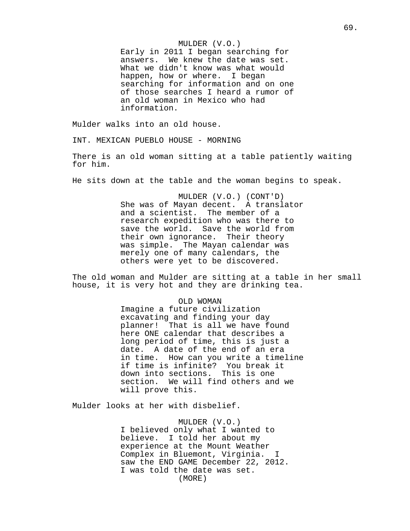# MULDER (V.O.)

Early in 2011 I began searching for answers. We knew the date was set. What we didn't know was what would happen, how or where. I began searching for information and on one of those searches I heard a rumor of an old woman in Mexico who had information.

Mulder walks into an old house.

INT. MEXICAN PUEBLO HOUSE - MORNING

There is an old woman sitting at a table patiently waiting for him.

He sits down at the table and the woman begins to speak.

MULDER (V.O.) (CONT'D) She was of Mayan decent. A translator and a scientist. The member of a research expedition who was there to save the world. Save the world from their own ignorance. Their theory was simple. The Mayan calendar was merely one of many calendars, the others were yet to be discovered.

The old woman and Mulder are sitting at a table in her small house, it is very hot and they are drinking tea.

# OLD WOMAN

Imagine a future civilization excavating and finding your day planner! That is all we have found here ONE calendar that describes a long period of time, this is just a date. A date of the end of an era in time. How can you write a timeline if time is infinite? You break it down into sections. This is one section. We will find others and we will prove this.

Mulder looks at her with disbelief.

MULDER (V.O.) I believed only what I wanted to believe. I told her about my experience at the Mount Weather Complex in Bluemont, Virginia. I saw the END GAME December 22, 2012. I was told the date was set. (MORE)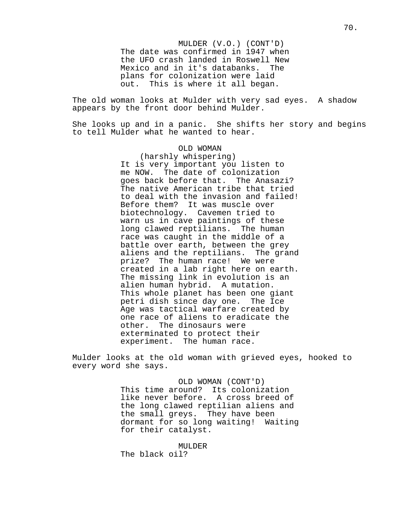MULDER (V.O.) (CONT'D) The date was confirmed in 1947 when the UFO crash landed in Roswell New Mexico and in it's databanks. The plans for colonization were laid out. This is where it all began.

The old woman looks at Mulder with very sad eyes. A shadow appears by the front door behind Mulder.

She looks up and in a panic. She shifts her story and begins to tell Mulder what he wanted to hear.

# OLD WOMAN

(harshly whispering) It is very important you listen to me NOW. The date of colonization goes back before that. The Anasazi? The native American tribe that tried to deal with the invasion and failed! Before them? It was muscle over biotechnology. Cavemen tried to warn us in cave paintings of these long clawed reptilians. The human race was caught in the middle of a battle over earth, between the grey aliens and the reptilians. The grand prize? The human race! We were created in a lab right here on earth. The missing link in evolution is an alien human hybrid. A mutation. This whole planet has been one giant petri dish since day one. The Ice Age was tactical warfare created by one race of aliens to eradicate the other. The dinosaurs were exterminated to protect their experiment. The human race.

Mulder looks at the old woman with grieved eyes, hooked to every word she says.

> OLD WOMAN (CONT'D) This time around? Its colonization like never before. A cross breed of the long clawed reptilian aliens and the small greys. They have been dormant for so long waiting! Waiting for their catalyst.

MULDER The black oil?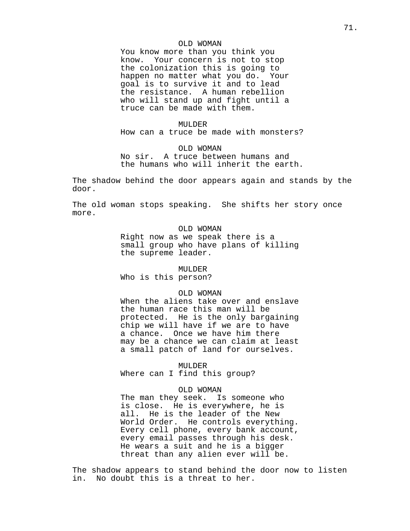# OLD WOMAN

You know more than you think you know. Your concern is not to stop the colonization this is going to happen no matter what you do. Your goal is to survive it and to lead the resistance. A human rebellion who will stand up and fight until a truce can be made with them.

#### MULDER

How can a truce be made with monsters?

OLD WOMAN No sir. A truce between humans and the humans who will inherit the earth.

The shadow behind the door appears again and stands by the door.

The old woman stops speaking. She shifts her story once more.

# OLD WOMAN

Right now as we speak there is a small group who have plans of killing the supreme leader.

## MULDER

Who is this person?

## OLD WOMAN

When the aliens take over and enslave the human race this man will be protected. He is the only bargaining chip we will have if we are to have a chance. Once we have him there may be a chance we can claim at least a small patch of land for ourselves.

#### MULDER

Where can I find this group?

# OLD WOMAN

The man they seek. Is someone who is close. He is everywhere, he is all. He is the leader of the New World Order. He controls everything. Every cell phone, every bank account, every email passes through his desk. He wears a suit and he is a bigger threat than any alien ever will be.

The shadow appears to stand behind the door now to listen in. No doubt this is a threat to her.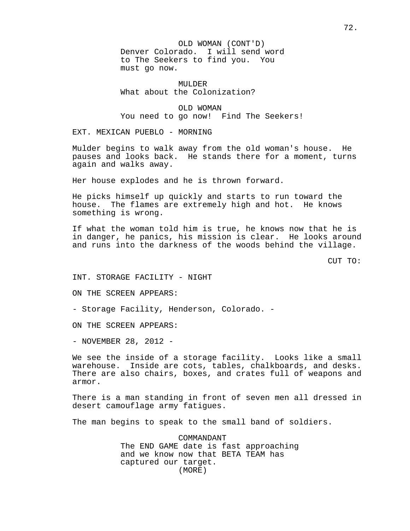OLD WOMAN (CONT'D) Denver Colorado. I will send word to The Seekers to find you. You must go now.

MULDER What about the Colonization?

OLD WOMAN You need to go now! Find The Seekers!

EXT. MEXICAN PUEBLO - MORNING

Mulder begins to walk away from the old woman's house. He pauses and looks back. He stands there for a moment, turns again and walks away.

Her house explodes and he is thrown forward.

He picks himself up quickly and starts to run toward the house. The flames are extremely high and hot. He knows something is wrong.

If what the woman told him is true, he knows now that he is in danger, he panics, his mission is clear. He looks around and runs into the darkness of the woods behind the village.

CUT TO:

INT. STORAGE FACILITY - NIGHT

ON THE SCREEN APPEARS:

- Storage Facility, Henderson, Colorado. -

ON THE SCREEN APPEARS:

- NOVEMBER 28, 2012 -

We see the inside of a storage facility. Looks like a small warehouse. Inside are cots, tables, chalkboards, and desks. There are also chairs, boxes, and crates full of weapons and armor.

There is a man standing in front of seven men all dressed in desert camouflage army fatigues.

The man begins to speak to the small band of soldiers.

COMMANDANT The END GAME date is fast approaching and we know now that BETA TEAM has captured our target. (MORE)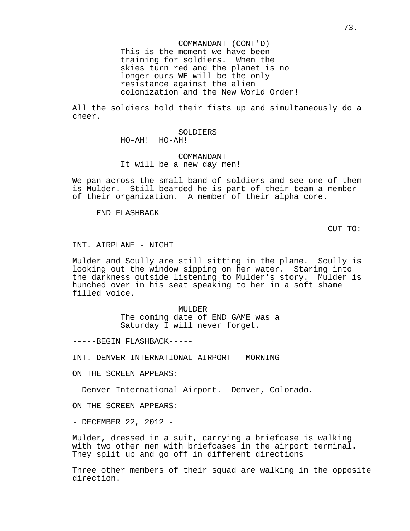COMMANDANT (CONT'D) This is the moment we have been training for soldiers. When the skies turn red and the planet is no longer ours WE will be the only resistance against the alien colonization and the New World Order!

All the soldiers hold their fists up and simultaneously do a cheer.

> SOLDIERS HO-AH! HO-AH!

COMMANDANT It will be a new day men!

We pan across the small band of soldiers and see one of them is Mulder. Still bearded he is part of their team a member of their organization. A member of their alpha core.

-----END FLASHBACK-----

CUT TO:

INT. AIRPLANE - NIGHT

Mulder and Scully are still sitting in the plane. Scully is looking out the window sipping on her water. Staring into the darkness outside listening to Mulder's story. Mulder is hunched over in his seat speaking to her in a soft shame filled voice.

MULDER

The coming date of END GAME was a Saturday I will never forget.

-----BEGIN FLASHBACK-----

INT. DENVER INTERNATIONAL AIRPORT - MORNING

ON THE SCREEN APPEARS:

- Denver International Airport. Denver, Colorado. -

ON THE SCREEN APPEARS:

- DECEMBER 22, 2012 -

Mulder, dressed in a suit, carrying a briefcase is walking with two other men with briefcases in the airport terminal. They split up and go off in different directions

Three other members of their squad are walking in the opposite direction.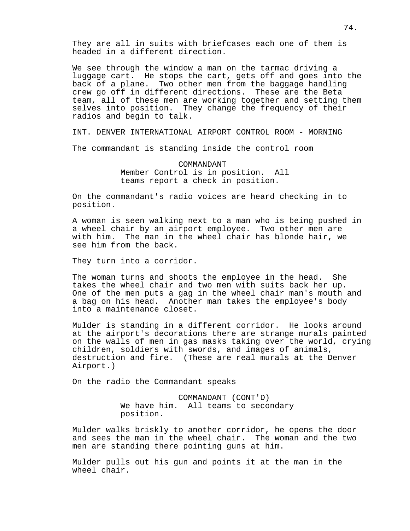They are all in suits with briefcases each one of them is headed in a different direction.

We see through the window a man on the tarmac driving a luggage cart. He stops the cart, gets off and goes into the back of a plane. Two other men from the baggage handling crew go off in different directions. These are the Beta team, all of these men are working together and setting them selves into position. They change the frequency of their radios and begin to talk.

INT. DENVER INTERNATIONAL AIRPORT CONTROL ROOM - MORNING

The commandant is standing inside the control room

COMMANDANT Member Control is in position. All teams report a check in position.

On the commandant's radio voices are heard checking in to position.

A woman is seen walking next to a man who is being pushed in a wheel chair by an airport employee. Two other men are with him. The man in the wheel chair has blonde hair, we see him from the back.

They turn into a corridor.

The woman turns and shoots the employee in the head. She takes the wheel chair and two men with suits back her up. One of the men puts a gag in the wheel chair man's mouth and a bag on his head. Another man takes the employee's body into a maintenance closet.

Mulder is standing in a different corridor. He looks around at the airport's decorations there are strange murals painted on the walls of men in gas masks taking over the world, crying children, soldiers with swords, and images of animals, destruction and fire. (These are real murals at the Denver Airport.)

On the radio the Commandant speaks

COMMANDANT (CONT'D) We have him. All teams to secondary position.

Mulder walks briskly to another corridor, he opens the door and sees the man in the wheel chair. The woman and the two men are standing there pointing guns at him.

Mulder pulls out his gun and points it at the man in the wheel chair.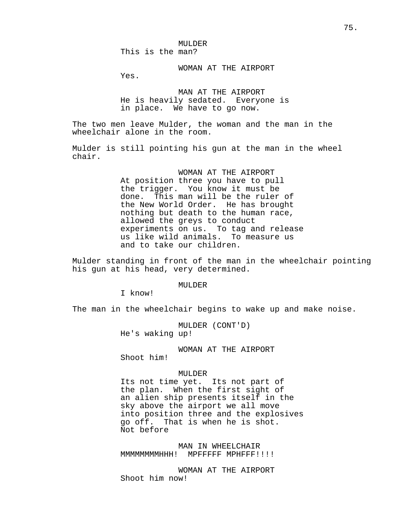MULDER This is the man?

# WOMAN AT THE AIRPORT

Yes.

MAN AT THE AIRPORT He is heavily sedated. Everyone is in place. We have to go now.

The two men leave Mulder, the woman and the man in the wheelchair alone in the room.

Mulder is still pointing his gun at the man in the wheel chair.

## WOMAN AT THE AIRPORT

At position three you have to pull the trigger. You know it must be done. This man will be the ruler of the New World Order. He has brought nothing but death to the human race, allowed the greys to conduct experiments on us. To tag and release us like wild animals. To measure us and to take our children.

Mulder standing in front of the man in the wheelchair pointing his gun at his head, very determined.

MULDER

I know!

The man in the wheelchair begins to wake up and make noise.

MULDER (CONT'D) He's waking up!

WOMAN AT THE AIRPORT

Shoot him!

### MULDER

Its not time yet. Its not part of the plan. When the first sight of an alien ship presents itself in the sky above the airport we all move into position three and the explosives go off. That is when he is shot. Not before

MAN IN WHEELCHAIR MMMMMMMMHHH! MPFFFFF MPHFFF!!!!

WOMAN AT THE AIRPORT Shoot him now!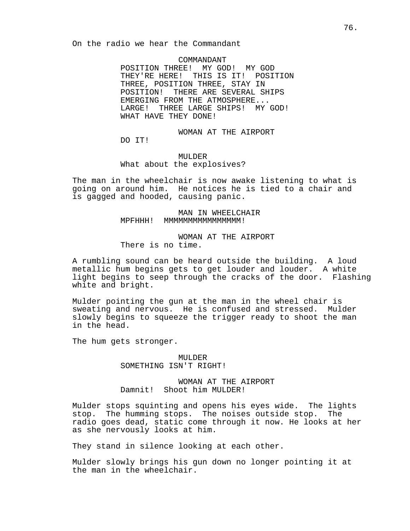On the radio we hear the Commandant

COMMANDANT POSITION THREE! MY GOD! MY GOD THEY'RE HERE! THIS IS IT! POSITION THREE, POSITION THREE, STAY IN POSITION! THERE ARE SEVERAL SHIPS EMERGING FROM THE ATMOSPHERE... LARGE! THREE LARGE SHIPS! MY GOD! WHAT HAVE THEY DONE!

WOMAN AT THE AIRPORT

DO IT!

# MULDER What about the explosives?

The man in the wheelchair is now awake listening to what is going on around him. He notices he is tied to a chair and is gagged and hooded, causing panic.

## MAN IN WHEELCHAIR MPFHHH! MMMMMMMMMMMMMMMM!

# WOMAN AT THE AIRPORT There is no time.

A rumbling sound can be heard outside the building. A loud metallic hum begins gets to get louder and louder. A white light begins to seep through the cracks of the door. Flashing white and bright.

Mulder pointing the gun at the man in the wheel chair is sweating and nervous. He is confused and stressed. Mulder slowly begins to squeeze the trigger ready to shoot the man in the head.

The hum gets stronger.

# MULDER SOMETHING ISN'T RIGHT!

# WOMAN AT THE AIRPORT Damnit! Shoot him MULDER!

Mulder stops squinting and opens his eyes wide. The lights stop. The humming stops. The noises outside stop. The radio goes dead, static come through it now. He looks at her as she nervously looks at him.

They stand in silence looking at each other.

Mulder slowly brings his gun down no longer pointing it at the man in the wheelchair.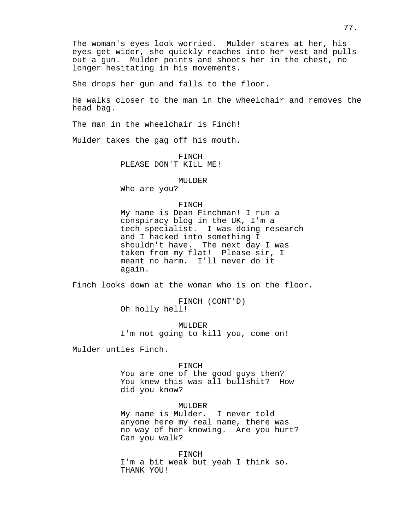The woman's eyes look worried. Mulder stares at her, his eyes get wider, she quickly reaches into her vest and pulls out a gun. Mulder points and shoots her in the chest, no longer hesitating in his movements.

She drops her gun and falls to the floor.

He walks closer to the man in the wheelchair and removes the head bag.

The man in the wheelchair is Finch!

Mulder takes the gag off his mouth.

FINCH PLEASE DON'T KILL ME!

## MULDER

Who are you?

## FINCH

My name is Dean Finchman! I run a conspiracy blog in the UK, I'm a tech specialist. I was doing research and I hacked into something I shouldn't have. The next day I was taken from my flat! Please sir, I meant no harm. I'll never do it again.

Finch looks down at the woman who is on the floor.

FINCH (CONT'D) Oh holly hell!

MULDER I'm not going to kill you, come on!

Mulder unties Finch.

#### FINCH

You are one of the good guys then? You knew this was all bullshit? How did you know?

# MULDER

My name is Mulder. I never told anyone here my real name, there was no way of her knowing. Are you hurt? Can you walk?

FINCH I'm a bit weak but yeah I think so. THANK YOU!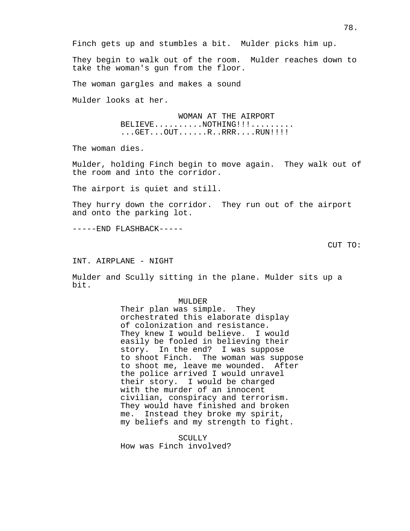Finch gets up and stumbles a bit. Mulder picks him up.

They begin to walk out of the room. Mulder reaches down to take the woman's gun from the floor.

The woman gargles and makes a sound

Mulder looks at her.

WOMAN AT THE AIRPORT BELIEVE..........NOTHING!!!........ ...GET...OUT......R..RRR....RUN!!!!!

The woman dies.

Mulder, holding Finch begin to move again. They walk out of the room and into the corridor.

The airport is quiet and still.

They hurry down the corridor. They run out of the airport and onto the parking lot.

-----END FLASHBACK-----

CUT TO:

INT. AIRPLANE - NIGHT

Mulder and Scully sitting in the plane. Mulder sits up a bit.

#### MULDER

Their plan was simple. They orchestrated this elaborate display of colonization and resistance. They knew I would believe. I would easily be fooled in believing their story. In the end? I was suppose to shoot Finch. The woman was suppose to shoot me, leave me wounded. After the police arrived I would unravel their story. I would be charged with the murder of an innocent civilian, conspiracy and terrorism. They would have finished and broken me. Instead they broke my spirit, my beliefs and my strength to fight.

SCULLY How was Finch involved?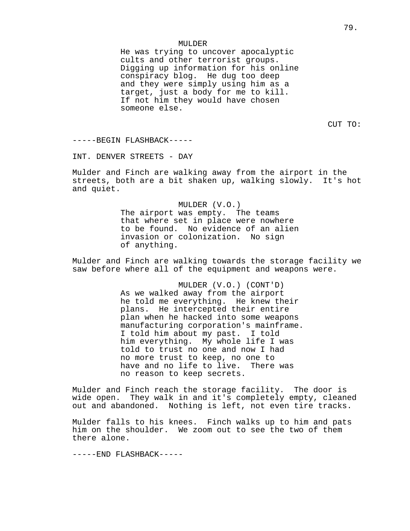### MULDER

He was trying to uncover apocalyptic cults and other terrorist groups. Digging up information for his online conspiracy blog. He dug too deep and they were simply using him as a target, just a body for me to kill. If not him they would have chosen someone else.

CUT TO:

-----BEGIN FLASHBACK-----

INT. DENVER STREETS - DAY

Mulder and Finch are walking away from the airport in the streets, both are a bit shaken up, walking slowly. It's hot and quiet.

> MULDER (V.O.) The airport was empty. The teams that where set in place were nowhere to be found. No evidence of an alien invasion or colonization. No sign of anything.

Mulder and Finch are walking towards the storage facility we saw before where all of the equipment and weapons were.

> MULDER (V.O.) (CONT'D) As we walked away from the airport he told me everything. He knew their plans. He intercepted their entire plan when he hacked into some weapons manufacturing corporation's mainframe. I told him about my past. I told him everything. My whole life I was told to trust no one and now I had no more trust to keep, no one to have and no life to live. There was no reason to keep secrets.

Mulder and Finch reach the storage facility. The door is wide open. They walk in and it's completely empty, cleaned out and abandoned. Nothing is left, not even tire tracks.

Mulder falls to his knees. Finch walks up to him and pats him on the shoulder. We zoom out to see the two of them there alone.

-----END FLASHBACK-----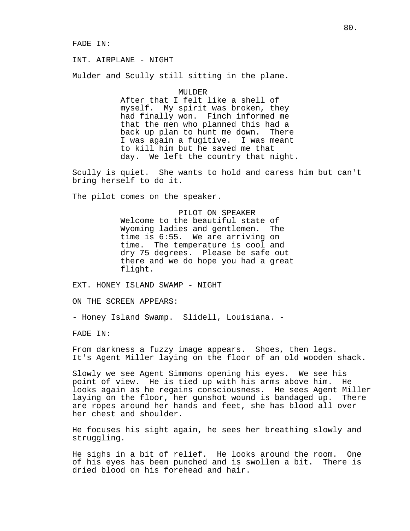### FADE IN:

## INT. AIRPLANE - NIGHT

Mulder and Scully still sitting in the plane.

## MULDER

After that I felt like a shell of myself. My spirit was broken, they had finally won. Finch informed me that the men who planned this had a back up plan to hunt me down. There I was again a fugitive. I was meant to kill him but he saved me that day. We left the country that night.

Scully is quiet. She wants to hold and caress him but can't bring herself to do it.

The pilot comes on the speaker.

PILOT ON SPEAKER Welcome to the beautiful state of Wyoming ladies and gentlemen. The time is 6:55. We are arriving on time. The temperature is cool and dry 75 degrees. Please be safe out there and we do hope you had a great flight.

EXT. HONEY ISLAND SWAMP - NIGHT

ON THE SCREEN APPEARS:

- Honey Island Swamp. Slidell, Louisiana. -

FADE IN:

From darkness a fuzzy image appears. Shoes, then legs. It's Agent Miller laying on the floor of an old wooden shack.

Slowly we see Agent Simmons opening his eyes. We see his point of view. He is tied up with his arms above him. He looks again as he regains consciousness. He sees Agent Miller laying on the floor, her gunshot wound is bandaged up. There are ropes around her hands and feet, she has blood all over her chest and shoulder.

He focuses his sight again, he sees her breathing slowly and struggling.

He sighs in a bit of relief. He looks around the room. One of his eyes has been punched and is swollen a bit. There is dried blood on his forehead and hair.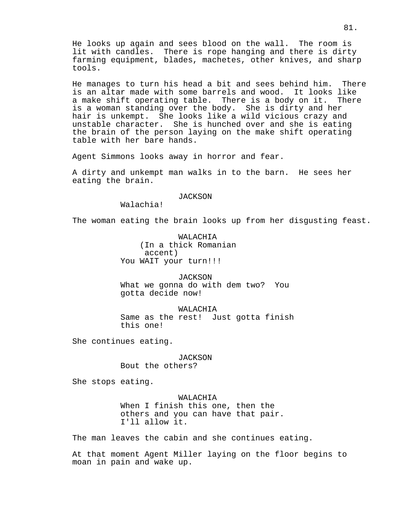He looks up again and sees blood on the wall. The room is lit with candles. There is rope hanging and there is dirty farming equipment, blades, machetes, other knives, and sharp tools.

He manages to turn his head a bit and sees behind him. There is an altar made with some barrels and wood. It looks like a make shift operating table. There is a body on it. There is a woman standing over the body. She is dirty and her hair is unkempt. She looks like a wild vicious crazy and unstable character. She is hunched over and she is eating the brain of the person laying on the make shift operating table with her bare hands.

Agent Simmons looks away in horror and fear.

A dirty and unkempt man walks in to the barn. He sees her eating the brain.

JACKSON

Walachia!

The woman eating the brain looks up from her disgusting feast.

WALACHIA (In a thick Romanian accent) You WAIT your turn!!!

JACKSON What we gonna do with dem two? You gotta decide now!

WALACHIA Same as the rest! Just gotta finish this one!

She continues eating.

JACKSON Bout the others?

She stops eating.

WALACHIA When I finish this one, then the others and you can have that pair. I'll allow it.

The man leaves the cabin and she continues eating.

At that moment Agent Miller laying on the floor begins to moan in pain and wake up.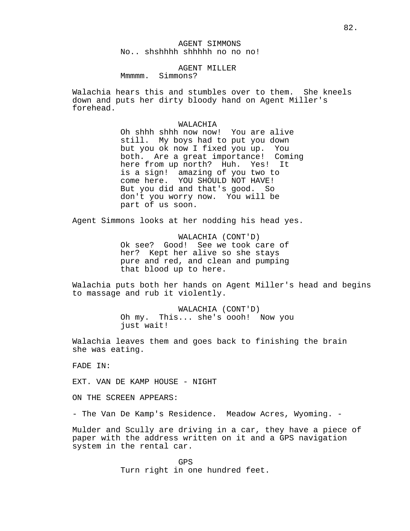# AGENT SIMMONS No.. shshhhh shhhhh no no no!

## AGENT MILLER

Mmmmm. Simmons?

Walachia hears this and stumbles over to them. She kneels down and puts her dirty bloody hand on Agent Miller's forehead.

### WALACHIA

Oh shhh shhh now now! You are alive still. My boys had to put you down but you ok now I fixed you up. You both. Are a great importance! Coming here from up north? Huh. Yes! It is a sign! amazing of you two to come here. YOU SHOULD NOT HAVE! But you did and that's good. So don't you worry now. You will be part of us soon.

Agent Simmons looks at her nodding his head yes.

WALACHIA (CONT'D) Ok see? Good! See we took care of her? Kept her alive so she stays pure and red, and clean and pumping that blood up to here.

Walachia puts both her hands on Agent Miller's head and begins to massage and rub it violently.

> WALACHIA (CONT'D) Oh my. This... she's oooh! Now you just wait!

Walachia leaves them and goes back to finishing the brain she was eating.

FADE IN:

EXT. VAN DE KAMP HOUSE - NIGHT

ON THE SCREEN APPEARS:

- The Van De Kamp's Residence. Meadow Acres, Wyoming. -

Mulder and Scully are driving in a car, they have a piece of paper with the address written on it and a GPS navigation system in the rental car.

> GPS Turn right in one hundred feet.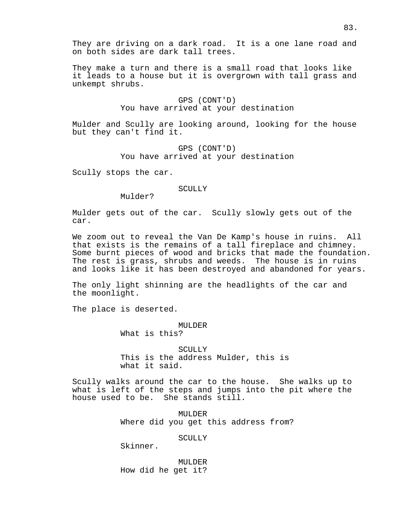They are driving on a dark road. It is a one lane road and on both sides are dark tall trees.

They make a turn and there is a small road that looks like it leads to a house but it is overgrown with tall grass and unkempt shrubs.

> GPS (CONT'D) You have arrived at your destination

Mulder and Scully are looking around, looking for the house but they can't find it.

> GPS (CONT'D) You have arrived at your destination

Scully stops the car.

### SCULLY

Mulder?

Mulder gets out of the car. Scully slowly gets out of the car.

We zoom out to reveal the Van De Kamp's house in ruins. All that exists is the remains of a tall fireplace and chimney. Some burnt pieces of wood and bricks that made the foundation. The rest is grass, shrubs and weeds. The house is in ruins and looks like it has been destroyed and abandoned for years.

The only light shinning are the headlights of the car and the moonlight.

The place is deserted.

MULDER What is this?

SCULLY This is the address Mulder, this is what it said.

Scully walks around the car to the house. She walks up to what is left of the steps and jumps into the pit where the house used to be. She stands still.

> MULDER Where did you get this address from?

> > SCULLY

Skinner.

MULDER How did he get it?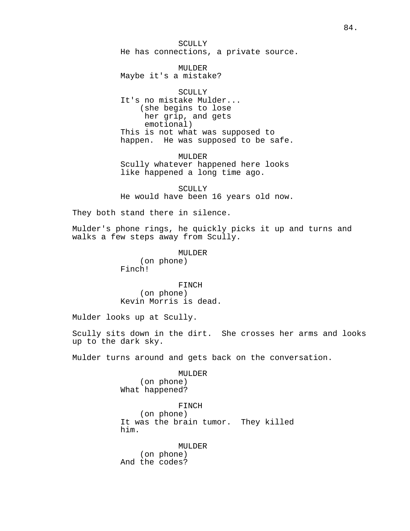**SCULLY** He has connections, a private source.

MULDER Maybe it's a mistake?

SCULLY

It's no mistake Mulder... (she begins to lose her grip, and gets emotional) This is not what was supposed to happen. He was supposed to be safe.

MULDER Scully whatever happened here looks like happened a long time ago.

SCULLY He would have been 16 years old now.

They both stand there in silence.

Mulder's phone rings, he quickly picks it up and turns and walks a few steps away from Scully.

> MULDER (on phone) Finch!

FINCH (on phone) Kevin Morris is dead.

Mulder looks up at Scully.

Scully sits down in the dirt. She crosses her arms and looks up to the dark sky.

Mulder turns around and gets back on the conversation.

MULDER (on phone) What happened?

FINCH (on phone) It was the brain tumor. They killed him.

MULDER

(on phone) And the codes?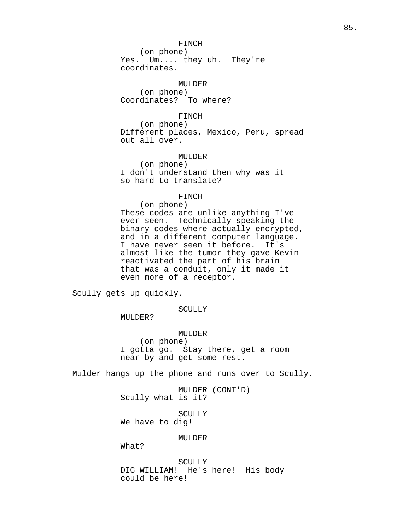(on phone) Yes. Um.... they uh. They're coordinates.

MULDER (on phone) Coordinates? To where?

## FINCH

(on phone) Different places, Mexico, Peru, spread out all over.

# MULDER

(on phone) I don't understand then why was it so hard to translate?

### FINCH

(on phone) These codes are unlike anything I've ever seen. Technically speaking the binary codes where actually encrypted, and in a different computer language. I have never seen it before. It's almost like the tumor they gave Kevin reactivated the part of his brain that was a conduit, only it made it even more of a receptor.

Scully gets up quickly.

SCULLY

MULDER?

# MULDER

(on phone) I gotta go. Stay there, get a room near by and get some rest.

Mulder hangs up the phone and runs over to Scully.

MULDER (CONT'D) Scully what is it?

SCULLY We have to dig!

MULDER

What?

SCULLY DIG WILLIAM! He's here! His body could be here!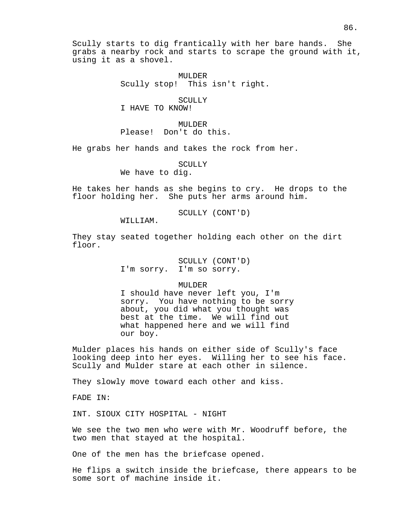Scully starts to dig frantically with her bare hands. She grabs a nearby rock and starts to scrape the ground with it, using it as a shovel.

> MULDER Scully stop! This isn't right.

SCULLY I HAVE TO KNOW!

MULDER Please! Don't do this.

He grabs her hands and takes the rock from her.

SCULLY

We have to dig.

He takes her hands as she begins to cry. He drops to the floor holding her. She puts her arms around him.

SCULLY (CONT'D)

WILLIAM.

They stay seated together holding each other on the dirt floor.

> SCULLY (CONT'D) I'm sorry. I'm so sorry.

> > MULDER

I should have never left you, I'm sorry. You have nothing to be sorry about, you did what you thought was best at the time. We will find out what happened here and we will find our boy.

Mulder places his hands on either side of Scully's face looking deep into her eyes. Willing her to see his face. Scully and Mulder stare at each other in silence.

They slowly move toward each other and kiss.

FADE IN:

INT. SIOUX CITY HOSPITAL - NIGHT

We see the two men who were with Mr. Woodruff before, the two men that stayed at the hospital.

One of the men has the briefcase opened.

He flips a switch inside the briefcase, there appears to be some sort of machine inside it.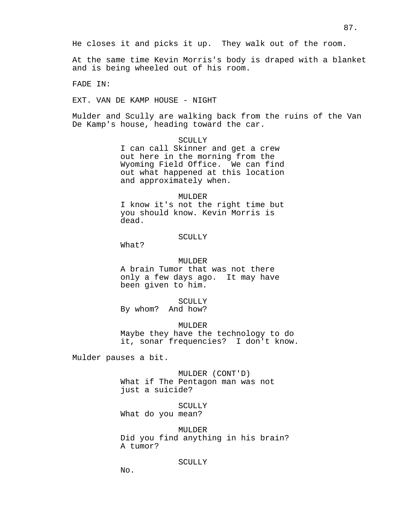He closes it and picks it up. They walk out of the room.

At the same time Kevin Morris's body is draped with a blanket and is being wheeled out of his room.

FADE IN:

EXT. VAN DE KAMP HOUSE - NIGHT

Mulder and Scully are walking back from the ruins of the Van De Kamp's house, heading toward the car.

# SCULLY

I can call Skinner and get a crew out here in the morning from the Wyoming Field Office. We can find out what happened at this location and approximately when.

#### MULDER

I know it's not the right time but you should know. Kevin Morris is dead.

## SCULLY

What?

MULDER A brain Tumor that was not there only a few days ago. It may have been given to him.

SCULLY By whom? And how?

MULDER Maybe they have the technology to do it, sonar frequencies? I don't know.

Mulder pauses a bit.

MULDER (CONT'D) What if The Pentagon man was not just a suicide?

SCULLY What do you mean?

MULDER Did you find anything in his brain? A tumor?

SCULLY

No.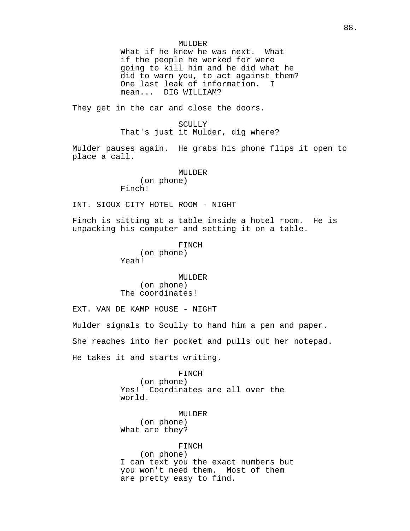What if he knew he was next. What if the people he worked for were going to kill him and he did what he did to warn you, to act against them? One last leak of information. I mean... DIG WILLIAM?

They get in the car and close the doors.

SCULLY That's just it Mulder, dig where?

Mulder pauses again. He grabs his phone flips it open to place a call.

MULDER

(on phone) Finch!

INT. SIOUX CITY HOTEL ROOM - NIGHT

Finch is sitting at a table inside a hotel room. He is unpacking his computer and setting it on a table.

> FINCH (on phone) Yeah!

MULDER (on phone) The coordinates!

EXT. VAN DE KAMP HOUSE - NIGHT

Mulder signals to Scully to hand him a pen and paper.

She reaches into her pocket and pulls out her notepad.

He takes it and starts writing.

FINCH (on phone) Yes! Coordinates are all over the world.

MULDER (on phone) What are they?

## FINCH

(on phone) I can text you the exact numbers but you won't need them. Most of them are pretty easy to find.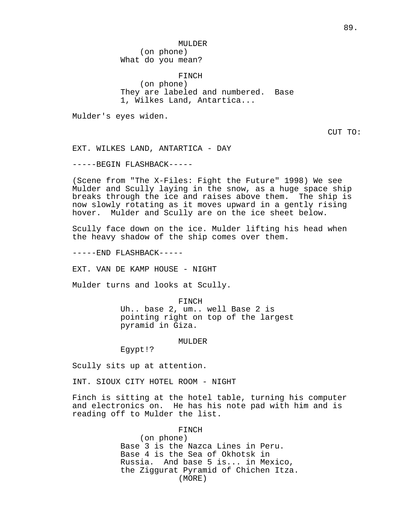MULDER (on phone) What do you mean?

FINCH (on phone) They are labeled and numbered. Base 1, Wilkes Land, Antartica...

Mulder's eyes widen.

CUT TO:

EXT. WILKES LAND, ANTARTICA - DAY

-----BEGIN FLASHBACK-----

(Scene from "The X-Files: Fight the Future" 1998) We see Mulder and Scully laying in the snow, as a huge space ship breaks through the ice and raises above them. The ship is now slowly rotating as it moves upward in a gently rising hover. Mulder and Scully are on the ice sheet below.

Scully face down on the ice. Mulder lifting his head when the heavy shadow of the ship comes over them.

-----END FLASHBACK-----

EXT. VAN DE KAMP HOUSE - NIGHT

Mulder turns and looks at Scully.

pyramid in Giza.

FINCH Uh.. base 2, um.. well Base 2 is pointing right on top of the largest

MULDER

Egypt!?

Scully sits up at attention.

INT. SIOUX CITY HOTEL ROOM - NIGHT

Finch is sitting at the hotel table, turning his computer and electronics on. He has his note pad with him and is reading off to Mulder the list.

> FINCH (on phone) Base 3 is the Nazca Lines in Peru. Base 4 is the Sea of Okhotsk in Russia. And base 5 is... in Mexico, the Ziggurat Pyramid of Chichen Itza. (MORE)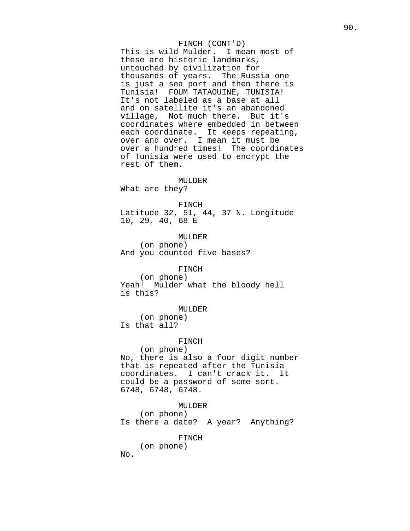## FINCH (CONT'D)

This is wild Mulder. I mean most of these are historic landmarks, untouched by civilization for thousands of years. The Russia one is just a sea port and then there is Tunisia! FOUM TATAOUINE, TUNISIA! It's not labeled as a base at all and on satellite it's an abandoned village, Not much there. But it's coordinates where embedded in between each coordinate. It keeps repeating, over and over. I mean it must be over a hundred times! The coordinates of Tunisia were used to encrypt the rest of them.

### MULDER

What are they?

#### FINCH

Latitude 32, 51, 44, 37 N. Longitude 10, 29, 40, 68 E

MULDER (on phone) And you counted five bases?

## FINCH

(on phone) Yeah! Mulder what the bloody hell is this?

MULDER

(on phone) Is that all?

## FINCH

(on phone) No, there is also a four digit number that is repeated after the Tunisia coordinates. I can't crack it. It could be a password of some sort. 6748, 6748, 6748.

# MULDER

(on phone) Is there a date? A year? Anything?

### FINCH

(on phone) No.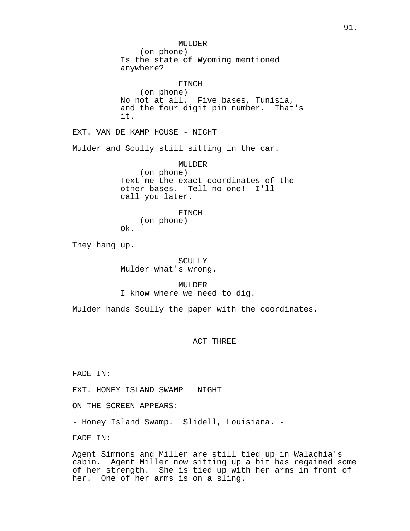MULDER (on phone) Is the state of Wyoming mentioned anywhere? FINCH (on phone) No not at all. Five bases, Tunisia, and the four digit pin number. That's it. EXT. VAN DE KAMP HOUSE - NIGHT Mulder and Scully still sitting in the car. MULDER (on phone) Text me the exact coordinates of the other bases. Tell no one! I'll call you later. FINCH (on phone) Ok. They hang up. SCULLY Mulder what's wrong. MULDER I know where we need to dig. Mulder hands Scully the paper with the coordinates. ACT THREE FADE IN: EXT. HONEY ISLAND SWAMP - NIGHT

ON THE SCREEN APPEARS:

- Honey Island Swamp. Slidell, Louisiana. -

FADE IN:

Agent Simmons and Miller are still tied up in Walachia's cabin. Agent Miller now sitting up a bit has regained some of her strength. She is tied up with her arms in front of her. One of her arms is on a sling.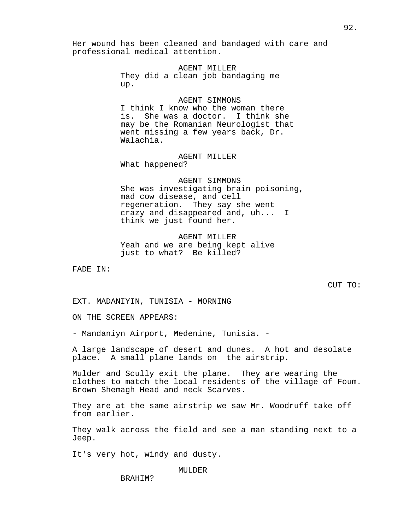Her wound has been cleaned and bandaged with care and professional medical attention.

> AGENT MILLER They did a clean job bandaging me up.

## AGENT SIMMONS

I think I know who the woman there is. She was a doctor. I think she may be the Romanian Neurologist that went missing a few years back, Dr. Walachia.

# AGENT MILLER What happened?

AGENT SIMMONS She was investigating brain poisoning, mad cow disease, and cell regeneration. They say she went crazy and disappeared and, uh... I think we just found her.

AGENT MILLER Yeah and we are being kept alive just to what? Be killed?

FADE IN:

CUT TO:

EXT. MADANIYIN, TUNISIA - MORNING

ON THE SCREEN APPEARS:

- Mandaniyn Airport, Medenine, Tunisia. -

A large landscape of desert and dunes. A hot and desolate place. A small plane lands on the airstrip.

Mulder and Scully exit the plane. They are wearing the clothes to match the local residents of the village of Foum. Brown Shemagh Head and neck Scarves.

They are at the same airstrip we saw Mr. Woodruff take off from earlier.

They walk across the field and see a man standing next to a Jeep.

It's very hot, windy and dusty.

#### MULDER

BRAHIM?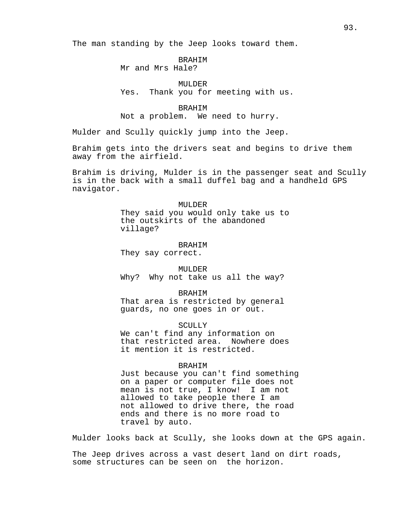The man standing by the Jeep looks toward them.

BRAHIM Mr and Mrs Hale?

MULDER Yes. Thank you for meeting with us.

BRAHIM Not a problem. We need to hurry.

Mulder and Scully quickly jump into the Jeep.

Brahim gets into the drivers seat and begins to drive them away from the airfield.

Brahim is driving, Mulder is in the passenger seat and Scully is in the back with a small duffel bag and a handheld GPS navigator.

> MULDER They said you would only take us to the outskirts of the abandoned village?

BRAHIM They say correct.

MULDER Why? Why not take us all the way?

BRAHIM That area is restricted by general guards, no one goes in or out.

SCULLY We can't find any information on that restricted area. Nowhere does it mention it is restricted.

#### BRAHIM

Just because you can't find something on a paper or computer file does not mean is not true, I know! I am not allowed to take people there I am not allowed to drive there, the road ends and there is no more road to travel by auto.

Mulder looks back at Scully, she looks down at the GPS again.

The Jeep drives across a vast desert land on dirt roads, some structures can be seen on the horizon.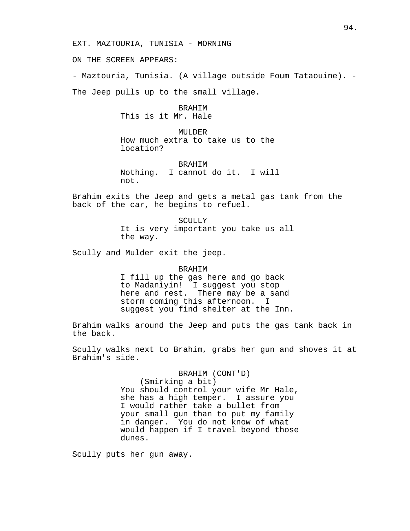EXT. MAZTOURIA, TUNISIA - MORNING

ON THE SCREEN APPEARS:

- Maztouria, Tunisia. (A village outside Foum Tataouine). - The Jeep pulls up to the small village.

> BRAHIM This is it Mr. Hale

MULDER How much extra to take us to the location?

BRAHIM Nothing. I cannot do it. I will not.

Brahim exits the Jeep and gets a metal gas tank from the back of the car, he begins to refuel.

> SCULLY It is very important you take us all the way.

Scully and Mulder exit the jeep.

# BRAHIM I fill up the gas here and go back to Madaniyin! I suggest you stop here and rest. There may be a sand storm coming this afternoon. I suggest you find shelter at the Inn.

Brahim walks around the Jeep and puts the gas tank back in the back.

Scully walks next to Brahim, grabs her gun and shoves it at Brahim's side.

> BRAHIM (CONT'D) (Smirking a bit) You should control your wife Mr Hale, she has a high temper. I assure you I would rather take a bullet from your small gun than to put my family in danger. You do not know of what would happen if I travel beyond those dunes.

Scully puts her gun away.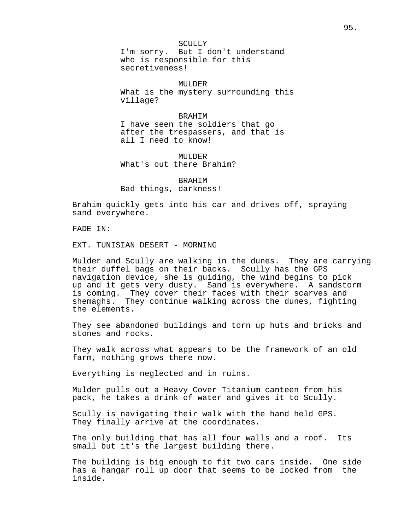SCULLY I'm sorry. But I don't understand who is responsible for this secretiveness!

MULDER What is the mystery surrounding this village?

BRAHIM I have seen the soldiers that go after the trespassers, and that is all I need to know!

MULDER What's out there Brahim?

BRAHIM Bad things, darkness!

Brahim quickly gets into his car and drives off, spraying sand everywhere.

FADE IN:

EXT. TUNISIAN DESERT - MORNING

Mulder and Scully are walking in the dunes. They are carrying their duffel bags on their backs. Scully has the GPS navigation device, she is guiding, the wind begins to pick up and it gets very dusty. Sand is everywhere. A sandstorm is coming. They cover their faces with their scarves and shemaghs. They continue walking across the dunes, fighting the elements.

They see abandoned buildings and torn up huts and bricks and stones and rocks.

They walk across what appears to be the framework of an old farm, nothing grows there now.

Everything is neglected and in ruins.

Mulder pulls out a Heavy Cover Titanium canteen from his pack, he takes a drink of water and gives it to Scully.

Scully is navigating their walk with the hand held GPS. They finally arrive at the coordinates.

The only building that has all four walls and a roof. Its small but it's the largest building there.

The building is big enough to fit two cars inside. One side has a hangar roll up door that seems to be locked from the inside.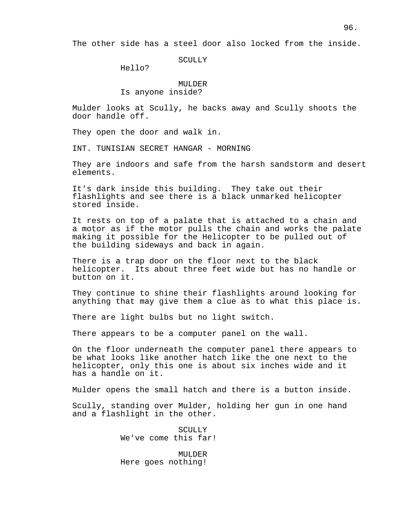The other side has a steel door also locked from the inside.

SCULLY

Hello?

# MULDER Is anyone inside?

Mulder looks at Scully, he backs away and Scully shoots the door handle off.

They open the door and walk in.

INT. TUNISIAN SECRET HANGAR - MORNING

They are indoors and safe from the harsh sandstorm and desert elements.

It's dark inside this building. They take out their flashlights and see there is a black unmarked helicopter stored inside.

It rests on top of a palate that is attached to a chain and a motor as if the motor pulls the chain and works the palate making it possible for the Helicopter to be pulled out of the building sideways and back in again.

There is a trap door on the floor next to the black helicopter. Its about three feet wide but has no handle or button on it.

They continue to shine their flashlights around looking for anything that may give them a clue as to what this place is.

There are light bulbs but no light switch.

There appears to be a computer panel on the wall.

On the floor underneath the computer panel there appears to be what looks like another hatch like the one next to the helicopter, only this one is about six inches wide and it has a handle on it.

Mulder opens the small hatch and there is a button inside.

Scully, standing over Mulder, holding her gun in one hand and a flashlight in the other.

> SCULLY We've come this far!

MULDER Here goes nothing!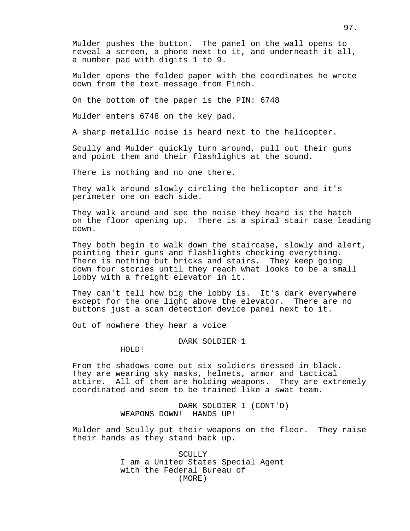Mulder pushes the button. The panel on the wall opens to reveal a screen, a phone next to it, and underneath it all, a number pad with digits 1 to 9.

Mulder opens the folded paper with the coordinates he wrote down from the text message from Finch.

On the bottom of the paper is the PIN: 6748

Mulder enters 6748 on the key pad.

A sharp metallic noise is heard next to the helicopter.

Scully and Mulder quickly turn around, pull out their guns and point them and their flashlights at the sound.

There is nothing and no one there.

They walk around slowly circling the helicopter and it's perimeter one on each side.

They walk around and see the noise they heard is the hatch on the floor opening up. There is a spiral stair case leading down.

They both begin to walk down the staircase, slowly and alert, pointing their guns and flashlights checking everything. There is nothing but bricks and stairs. They keep going down four stories until they reach what looks to be a small lobby with a freight elevator in it.

They can't tell how big the lobby is. It's dark everywhere except for the one light above the elevator. There are no buttons just a scan detection device panel next to it.

Out of nowhere they hear a voice

DARK SOLDIER 1

HOLD!

From the shadows come out six soldiers dressed in black. They are wearing sky masks, helmets, armor and tactical attire. All of them are holding weapons. They are extremely coordinated and seem to be trained like a swat team.

> DARK SOLDIER 1 (CONT'D) WEAPONS DOWN! HANDS UP!

Mulder and Scully put their weapons on the floor. They raise their hands as they stand back up.

> SCULLY I am a United States Special Agent with the Federal Bureau of (MORE)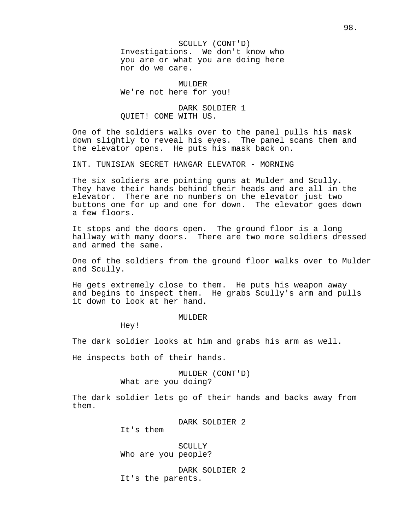SCULLY (CONT'D) Investigations. We don't know who you are or what you are doing here nor do we care.

MULDER We're not here for you!

DARK SOLDIER 1 QUIET! COME WITH US.

One of the soldiers walks over to the panel pulls his mask down slightly to reveal his eyes. The panel scans them and the elevator opens. He puts his mask back on.

INT. TUNISIAN SECRET HANGAR ELEVATOR - MORNING

The six soldiers are pointing guns at Mulder and Scully. They have their hands behind their heads and are all in the elevator. There are no numbers on the elevator just two buttons one for up and one for down. The elevator goes down a few floors.

It stops and the doors open. The ground floor is a long hallway with many doors. There are two more soldiers dressed and armed the same.

One of the soldiers from the ground floor walks over to Mulder and Scully.

He gets extremely close to them. He puts his weapon away and begins to inspect them. He grabs Scully's arm and pulls it down to look at her hand.

MULDER

Hey!

The dark soldier looks at him and grabs his arm as well.

He inspects both of their hands.

MULDER (CONT'D) What are you doing?

The dark soldier lets go of their hands and backs away from them.

DARK SOLDIER 2

It's them

SCULLY Who are you people?

DARK SOLDIER 2 It's the parents.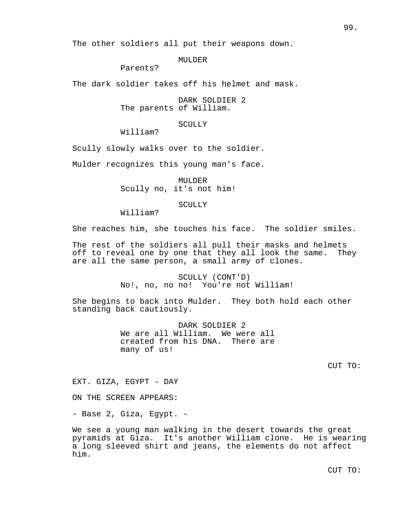The other soldiers all put their weapons down.

MULDER

Parents?

The dark soldier takes off his helmet and mask.

DARK SOLDIER 2 The parents of William.

SCULLY

William?

Scully slowly walks over to the soldier.

Mulder recognizes this young man's face.

MULDER Scully no, it's not him!

SCULLY

William?

She reaches him, she touches his face. The soldier smiles.

The rest of the soldiers all pull their masks and helmets off to reveal one by one that they all look the same. They are all the same person, a small army of clones.

> SCULLY (CONT'D) No!, no, no no! You're not William!

She begins to back into Mulder. They both hold each other standing back cautiously.

> DARK SOLDIER 2 We are all William. We were all created from his DNA. There are many of us!

> > CUT TO:

EXT. GIZA, EGYPT - DAY

ON THE SCREEN APPEARS:

- Base 2, Giza, Egypt. -

We see a young man walking in the desert towards the great pyramids at Giza. It's another William clone. He is wearing a long sleeved shirt and jeans, the elements do not affect him.

99.

CUT TO: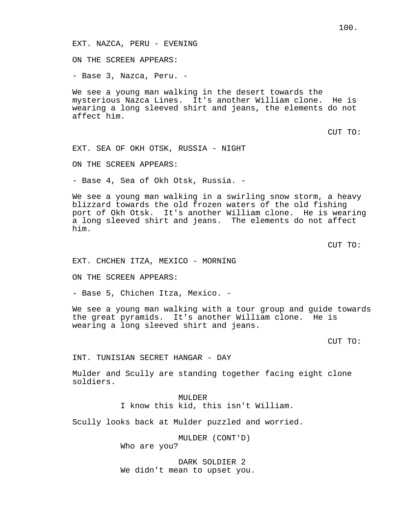EXT. NAZCA, PERU - EVENING

ON THE SCREEN APPEARS:

- Base 3, Nazca, Peru. -

We see a young man walking in the desert towards the mysterious Nazca Lines. It's another William clone. He is wearing a long sleeved shirt and jeans, the elements do not affect him.

CUT TO:

EXT. SEA OF OKH OTSK, RUSSIA - NIGHT

ON THE SCREEN APPEARS:

- Base 4, Sea of Okh Otsk, Russia. -

We see a young man walking in a swirling snow storm, a heavy blizzard towards the old frozen waters of the old fishing port of Okh Otsk. It's another William clone. He is wearing a long sleeved shirt and jeans. The elements do not affect him.

CUT TO:

EXT. CHCHEN ITZA, MEXICO - MORNING

ON THE SCREEN APPEARS:

- Base 5, Chichen Itza, Mexico. -

We see a young man walking with a tour group and guide towards the great pyramids. It's another William clone. He is wearing a long sleeved shirt and jeans.

CUT TO:

INT. TUNISIAN SECRET HANGAR - DAY

Mulder and Scully are standing together facing eight clone soldiers.

> MULDER I know this kid, this isn't William.

Scully looks back at Mulder puzzled and worried.

MULDER (CONT'D) Who are you?

DARK SOLDIER 2 We didn't mean to upset you.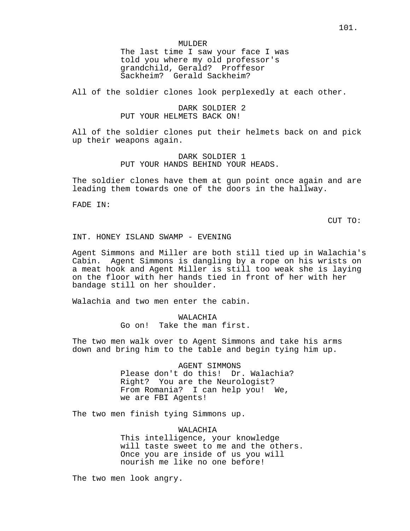### MULDER

The last time I saw your face I was told you where my old professor's grandchild, Gerald? Proffesor Sackheim? Gerald Sackheim?

All of the soldier clones look perplexedly at each other.

# DARK SOLDIER 2 PUT YOUR HELMETS BACK ON!

All of the soldier clones put their helmets back on and pick up their weapons again.

# DARK SOLDIER 1 PUT YOUR HANDS BEHIND YOUR HEADS.

The soldier clones have them at gun point once again and are leading them towards one of the doors in the hallway.

FADE IN:

CUT TO:

INT. HONEY ISLAND SWAMP - EVENING

Agent Simmons and Miller are both still tied up in Walachia's Cabin. Agent Simmons is dangling by a rope on his wrists on a meat hook and Agent Miller is still too weak she is laying on the floor with her hands tied in front of her with her bandage still on her shoulder.

Walachia and two men enter the cabin.

WALACHIA Go on! Take the man first.

The two men walk over to Agent Simmons and take his arms down and bring him to the table and begin tying him up.

> AGENT SIMMONS Please don't do this! Dr. Walachia? Right? You are the Neurologist? From Romania? I can help you! We, we are FBI Agents!

The two men finish tying Simmons up.

### WALACHIA

This intelligence, your knowledge will taste sweet to me and the others. Once you are inside of us you will nourish me like no one before!

The two men look angry.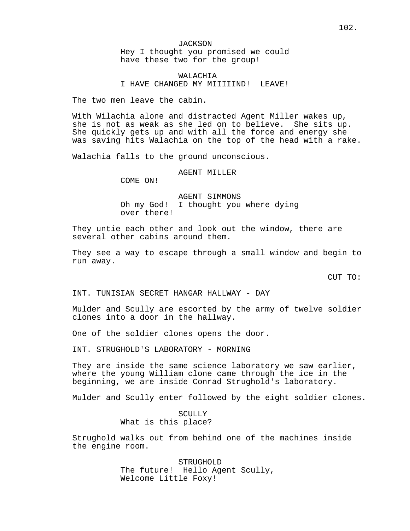JACKSON Hey I thought you promised we could have these two for the group!

# WALACHIA I HAVE CHANGED MY MIIIIIND! LEAVE!

The two men leave the cabin.

With Wilachia alone and distracted Agent Miller wakes up, she is not as weak as she led on to believe. She sits up. She quickly gets up and with all the force and energy she was saving hits Walachia on the top of the head with a rake.

Walachia falls to the ground unconscious.

AGENT MILLER

COME ON!

AGENT SIMMONS Oh my God! I thought you where dying over there!

They untie each other and look out the window, there are several other cabins around them.

They see a way to escape through a small window and begin to run away.

CUT TO:

INT. TUNISIAN SECRET HANGAR HALLWAY - DAY

Mulder and Scully are escorted by the army of twelve soldier clones into a door in the hallway.

One of the soldier clones opens the door.

INT. STRUGHOLD'S LABORATORY - MORNING

They are inside the same science laboratory we saw earlier, where the young William clone came through the ice in the beginning, we are inside Conrad Strughold's laboratory.

Mulder and Scully enter followed by the eight soldier clones.

SCULLY What is this place?

Strughold walks out from behind one of the machines inside the engine room.

> STRUGHOLD The future! Hello Agent Scully, Welcome Little Foxy!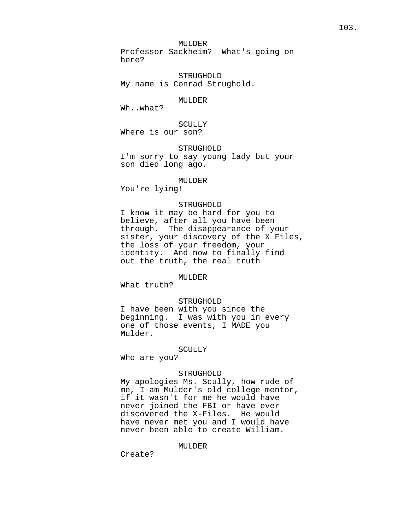## MULDER

Professor Sackheim? What's going on here?

STRUGHOLD My name is Conrad Strughold.

## MULDER

Wh..what?

## SCULLY

Where is our son?

STRUGHOLD

I'm sorry to say young lady but your son died long ago.

## MULDER

You're lying!

## STRUGHOLD

I know it may be hard for you to believe, after all you have been through. The disappearance of your sister, your discovery of the X Files, the loss of your freedom, your identity. And now to finally find out the truth, the real truth

# MULDER

What truth?

## STRUGHOLD

I have been with you since the beginning. I was with you in every one of those events, I MADE you Mulder.

### SCULLY

Who are you?

### STRUGHOLD

My apologies Ms. Scully, how rude of me, I am Mulder's old college mentor, if it wasn't for me he would have never joined the FBI or have ever discovered the X-Files. He would have never met you and I would have never been able to create William.

# MULDER

Create?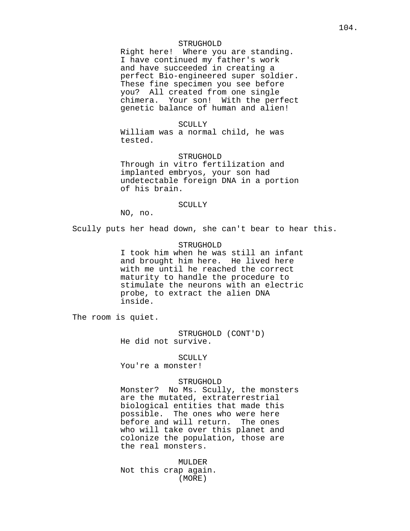# STRUGHOLD

Right here! Where you are standing. I have continued my father's work and have succeeded in creating a perfect Bio-engineered super soldier. These fine specimen you see before you? All created from one single chimera. Your son! With the perfect genetic balance of human and alien!

### SCULLY

William was a normal child, he was tested.

## STRUGHOLD

Through in vitro fertilization and implanted embryos, your son had undetectable foreign DNA in a portion of his brain.

#### SCULLY

NO, no.

Scully puts her head down, she can't bear to hear this.

## STRUGHOLD

I took him when he was still an infant and brought him here. He lived here with me until he reached the correct maturity to handle the procedure to stimulate the neurons with an electric probe, to extract the alien DNA inside.

The room is quiet.

STRUGHOLD (CONT'D) He did not survive.

## SCULLY

You're a monster!

### STRUGHOLD

Monster? No Ms. Scully, the monsters are the mutated, extraterrestrial biological entities that made this possible. The ones who were here before and will return. The ones who will take over this planet and colonize the population, those are the real monsters.

MULDER Not this crap again. (MORE)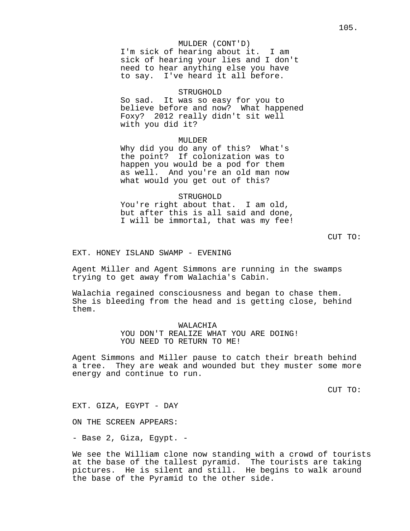## MULDER (CONT'D)

I'm sick of hearing about it. I am sick of hearing your lies and I don't need to hear anything else you have to say. I've heard it all before.

## STRUGHOLD

So sad. It was so easy for you to believe before and now? What happened Foxy? 2012 really didn't sit well with you did it?

### MULDER

Why did you do any of this? What's the point? If colonization was to happen you would be a pod for them as well. And you're an old man now what would you get out of this?

## STRUGHOLD

You're right about that. I am old, but after this is all said and done, I will be immortal, that was my fee!

CUT TO:

EXT. HONEY ISLAND SWAMP - EVENING

Agent Miller and Agent Simmons are running in the swamps trying to get away from Walachia's Cabin.

Walachia regained consciousness and began to chase them. She is bleeding from the head and is getting close, behind them.

#### WALACHIA

YOU DON'T REALIZE WHAT YOU ARE DOING! YOU NEED TO RETURN TO ME!

Agent Simmons and Miller pause to catch their breath behind a tree. They are weak and wounded but they muster some more energy and continue to run.

CUT TO:

EXT. GIZA, EGYPT - DAY

ON THE SCREEN APPEARS:

- Base 2, Giza, Egypt. -

We see the William clone now standing with a crowd of tourists at the base of the tallest pyramid. The tourists are taking pictures. He is silent and still. He begins to walk around the base of the Pyramid to the other side.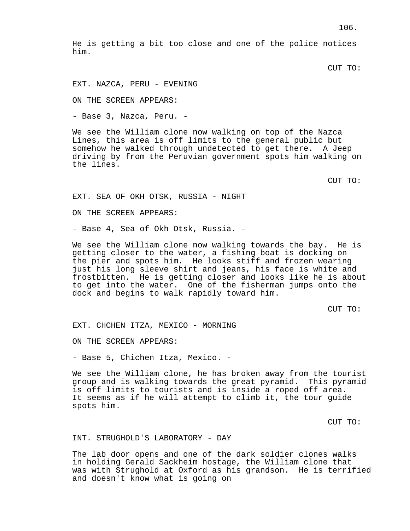He is getting a bit too close and one of the police notices him.

CUT TO:

EXT. NAZCA, PERU - EVENING

ON THE SCREEN APPEARS:

- Base 3, Nazca, Peru. -

We see the William clone now walking on top of the Nazca Lines, this area is off limits to the general public but somehow he walked through undetected to get there. A Jeep driving by from the Peruvian government spots him walking on the lines.

CUT TO:

EXT. SEA OF OKH OTSK, RUSSIA - NIGHT

ON THE SCREEN APPEARS:

- Base 4, Sea of Okh Otsk, Russia. -

We see the William clone now walking towards the bay. He is getting closer to the water, a fishing boat is docking on the pier and spots him. He looks stiff and frozen wearing just his long sleeve shirt and jeans, his face is white and frostbitten. He is getting closer and looks like he is about to get into the water. One of the fisherman jumps onto the dock and begins to walk rapidly toward him.

CUT TO:

EXT. CHCHEN ITZA, MEXICO - MORNING

ON THE SCREEN APPEARS:

- Base 5, Chichen Itza, Mexico. -

We see the William clone, he has broken away from the tourist group and is walking towards the great pyramid. This pyramid is off limits to tourists and is inside a roped off area. It seems as if he will attempt to climb it, the tour guide spots him.

CUT TO:

INT. STRUGHOLD'S LABORATORY - DAY

The lab door opens and one of the dark soldier clones walks in holding Gerald Sackheim hostage, the William clone that was with Strughold at Oxford as his grandson. He is terrified and doesn't know what is going on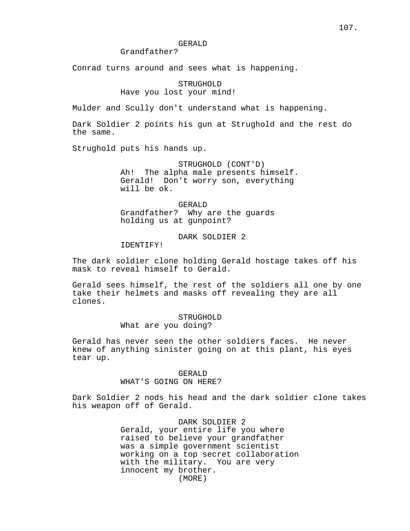## GERALD

Grandfather?

Conrad turns around and sees what is happening.

# STRUGHOLD Have you lost your mind!

Mulder and Scully don't understand what is happening.

Dark Soldier 2 points his gun at Strughold and the rest do the same.

Strughold puts his hands up.

STRUGHOLD (CONT'D) Ah! The alpha male presents himself. Gerald! Don't worry son, everything will be ok.

GERALD Grandfather? Why are the guards holding us at gunpoint?

DARK SOLDIER 2

IDENTIFY!

The dark soldier clone holding Gerald hostage takes off his mask to reveal himself to Gerald.

Gerald sees himself, the rest of the soldiers all one by one take their helmets and masks off revealing they are all clones.

> STRUGHOLD What are you doing?

Gerald has never seen the other soldiers faces. He never knew of anything sinister going on at this plant, his eyes tear up.

# GERALD

# WHAT'S GOING ON HERE?

Dark Soldier 2 nods his head and the dark soldier clone takes his weapon off of Gerald.

> DARK SOLDIER 2 Gerald, your entire life you where raised to believe your grandfather was a simple government scientist working on a top secret collaboration with the military. You are very innocent my brother. (MORE)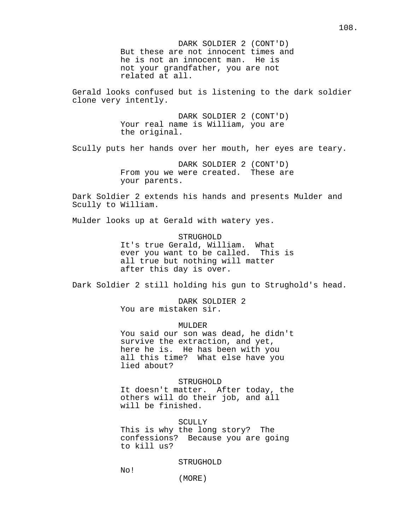DARK SOLDIER 2 (CONT'D) But these are not innocent times and he is not an innocent man. He is not your grandfather, you are not related at all. Gerald looks confused but is listening to the dark soldier clone very intently.

> DARK SOLDIER 2 (CONT'D) Your real name is William, you are the original.

Scully puts her hands over her mouth, her eyes are teary.

DARK SOLDIER 2 (CONT'D) From you we were created. These are your parents.

Dark Soldier 2 extends his hands and presents Mulder and Scully to William.

Mulder looks up at Gerald with watery yes.

STRUGHOLD It's true Gerald, William. What ever you want to be called. This is all true but nothing will matter after this day is over.

Dark Soldier 2 still holding his gun to Strughold's head.

DARK SOLDIER 2 You are mistaken sir.

MULDER

You said our son was dead, he didn't survive the extraction, and yet, here he is. He has been with you all this time? What else have you lied about?

STRUGHOLD It doesn't matter. After today, the others will do their job, and all will be finished.

SCULLY This is why the long story? The confessions? Because you are going to kill us?

STRUGHOLD

No!

(MORE)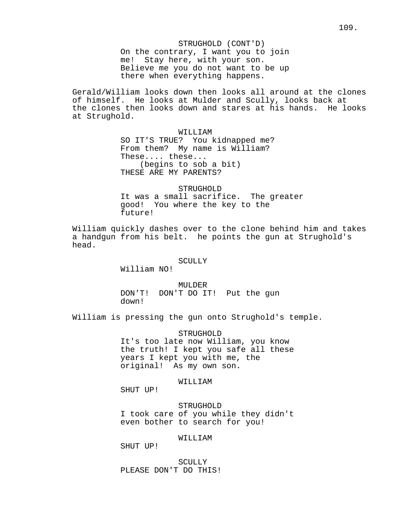STRUGHOLD (CONT'D) On the contrary, I want you to join me! Stay here, with your son. Believe me you do not want to be up there when everything happens.

Gerald/William looks down then looks all around at the clones of himself. He looks at Mulder and Scully, looks back at the clones then looks down and stares at his hands. He looks at Strughold.

WILLIAM

SO IT'S TRUE? You kidnapped me? From them? My name is William? These.... these... (begins to sob a bit) THESE ARE MY PARENTS?

STRUGHOLD It was a small sacrifice. The greater good! You where the key to the future!

William quickly dashes over to the clone behind him and takes a handgun from his belt. he points the gun at Strughold's head.

### SCULLY

William NO!

MULDER DON'T! DON'T DO IT! Put the gun

down!

William is pressing the gun onto Strughold's temple.

STRUGHOLD It's too late now William, you know the truth! I kept you safe all these years I kept you with me, the original! As my own son.

### WILLIAM

SHUT UP!

STRUGHOLD I took care of you while they didn't even bother to search for you!

WILLIAM

SHUT UP!

SCULLY PLEASE DON'T DO THIS!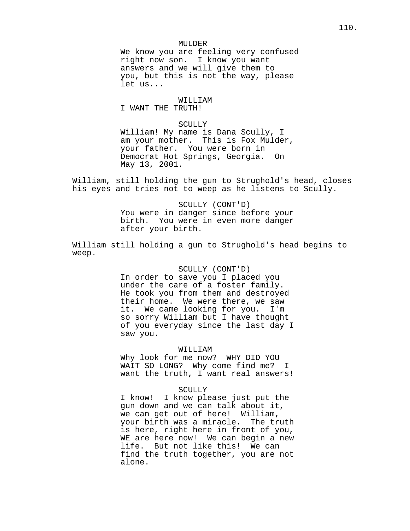#### MULDER

We know you are feeling very confused right now son. I know you want answers and we will give them to you, but this is not the way, please let us...

### WILLIAM

I WANT THE TRUTH!

# SCULLY

William! My name is Dana Scully, I am your mother. This is Fox Mulder, your father. You were born in Democrat Hot Springs, Georgia. On May 13, 2001.

William, still holding the gun to Strughold's head, closes his eyes and tries not to weep as he listens to Scully.

> SCULLY (CONT'D) You were in danger since before your birth. You were in even more danger after your birth.

William still holding a gun to Strughold's head begins to weep.

### SCULLY (CONT'D)

In order to save you I placed you under the care of a foster family. He took you from them and destroyed their home. We were there, we saw it. We came looking for you. I'm so sorry William but I have thought of you everyday since the last day I saw you.

### WILLIAM

Why look for me now? WHY DID YOU WAIT SO LONG? Why come find me? I want the truth, I want real answers!

### SCULLY

I know! I know please just put the gun down and we can talk about it, we can get out of here! William, your birth was a miracle. The truth is here, right here in front of you, WE are here now! We can begin a new life. But not like this! We can find the truth together, you are not alone.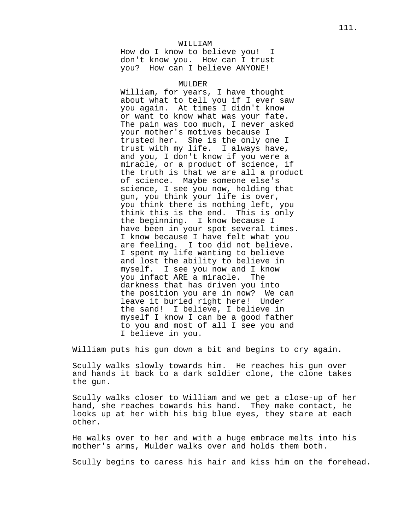How do I know to believe you! I don't know you. How can I trust you? How can I believe ANYONE!

#### MULDER

William, for years, I have thought about what to tell you if I ever saw you again. At times I didn't know or want to know what was your fate. The pain was too much, I never asked your mother's motives because I trusted her. She is the only one I trust with my life. I always have, and you, I don't know if you were a miracle, or a product of science, if the truth is that we are all a product of science. Maybe someone else's science, I see you now, holding that gun, you think your life is over, you think there is nothing left, you think this is the end. This is only the beginning. I know because I have been in your spot several times. I know because I have felt what you are feeling. I too did not believe. I spent my life wanting to believe and lost the ability to believe in myself. I see you now and I know you infact ARE a miracle. The darkness that has driven you into the position you are in now? We can leave it buried right here! Under the sand! I believe, I believe in myself I know I can be a good father to you and most of all I see you and I believe in you.

William puts his gun down a bit and begins to cry again.

Scully walks slowly towards him. He reaches his gun over and hands it back to a dark soldier clone, the clone takes the gun.

Scully walks closer to William and we get a close-up of her hand, she reaches towards his hand. They make contact, he looks up at her with his big blue eyes, they stare at each other.

He walks over to her and with a huge embrace melts into his mother's arms, Mulder walks over and holds them both.

Scully begins to caress his hair and kiss him on the forehead.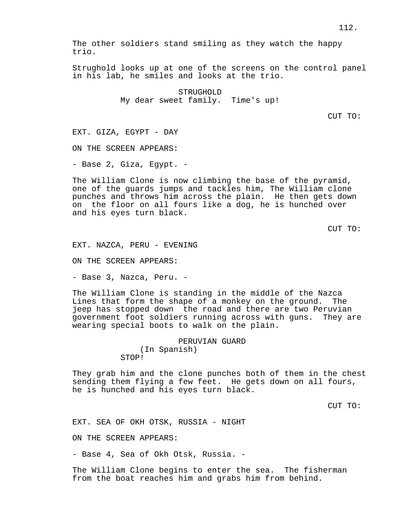The other soldiers stand smiling as they watch the happy trio.

Strughold looks up at one of the screens on the control panel in his lab, he smiles and looks at the trio.

> STRUGHOLD My dear sweet family. Time's up!

> > CUT TO:

EXT. GIZA, EGYPT - DAY

ON THE SCREEN APPEARS:

- Base 2, Giza, Egypt. -

The William Clone is now climbing the base of the pyramid, one of the guards jumps and tackles him, The William clone punches and throws him across the plain. He then gets down on the floor on all fours like a dog, he is hunched over and his eyes turn black.

CUT TO:

EXT. NAZCA, PERU - EVENING

ON THE SCREEN APPEARS:

- Base 3, Nazca, Peru. -

The William Clone is standing in the middle of the Nazca Lines that form the shape of a monkey on the ground. The jeep has stopped down the road and there are two Peruvian government foot soldiers running across with guns. They are wearing special boots to walk on the plain.

> PERUVIAN GUARD (In Spanish) STOP!

They grab him and the clone punches both of them in the chest sending them flying a few feet. He gets down on all fours, he is hunched and his eyes turn black.

CUT TO:

EXT. SEA OF OKH OTSK, RUSSIA - NIGHT

ON THE SCREEN APPEARS:

- Base 4, Sea of Okh Otsk, Russia. -

The William Clone begins to enter the sea. The fisherman from the boat reaches him and grabs him from behind.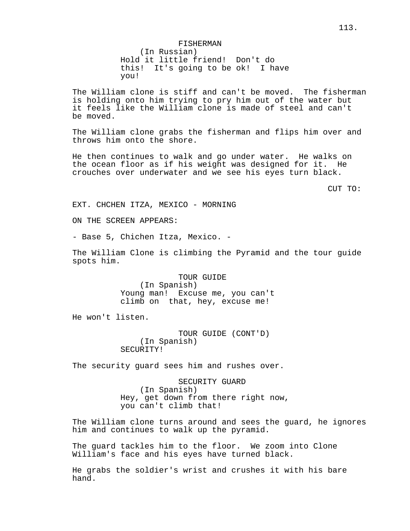FISHERMAN (In Russian) Hold it little friend! Don't do this! It's going to be ok! I have you!

The William clone is stiff and can't be moved. The fisherman is holding onto him trying to pry him out of the water but it feels like the William clone is made of steel and can't be moved.

The William clone grabs the fisherman and flips him over and throws him onto the shore.

He then continues to walk and go under water. He walks on the ocean floor as if his weight was designed for it. He crouches over underwater and we see his eyes turn black.

CUT TO:

EXT. CHCHEN ITZA, MEXICO - MORNING

ON THE SCREEN APPEARS:

- Base 5, Chichen Itza, Mexico. -

The William Clone is climbing the Pyramid and the tour guide spots him.

> TOUR GUIDE (In Spanish) Young man! Excuse me, you can't climb on that, hey, excuse me!

He won't listen.

TOUR GUIDE (CONT'D) (In Spanish) SECURITY!

The security guard sees him and rushes over.

SECURITY GUARD (In Spanish) Hey, get down from there right now, you can't climb that!

The William clone turns around and sees the guard, he ignores him and continues to walk up the pyramid.

The guard tackles him to the floor. We zoom into Clone William's face and his eyes have turned black.

He grabs the soldier's wrist and crushes it with his bare hand.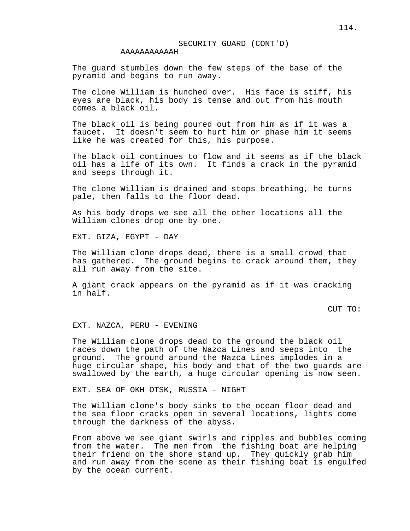#### SECURITY GUARD (CONT'D) AAAAAAAAAAAH

The guard stumbles down the few steps of the base of the pyramid and begins to run away.

The clone William is hunched over. His face is stiff, his eyes are black, his body is tense and out from his mouth comes a black oil.

The black oil is being poured out from him as if it was a faucet. It doesn't seem to hurt him or phase him it seems like he was created for this, his purpose.

The black oil continues to flow and it seems as if the black oil has a life of its own. It finds a crack in the pyramid and seeps through it.

The clone William is drained and stops breathing, he turns pale, then falls to the floor dead.

As his body drops we see all the other locations all the William clones drop one by one.

EXT. GIZA, EGYPT - DAY

The William clone drops dead, there is a small crowd that has gathered. The ground begins to crack around them, they all run away from the site.

A giant crack appears on the pyramid as if it was cracking in half.

CUT TO:

EXT. NAZCA, PERU - EVENING

The William clone drops dead to the ground the black oil races down the path of the Nazca Lines and seeps into the ground. The ground around the Nazca Lines implodes in a huge circular shape, his body and that of the two guards are swallowed by the earth, a huge circular opening is now seen.

EXT. SEA OF OKH OTSK, RUSSIA - NIGHT

The William clone's body sinks to the ocean floor dead and the sea floor cracks open in several locations, lights come through the darkness of the abyss.

From above we see giant swirls and ripples and bubbles coming from the water. The men from the fishing boat are helping their friend on the shore stand up. They quickly grab him and run away from the scene as their fishing boat is engulfed by the ocean current.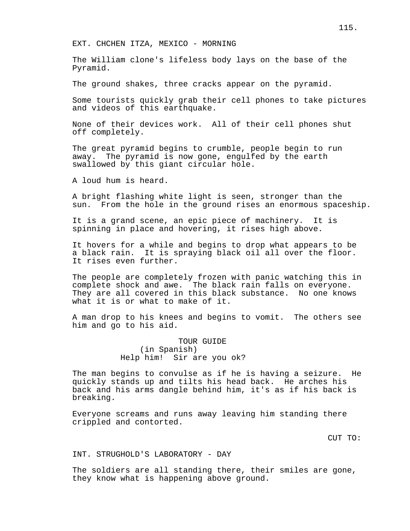EXT. CHCHEN ITZA, MEXICO - MORNING

The William clone's lifeless body lays on the base of the Pyramid.

The ground shakes, three cracks appear on the pyramid.

Some tourists quickly grab their cell phones to take pictures and videos of this earthquake.

None of their devices work. All of their cell phones shut off completely.

The great pyramid begins to crumble, people begin to run away. The pyramid is now gone, engulfed by the earth swallowed by this giant circular hole.

A loud hum is heard.

A bright flashing white light is seen, stronger than the sun. From the hole in the ground rises an enormous spaceship.

It is a grand scene, an epic piece of machinery. It is spinning in place and hovering, it rises high above.

It hovers for a while and begins to drop what appears to be a black rain. It is spraying black oil all over the floor. It rises even further.

The people are completely frozen with panic watching this in complete shock and awe. The black rain falls on everyone. They are all covered in this black substance. No one knows what it is or what to make of it.

A man drop to his knees and begins to vomit. The others see him and go to his aid.

> TOUR GUIDE (in Spanish) Help him! Sir are you ok?

The man begins to convulse as if he is having a seizure. He quickly stands up and tilts his head back. He arches his back and his arms dangle behind him, it's as if his back is breaking.

Everyone screams and runs away leaving him standing there crippled and contorted.

CUT TO:

INT. STRUGHOLD'S LABORATORY - DAY

The soldiers are all standing there, their smiles are gone, they know what is happening above ground.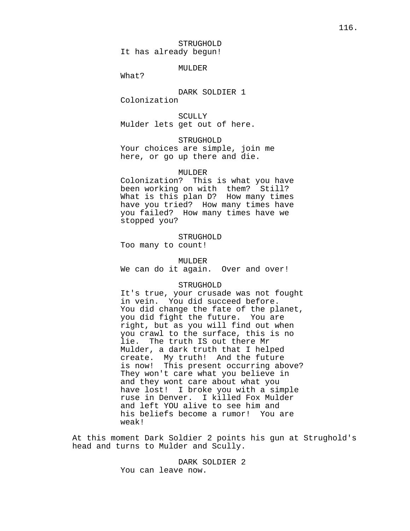STRUGHOLD It has already begun!

MULDER

What?

DARK SOLDIER 1 Colonization

SCULLY Mulder lets get out of here.

STRUGHOLD Your choices are simple, join me here, or go up there and die.

MULDER

Colonization? This is what you have been working on with them? Still? What is this plan D? How many times have you tried? How many times have you failed? How many times have we stopped you?

STRUGHOLD Too many to count!

MULDER

We can do it again. Over and over!

STRUGHOLD

It's true, your crusade was not fought in vein. You did succeed before. You did change the fate of the planet, you did fight the future. You are right, but as you will find out when you crawl to the surface, this is no lie. The truth IS out there Mr Mulder, a dark truth that I helped create. My truth! And the future is now! This present occurring above? They won't care what you believe in and they wont care about what you have lost! I broke you with a simple ruse in Denver. I killed Fox Mulder and left YOU alive to see him and his beliefs become a rumor! You are weak!

At this moment Dark Soldier 2 points his gun at Strughold's head and turns to Mulder and Scully.

> DARK SOLDIER 2 You can leave now.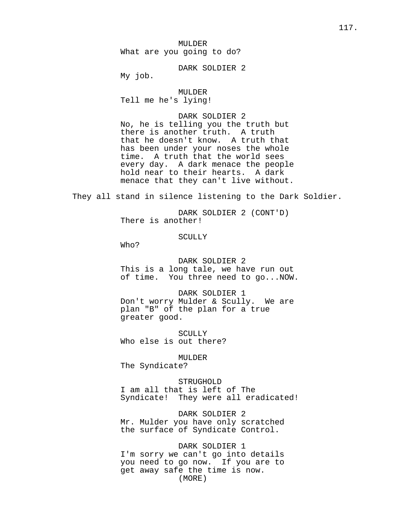MULDER What are you going to do?

DARK SOLDIER 2

My job.

MULDER

Tell me he's lying!

DARK SOLDIER 2

No, he is telling you the truth but there is another truth. A truth that he doesn't know. A truth that has been under your noses the whole time. A truth that the world sees every day. A dark menace the people hold near to their hearts. A dark menace that they can't live without.

They all stand in silence listening to the Dark Soldier.

DARK SOLDIER 2 (CONT'D) There is another!

SCULLY

Who?

DARK SOLDIER 2 This is a long tale, we have run out of time. You three need to go...NOW.

DARK SOLDIER 1 Don't worry Mulder & Scully. We are plan "B" of the plan for a true greater good.

SCULLY Who else is out there?

MULDER

The Syndicate?

STRUGHOLD I am all that is left of The

Syndicate! They were all eradicated!

DARK SOLDIER 2 Mr. Mulder you have only scratched the surface of Syndicate Control.

DARK SOLDIER 1 I'm sorry we can't go into details you need to go now. If you are to get away safe the time is now. (MORE)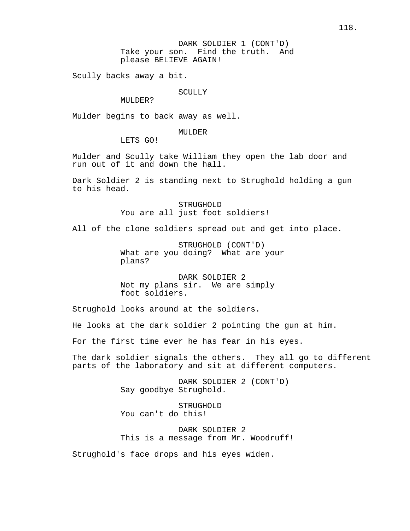Scully backs away a bit.

# SCULLY

MULDER?

Mulder begins to back away as well.

MULDER

LETS GO!

Mulder and Scully take William they open the lab door and run out of it and down the hall.

Dark Soldier 2 is standing next to Strughold holding a gun to his head.

> STRUGHOLD You are all just foot soldiers!

All of the clone soldiers spread out and get into place.

STRUGHOLD (CONT'D) What are you doing? What are your plans?

DARK SOLDIER 2 Not my plans sir. We are simply foot soldiers.

Strughold looks around at the soldiers.

He looks at the dark soldier 2 pointing the gun at him.

For the first time ever he has fear in his eyes.

The dark soldier signals the others. They all go to different parts of the laboratory and sit at different computers.

> DARK SOLDIER 2 (CONT'D) Say goodbye Strughold.

STRUGHOLD You can't do this!

DARK SOLDIER 2 This is a message from Mr. Woodruff!

Strughold's face drops and his eyes widen.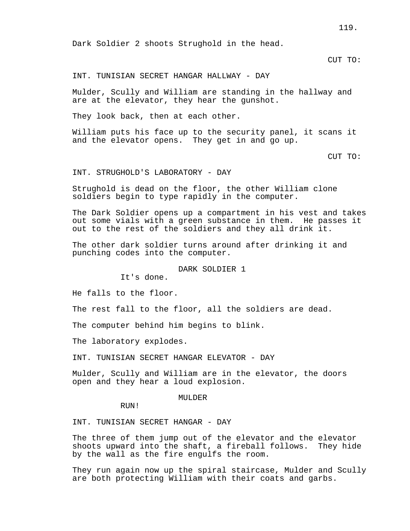CUT TO:

INT. TUNISIAN SECRET HANGAR HALLWAY - DAY

Mulder, Scully and William are standing in the hallway and are at the elevator, they hear the gunshot.

They look back, then at each other.

William puts his face up to the security panel, it scans it and the elevator opens. They get in and go up.

CUT TO:

INT. STRUGHOLD'S LABORATORY - DAY

Strughold is dead on the floor, the other William clone soldiers begin to type rapidly in the computer.

The Dark Soldier opens up a compartment in his vest and takes out some vials with a green substance in them. He passes it out to the rest of the soldiers and they all drink it.

The other dark soldier turns around after drinking it and punching codes into the computer.

DARK SOLDIER 1

It's done.

He falls to the floor.

The rest fall to the floor, all the soldiers are dead.

The computer behind him begins to blink.

The laboratory explodes.

INT. TUNISIAN SECRET HANGAR ELEVATOR - DAY

Mulder, Scully and William are in the elevator, the doors open and they hear a loud explosion.

MULDER

RIJN!

INT. TUNISIAN SECRET HANGAR - DAY

The three of them jump out of the elevator and the elevator shoots upward into the shaft, a fireball follows. They hide by the wall as the fire engulfs the room.

They run again now up the spiral staircase, Mulder and Scully are both protecting William with their coats and garbs.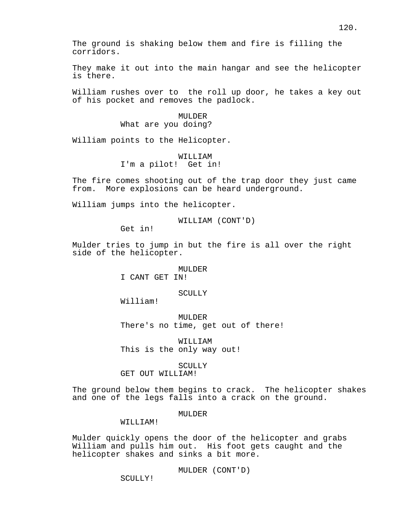The ground is shaking below them and fire is filling the corridors.

They make it out into the main hangar and see the helicopter is there.

William rushes over to the roll up door, he takes a key out of his pocket and removes the padlock.

# MULDER What are you doing?

William points to the Helicopter.

# WILLIAM I'm a pilot! Get in!

The fire comes shooting out of the trap door they just came from. More explosions can be heard underground.

William jumps into the helicopter.

WILLIAM (CONT'D)

Get in!

Mulder tries to jump in but the fire is all over the right side of the helicopter.

## MULDER I CANT GET IN!

SCULLY

William!

MULDER There's no time, get out of there!

WILLIAM This is the only way out!

SCULLY GET OUT WILLIAM!

The ground below them begins to crack. The helicopter shakes and one of the legs falls into a crack on the ground.

MULDER

WILLIAM!

Mulder quickly opens the door of the helicopter and grabs William and pulls him out. His foot gets caught and the helicopter shakes and sinks a bit more.

MULDER (CONT'D)

SCULLY!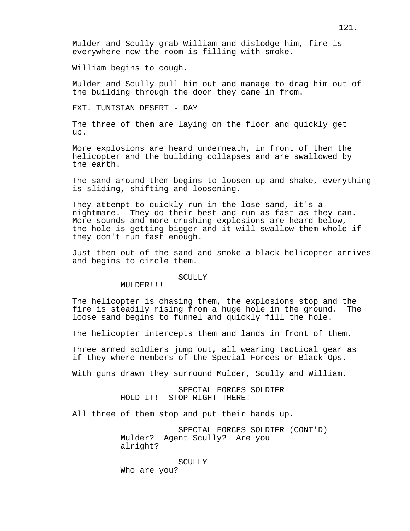William begins to cough.

Mulder and Scully pull him out and manage to drag him out of the building through the door they came in from.

EXT. TUNISIAN DESERT - DAY

The three of them are laying on the floor and quickly get up.

More explosions are heard underneath, in front of them the helicopter and the building collapses and are swallowed by the earth.

The sand around them begins to loosen up and shake, everything is sliding, shifting and loosening.

They attempt to quickly run in the lose sand, it's a nightmare. They do their best and run as fast as they can. More sounds and more crushing explosions are heard below, the hole is getting bigger and it will swallow them whole if they don't run fast enough.

Just then out of the sand and smoke a black helicopter arrives and begins to circle them.

### SCULLY

MULDER!!!

The helicopter is chasing them, the explosions stop and the fire is steadily rising from a huge hole in the ground. The loose sand begins to funnel and quickly fill the hole.

The helicopter intercepts them and lands in front of them.

Three armed soldiers jump out, all wearing tactical gear as if they where members of the Special Forces or Black Ops.

With guns drawn they surround Mulder, Scully and William.

SPECIAL FORCES SOLDIER HOLD IT! STOP RIGHT THERE!

All three of them stop and put their hands up.

SPECIAL FORCES SOLDIER (CONT'D) Mulder? Agent Scully? Are you alright?

SCULLY

Who are you?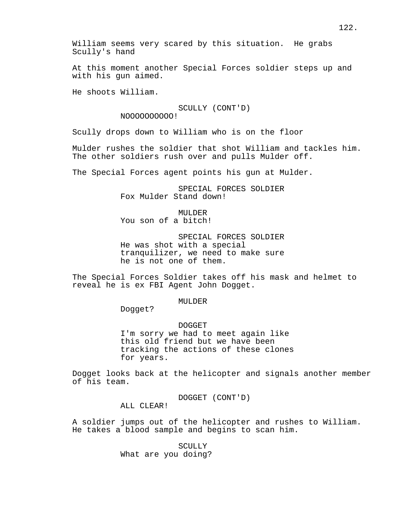William seems very scared by this situation. He grabs Scully's hand

At this moment another Special Forces soldier steps up and with his gun aimed.

He shoots William.

SCULLY (CONT'D) NOOOOOOOOOO!

Scully drops down to William who is on the floor

Mulder rushes the soldier that shot William and tackles him. The other soldiers rush over and pulls Mulder off.

The Special Forces agent points his gun at Mulder.

SPECIAL FORCES SOLDIER Fox Mulder Stand down!

MULDER You son of a bitch!

SPECIAL FORCES SOLDIER He was shot with a special tranquilizer, we need to make sure he is not one of them.

The Special Forces Soldier takes off his mask and helmet to reveal he is ex FBI Agent John Dogget.

MULDER

Dogget?

DOGGET I'm sorry we had to meet again like this old friend but we have been tracking the actions of these clones for years.

Dogget looks back at the helicopter and signals another member of his team.

DOGGET (CONT'D)

ALL CLEAR!

A soldier jumps out of the helicopter and rushes to William. He takes a blood sample and begins to scan him.

> SCULLY What are you doing?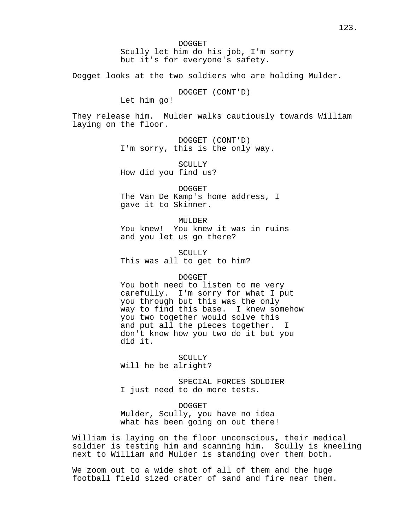Scully let him do his job, I'm sorry but it's for everyone's safety.

Dogget looks at the two soldiers who are holding Mulder.

DOGGET (CONT'D)

Let him go!

They release him. Mulder walks cautiously towards William laying on the floor.

> DOGGET (CONT'D) I'm sorry, this is the only way.

SCULLY How did you find us?

DOGGET The Van De Kamp's home address, I gave it to Skinner.

MULDER You knew! You knew it was in ruins and you let us go there?

SCULLY This was all to get to him?

#### DOGGET

You both need to listen to me very carefully. I'm sorry for what I put you through but this was the only way to find this base. I knew somehow you two together would solve this and put all the pieces together. I don't know how you two do it but you did it.

SCULLY Will he be alright?

SPECIAL FORCES SOLDIER I just need to do more tests.

DOGGET Mulder, Scully, you have no idea what has been going on out there!

William is laying on the floor unconscious, their medical soldier is testing him and scanning him. Scully is kneeling next to William and Mulder is standing over them both.

We zoom out to a wide shot of all of them and the huge football field sized crater of sand and fire near them.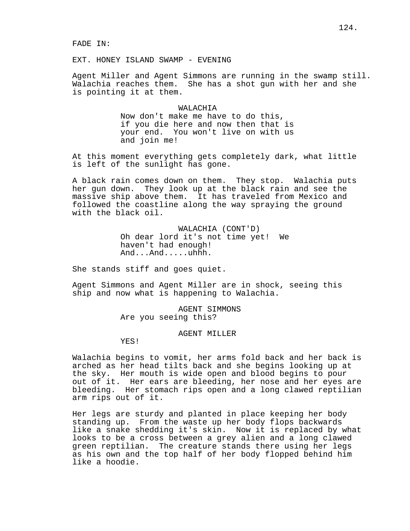#### FADE IN:

EXT. HONEY ISLAND SWAMP - EVENING

Agent Miller and Agent Simmons are running in the swamp still. Walachia reaches them. She has a shot gun with her and she is pointing it at them.

#### WALACHIA

Now don't make me have to do this, if you die here and now then that is your end. You won't live on with us and join me!

At this moment everything gets completely dark, what little is left of the sunlight has gone.

A black rain comes down on them. They stop. Walachia puts her gun down. They look up at the black rain and see the massive ship above them. It has traveled from Mexico and followed the coastline along the way spraying the ground with the black oil.

> WALACHIA (CONT'D) Oh dear lord it's not time yet! We haven't had enough! And...And.....uhhh.

She stands stiff and goes quiet.

Agent Simmons and Agent Miller are in shock, seeing this ship and now what is happening to Walachia.

> AGENT SIMMONS Are you seeing this?

### AGENT MILLER

YES!

Walachia begins to vomit, her arms fold back and her back is arched as her head tilts back and she begins looking up at the sky. Her mouth is wide open and blood begins to pour out of it. Her ears are bleeding, her nose and her eyes are bleeding. Her stomach rips open and a long clawed reptilian arm rips out of it.

Her legs are sturdy and planted in place keeping her body standing up. From the waste up her body flops backwards like a snake shedding it's skin. Now it is replaced by what looks to be a cross between a grey alien and a long clawed green reptilian. The creature stands there using her legs as his own and the top half of her body flopped behind him like a hoodie.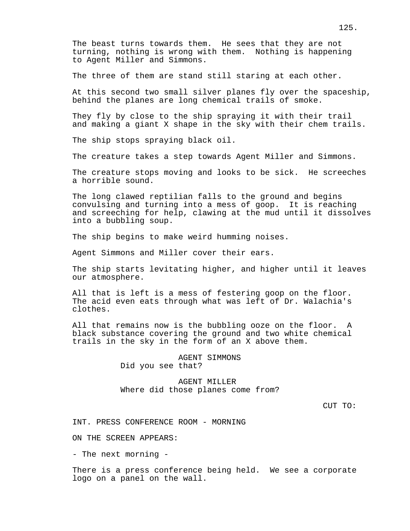The beast turns towards them. He sees that they are not turning, nothing is wrong with them. Nothing is happening to Agent Miller and Simmons.

The three of them are stand still staring at each other.

At this second two small silver planes fly over the spaceship, behind the planes are long chemical trails of smoke.

They fly by close to the ship spraying it with their trail and making a giant X shape in the sky with their chem trails.

The ship stops spraying black oil.

The creature takes a step towards Agent Miller and Simmons.

The creature stops moving and looks to be sick. He screeches a horrible sound.

The long clawed reptilian falls to the ground and begins convulsing and turning into a mess of goop. It is reaching and screeching for help, clawing at the mud until it dissolves into a bubbling soup.

The ship begins to make weird humming noises.

Agent Simmons and Miller cover their ears.

The ship starts levitating higher, and higher until it leaves our atmosphere.

All that is left is a mess of festering goop on the floor. The acid even eats through what was left of Dr. Walachia's clothes.

All that remains now is the bubbling ooze on the floor. A black substance covering the ground and two white chemical trails in the sky in the form of an X above them.

> AGENT SIMMONS Did you see that?

AGENT MILLER Where did those planes come from?

CUT TO:

INT. PRESS CONFERENCE ROOM - MORNING

ON THE SCREEN APPEARS:

- The next morning -

There is a press conference being held. We see a corporate logo on a panel on the wall.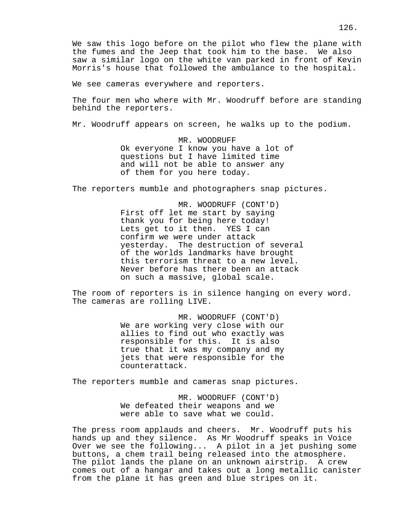We saw this logo before on the pilot who flew the plane with the fumes and the Jeep that took him to the base. We also saw a similar logo on the white van parked in front of Kevin Morris's house that followed the ambulance to the hospital.

We see cameras everywhere and reporters.

The four men who where with Mr. Woodruff before are standing behind the reporters.

Mr. Woodruff appears on screen, he walks up to the podium.

MR. WOODRUFF Ok everyone I know you have a lot of questions but I have limited time and will not be able to answer any of them for you here today.

The reporters mumble and photographers snap pictures.

MR. WOODRUFF (CONT'D) First off let me start by saying thank you for being here today! Lets get to it then. YES I can confirm we were under attack yesterday. The destruction of several of the worlds landmarks have brought this terrorism threat to a new level. Never before has there been an attack on such a massive, global scale.

The room of reporters is in silence hanging on every word. The cameras are rolling LIVE.

> MR. WOODRUFF (CONT'D) We are working very close with our allies to find out who exactly was responsible for this. It is also true that it was my company and my jets that were responsible for the counterattack.

The reporters mumble and cameras snap pictures.

MR. WOODRUFF (CONT'D) We defeated their weapons and we were able to save what we could.

The press room applauds and cheers. Mr. Woodruff puts his hands up and they silence. As Mr Woodruff speaks in Voice Over we see the following... A pilot in a jet pushing some buttons, a chem trail being released into the atmosphere. The pilot lands the plane on an unknown airstrip. A crew comes out of a hangar and takes out a long metallic canister from the plane it has green and blue stripes on it.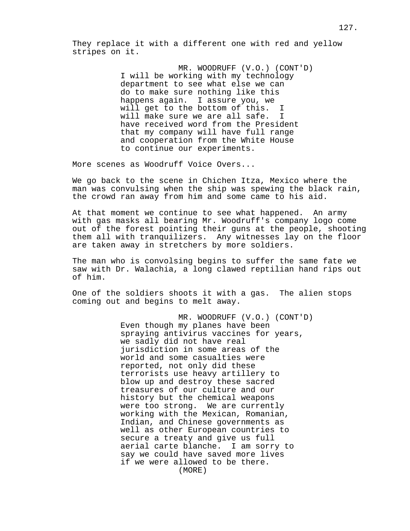They replace it with a different one with red and yellow stripes on it.

> MR. WOODRUFF (V.O.) (CONT'D) I will be working with my technology department to see what else we can do to make sure nothing like this happens again. I assure you, we will get to the bottom of this. I will make sure we are all safe. I have received word from the President that my company will have full range and cooperation from the White House to continue our experiments.

More scenes as Woodruff Voice Overs...

We go back to the scene in Chichen Itza, Mexico where the man was convulsing when the ship was spewing the black rain, the crowd ran away from him and some came to his aid.

At that moment we continue to see what happened. An army with gas masks all bearing Mr. Woodruff's company logo come out of the forest pointing their guns at the people, shooting them all with tranquilizers. Any witnesses lay on the floor are taken away in stretchers by more soldiers.

The man who is convolsing begins to suffer the same fate we saw with Dr. Walachia, a long clawed reptilian hand rips out of him.

One of the soldiers shoots it with a gas. The alien stops coming out and begins to melt away.

> MR. WOODRUFF (V.O.) (CONT'D) Even though my planes have been spraying antivirus vaccines for years, we sadly did not have real jurisdiction in some areas of the world and some casualties were reported, not only did these terrorists use heavy artillery to blow up and destroy these sacred treasures of our culture and our history but the chemical weapons were too strong. We are currently working with the Mexican, Romanian, Indian, and Chinese governments as well as other European countries to secure a treaty and give us full aerial carte blanche. I am sorry to say we could have saved more lives if we were allowed to be there. (MORE)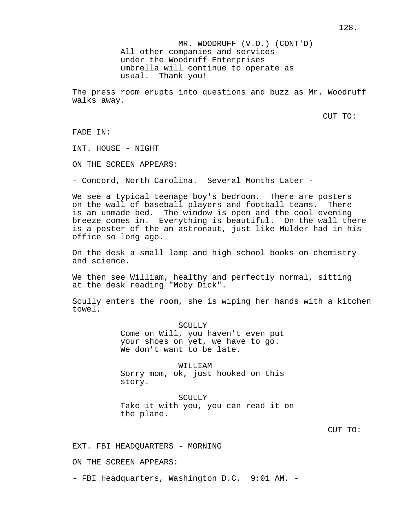The press room erupts into questions and buzz as Mr. Woodruff walks away.

CUT TO:

FADE IN:

INT. HOUSE - NIGHT

ON THE SCREEN APPEARS:

- Concord, North Carolina. Several Months Later -

We see a typical teenage boy's bedroom. There are posters on the wall of baseball players and football teams. There is an unmade bed. The window is open and the cool evening breeze comes in. Everything is beautiful. On the wall there is a poster of the an astronaut, just like Mulder had in his office so long ago.

On the desk a small lamp and high school books on chemistry and science.

We then see William, healthy and perfectly normal, sitting at the desk reading "Moby Dick".

Scully enters the room, she is wiping her hands with a kitchen towel.

> SCULLY Come on Will, you haven't even put your shoes on yet, we have to go. We don't want to be late.

> WILLIAM Sorry mom, ok, just hooked on this story.

SCULLY Take it with you, you can read it on the plane.

CUT TO:

EXT. FBI HEADQUARTERS - MORNING

ON THE SCREEN APPEARS:

- FBI Headquarters, Washington D.C. 9:01 AM. -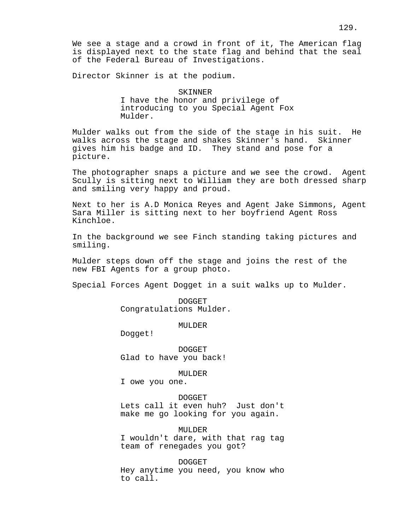We see a stage and a crowd in front of it, The American flag is displayed next to the state flag and behind that the seal of the Federal Bureau of Investigations.

Director Skinner is at the podium.

### SKINNER

I have the honor and privilege of introducing to you Special Agent Fox Mulder.

Mulder walks out from the side of the stage in his suit. He walks across the stage and shakes Skinner's hand. Skinner gives him his badge and ID. They stand and pose for a picture.

The photographer snaps a picture and we see the crowd. Agent Scully is sitting next to William they are both dressed sharp and smiling very happy and proud.

Next to her is A.D Monica Reyes and Agent Jake Simmons, Agent Sara Miller is sitting next to her boyfriend Agent Ross Kinchloe.

In the background we see Finch standing taking pictures and smiling.

Mulder steps down off the stage and joins the rest of the new FBI Agents for a group photo.

Special Forces Agent Dogget in a suit walks up to Mulder.

DOGGET Congratulations Mulder.

MULDER

Dogget!

DOGGET Glad to have you back!

MULDER

I owe you one.

DOGGET

Lets call it even huh? Just don't make me go looking for you again.

MULDER I wouldn't dare, with that rag tag team of renegades you got?

DOGGET Hey anytime you need, you know who to call.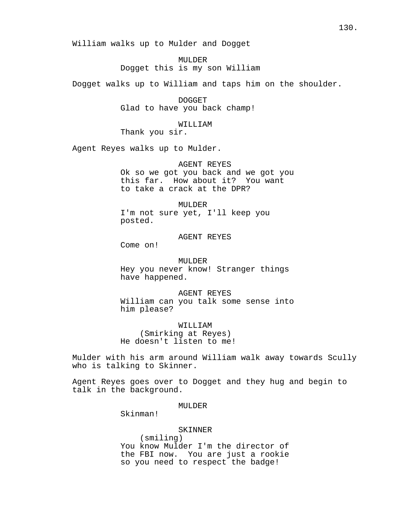William walks up to Mulder and Dogget

MULDER Dogget this is my son William

Dogget walks up to William and taps him on the shoulder.

DOGGET Glad to have you back champ!

WILLIAM

Thank you sir.

Agent Reyes walks up to Mulder.

AGENT REYES Ok so we got you back and we got you this far. How about it? You want to take a crack at the DPR?

MULDER I'm not sure yet, I'll keep you posted.

AGENT REYES

Come on!

MULDER Hey you never know! Stranger things have happened.

AGENT REYES William can you talk some sense into him please?

WILLIAM (Smirking at Reyes) He doesn't listen to me!

Mulder with his arm around William walk away towards Scully who is talking to Skinner.

Agent Reyes goes over to Dogget and they hug and begin to talk in the background.

MULDER

Skinman!

SKINNER

(smiling) You know Mulder I'm the director of the FBI now. You are just a rookie so you need to respect the badge!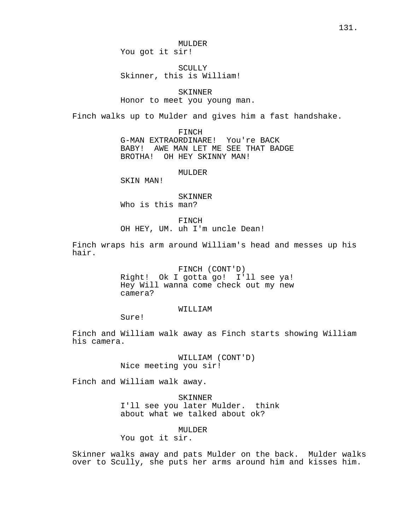MULDER You got it sir!

SCULLY Skinner, this is William!

SKINNER

Honor to meet you young man.

Finch walks up to Mulder and gives him a fast handshake.

FINCH

G-MAN EXTRAORDINARE! You're BACK BABY! AWE MAN LET ME SEE THAT BADGE BROTHA! OH HEY SKINNY MAN!

MULDER

SKIN MAN!

SKINNER Who is this man?

FINCH OH HEY, UM. uh I'm uncle Dean!

Finch wraps his arm around William's head and messes up his hair.

> FINCH (CONT'D) Right! Ok I gotta go! I'll see ya! Hey Will wanna come check out my new camera?

> > WILLIAM

Sure!

Finch and William walk away as Finch starts showing William his camera.

> WILLIAM (CONT'D) Nice meeting you sir!

Finch and William walk away.

SKINNER I'll see you later Mulder. think about what we talked about ok?

MULDER

You got it sir.

Skinner walks away and pats Mulder on the back. Mulder walks over to Scully, she puts her arms around him and kisses him.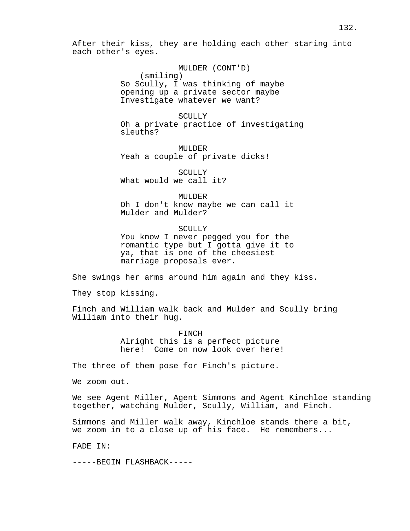After their kiss, they are holding each other staring into each other's eyes.

### MULDER (CONT'D)

(smiling) So Scully, I was thinking of maybe opening up a private sector maybe Investigate whatever we want?

### SCULLY

Oh a private practice of investigating sleuths?

MULDER Yeah a couple of private dicks!

SCULLY What would we call it?

MULDER

Oh I don't know maybe we can call it Mulder and Mulder?

# SCULLY

You know I never pegged you for the romantic type but I gotta give it to ya, that is one of the cheesiest marriage proposals ever.

She swings her arms around him again and they kiss.

They stop kissing.

Finch and William walk back and Mulder and Scully bring William into their hug.

> FINCH Alright this is a perfect picture here! Come on now look over here!

The three of them pose for Finch's picture.

We zoom out.

We see Agent Miller, Agent Simmons and Agent Kinchloe standing together, watching Mulder, Scully, William, and Finch.

Simmons and Miller walk away, Kinchloe stands there a bit, we zoom in to a close up of his face. He remembers...

FADE IN:

-----BEGIN FLASHBACK-----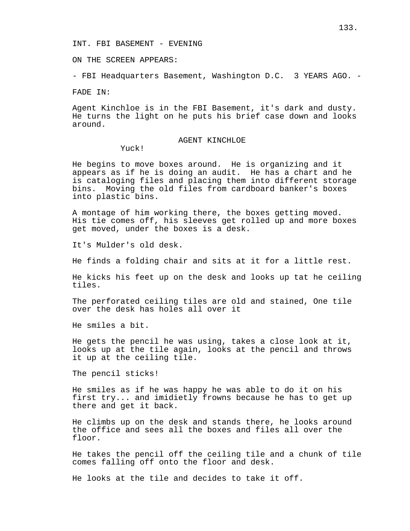INT. FBI BASEMENT - EVENING

ON THE SCREEN APPEARS:

- FBI Headquarters Basement, Washington D.C. 3 YEARS AGO. -

FADE IN:

Agent Kinchloe is in the FBI Basement, it's dark and dusty. He turns the light on he puts his brief case down and looks around.

# AGENT KINCHLOE

Yuck!

He begins to move boxes around. He is organizing and it appears as if he is doing an audit. He has a chart and he is cataloging files and placing them into different storage bins. Moving the old files from cardboard banker's boxes into plastic bins.

A montage of him working there, the boxes getting moved. His tie comes off, his sleeves get rolled up and more boxes get moved, under the boxes is a desk.

It's Mulder's old desk.

He finds a folding chair and sits at it for a little rest.

He kicks his feet up on the desk and looks up tat he ceiling tiles.

The perforated ceiling tiles are old and stained, One tile over the desk has holes all over it

He smiles a bit.

He gets the pencil he was using, takes a close look at it, looks up at the tile again, looks at the pencil and throws it up at the ceiling tile.

The pencil sticks!

He smiles as if he was happy he was able to do it on his first try... and imidietly frowns because he has to get up there and get it back.

He climbs up on the desk and stands there, he looks around the office and sees all the boxes and files all over the floor.

He takes the pencil off the ceiling tile and a chunk of tile comes falling off onto the floor and desk.

He looks at the tile and decides to take it off.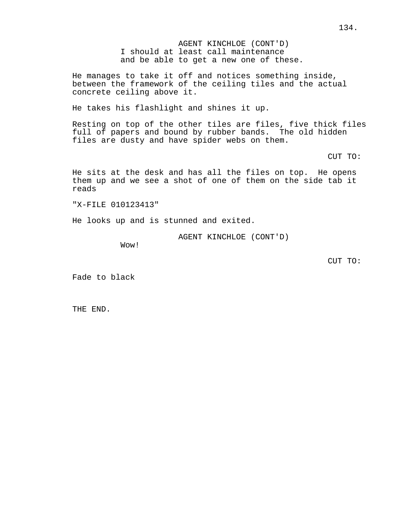AGENT KINCHLOE (CONT'D) I should at least call maintenance and be able to get a new one of these.

He manages to take it off and notices something inside, between the framework of the ceiling tiles and the actual concrete ceiling above it.

He takes his flashlight and shines it up.

Resting on top of the other tiles are files, five thick files full of papers and bound by rubber bands. The old hidden files are dusty and have spider webs on them.

CUT TO:

He sits at the desk and has all the files on top. He opens them up and we see a shot of one of them on the side tab it reads

"X-FILE 010123413"

He looks up and is stunned and exited.

AGENT KINCHLOE (CONT'D)

Wow!

CUT TO:

Fade to black

THE END.